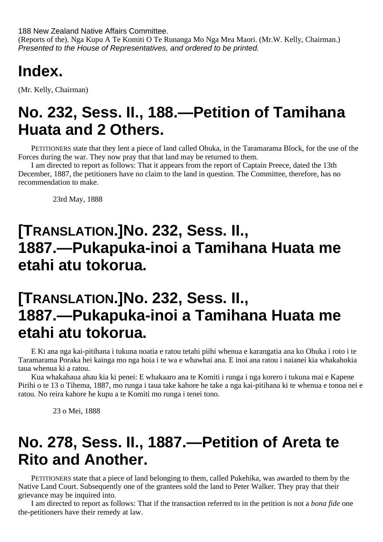188 New Zealand Native Affairs Committee.

(Reports of the). Nga Kupu A Te Komiti O Te Runanga Mo Nga Mea Maori. (Mr.W. Kelly, Chairman.) Presented to the House of Representatives, and ordered to be printed.

### **Index.**

(Mr. Kelly, Chairman)

### **No. 232, Sess. II., 188.—Petition of Tamihana Huata and 2 Others.**

PETITIONERS state that they lent a piece of land called Ohuka, in the Taramarama Block, for the use of the Forces during the war. They now pray that that land may be returned to them.

I am directed to report as follows: That it appears from the report of Captain Preece, dated the 13th December, 1887, the petitioners have no claim to the land in question. The Committee, therefore, has no recommendation to make.

23rd May, 1888

## **[TRANSLATION.]No. 232, Sess. II., 1887.—Pukapuka-inoi a Tamihana Huata me etahi atu tokorua.**

### **[TRANSLATION.]No. 232, Sess. II., 1887.—Pukapuka-inoi a Tamihana Huata me etahi atu tokorua.**

E KI ana nga kai-pitihana i tukuna noatia e ratou tetahi piihi whenua e karangatia ana ko Ohuka i roto i te Taramarama Poraka hei kainga mo nga hoia i te wa e whawhai ana. E inoi ana ratou i naianei kia whakahokia taua whenua ki a ratou.

Kua whakahaua ahau kia ki penei: E whakaaro ana te Komiti i runga i nga korero i tukuna mai e Kapene Pirihi o te 13 o Tihema, 1887, mo runga i taua take kahore he take a nga kai-pitihana ki te whenua e tonoa nei e ratou. No reira kahore he kupu a te Komiti mo runga i tenei tono.

23 o Mei, 1888

### **No. 278, Sess. II., 1887.—Petition of Areta te Rito and Another.**

PETITIONERS state that a piece of land belonging to them, called Pukehika, was awarded to them by the Native Land Court. Subsequently one of the grantees sold the land to Peter Walker. They pray that their grievance may be inquired into.

I am directed to report as follows: That if the transaction referred to in the petition is not a *bona fide* one the-petitioners have their remedy at law.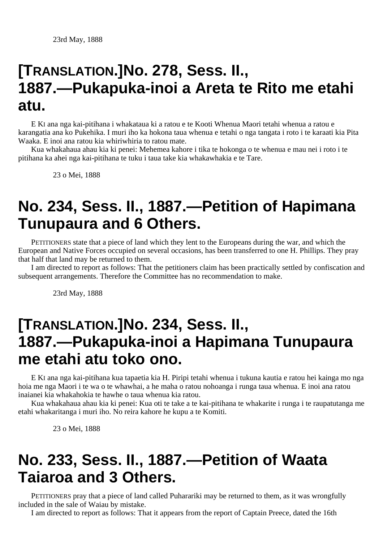#### **[TRANSLATION.]No. 278, Sess. II., 1887.—Pukapuka-inoi a Areta te Rito me etahi atu.**

E KI ana nga kai-pitihana i whakataua ki a ratou e te Kooti Whenua Maori tetahi whenua a ratou e karangatia ana ko Pukehika. I muri iho ka hokona taua whenua e tetahi o nga tangata i roto i te karaati kia Pita Waaka. E inoi ana ratou kia whiriwhiria to ratou mate.

Kua whakahaua ahau kia ki penei: Mehemea kahore i tika te hokonga o te whenua e mau nei i roto i te pitihana ka ahei nga kai-pitihana te tuku i taua take kia whakawhakia e te Tare.

23 o Mei, 1888

### **No. 234, Sess. II., 1887.—Petition of Hapimana Tunupaura and 6 Others.**

PETITIONERS state that a piece of land which they lent to the Europeans during the war, and which the European and Native Forces occupied on several occasions, has been transferred to one H. Phillips. They pray that half that land may be returned to them.

I am directed to report as follows: That the petitioners claim has been practically settled by confiscation and subsequent arrangements. Therefore the Committee has no recommendation to make.

23rd May, 1888

#### **[TRANSLATION.]No. 234, Sess. II., 1887.—Pukapuka-inoi a Hapimana Tunupaura me etahi atu toko ono.**

E KI ana nga kai-pitihana kua tapaetia kia H. Piripi tetahi whenua i tukuna kautia e ratou hei kainga mo nga hoia me nga Maori i te wa o te whawhai, a he maha o ratou nohoanga i runga taua whenua. E inoi ana ratou inaianei kia whakahokia te hawhe o taua whenua kia ratou.

Kua whakahaua ahau kia ki penei: Kua oti te take a te kai-pitihana te whakarite i runga i te raupatutanga me etahi whakaritanga i muri iho. No reira kahore he kupu a te Komiti.

23 o Mei, 1888

## **No. 233, Sess. II., 1887.—Petition of Waata Taiaroa and 3 Others.**

PETITIONERS pray that a piece of land called Puharariki may be returned to them, as it was wrongfully included in the sale of Waiau by mistake.

I am directed to report as follows: That it appears from the report of Captain Preece, dated the 16th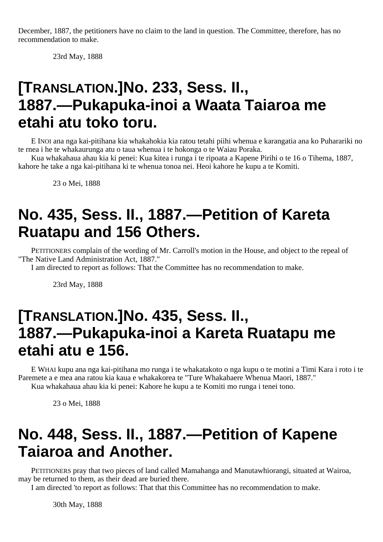December, 1887, the petitioners have no claim to the land in question. The Committee, therefore, has no recommendation to make.

23rd May, 1888

## **[TRANSLATION.]No. 233, Sess. II., 1887.—Pukapuka-inoi a Waata Taiaroa me etahi atu toko toru.**

E INOI ana nga kai-pitihana kia whakahokia kia ratou tetahi piihi whenua e karangatia ana ko Puharariki no te rnea i he te whakaurunga atu o taua whenua i te hokonga o te Waiau Poraka.

Kua whakahaua ahau kia ki penei: Kua kitea i runga i te ripoata a Kapene Pirihi o te 16 o Tihema, 1887, kahore he take a nga kai-pitihana ki te whenua tonoa nei. Heoi kahore he kupu a te Komiti.

23 o Mei, 1888

## **No. 435, Sess. II., 1887.—Petition of Kareta Ruatapu and 156 Others.**

PETITIONERS complain of the wording of Mr. Carroll's motion in the House, and object to the repeal of "The Native Land Administration Act, 1887."

I am directed to report as follows: That the Committee has no recommendation to make.

23rd May, 1888

### **[TRANSLATION.]No. 435, Sess. II., 1887.—Pukapuka-inoi a Kareta Ruatapu me etahi atu e 156.**

E WHAI kupu ana nga kai-pitihana mo runga i te whakatakoto o nga kupu o te motini a Timi Kara i roto i te Paremete a e mea ana ratou kia kaua e whakakorea te "Ture Whakahaere Whenua Maori, 1887." Kua whakahaua ahau kia ki penei: Kahore he kupu a te Komiti mo runga i tenei tono.

23 o Mei, 1888

### **No. 448, Sess. II., 1887.—Petition of Kapene Taiaroa and Another.**

PETITIONERS pray that two pieces of land called Mamahanga and Manutawhiorangi, situated at Wairoa, may be returned to them, as their dead are buried there.

I am directed 'to report as follows: That that this Committee has no recommendation to make.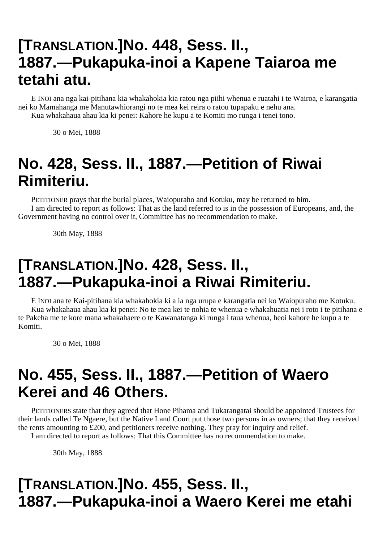## **[TRANSLATION.]No. 448, Sess. II., 1887.—Pukapuka-inoi a Kapene Taiaroa me tetahi atu.**

E INOI ana nga kai-pitihana kia whakahokia kia ratou nga piihi whenua e ruatahi i te Wairoa, e karangatia nei ko Mamahanga me Manutawhiorangi no te mea kei reira o ratou tupapaku e nehu ana. Kua whakahaua ahau kia ki penei: Kahore he kupu a te Komiti mo runga i tenei tono.

30 o Mei, 1888

# **No. 428, Sess. II., 1887.—Petition of Riwai Rimiteriu.**

PETITIONER prays that the burial places, Waiopuraho and Kotuku, may be returned to him. I am directed to report as follows: That as the land referred to is in the possession of Europeans, and, the Government having no control over it, Committee has no recommendation to make.

30th May, 1888

## **[TRANSLATION.]No. 428, Sess. II., 1887.—Pukapuka-inoi a Riwai Rimiteriu.**

E INOI ana te Kai-pitihana kia whakahokia ki a ia nga urupa e karangatia nei ko Waiopuraho me Kotuku. Kua whakahaua ahau kia ki penei: No te mea kei te nohia te whenua e whakahuatia nei i roto i te pitihana e te Pakeha me te kore mana whakahaere o te Kawanatanga ki runga i taua whenua, heoi kahore he kupu a te Komiti.

30 o Mei, 1888

## **No. 455, Sess. II., 1887.—Petition of Waero Kerei and 46 Others.**

PETITIONERS state that they agreed that Hone Pihama and Tukarangatai should be appointed Trustees for their lands called Te Ngaere, but the Native Land Court put those two persons in as owners; that they received the rents amounting to £200, and petitioners receive nothing. They pray for inquiry and relief.

I am directed to report as follows: That this Committee has no recommendation to make.

30th May, 1888

## **[TRANSLATION.]No. 455, Sess. II., 1887.—Pukapuka-inoi a Waero Kerei me etahi**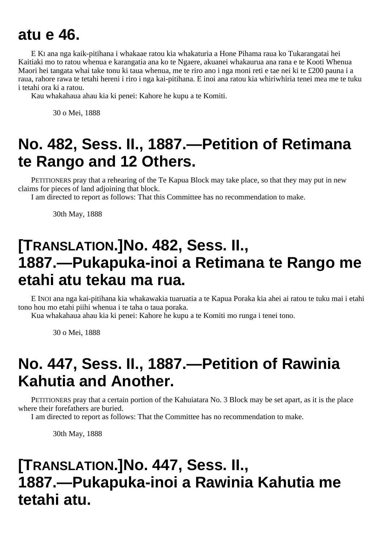### **atu e 46.**

E KI ana nga kaik-pitihana i whakaae ratou kia whakaturia a Hone Pihama raua ko Tukarangatai hei Kaitiaki mo to ratou whenua e karangatia ana ko te Ngaere, akuanei whakaurua ana rana e te Kooti Whenua Maori hei tangata whai take tonu ki taua whenua, me te riro ano i nga moni reti e tae nei ki te £200 pauna i a raua, rahore rawa te tetahi hereni i riro i nga kai-pitihana. E inoi ana ratou kia whiriwhiria tenei mea me te tuku i tetahi ora ki a ratou.

Kau whakahaua ahau kia ki penei: Kahore he kupu a te Komiti.

30 o Mei, 1888

# **No. 482, Sess. II., 1887.—Petition of Retimana te Rango and 12 Others.**

PETITIONERS pray that a rehearing of the Te Kapua Block may take place, so that they may put in new claims for pieces of land adjoining that block.

I am directed to report as follows: That this Committee has no recommendation to make.

30th May, 1888

## **[TRANSLATION.]No. 482, Sess. II., 1887.—Pukapuka-inoi a Retimana te Rango me etahi atu tekau ma rua.**

E INOI ana nga kai-pitihana kia whakawakia tuaruatia a te Kapua Poraka kia ahei ai ratou te tuku mai i etahi tono hou mo etahi piihi whenua i te taha o taua poraka.

Kua whakahaua ahau kia ki penei: Kahore he kupu a te Komiti mo runga i tenei tono.

30 o Mei, 1888

## **No. 447, Sess. II., 1887.—Petition of Rawinia Kahutia and Another.**

PETITIONERS pray that a certain portion of the Kahuiatara No. 3 Block may be set apart, as it is the place where their forefathers are buried.

I am directed to report as follows: That the Committee has no recommendation to make.

30th May, 1888

## **[TRANSLATION.]No. 447, Sess. II., 1887.—Pukapuka-inoi a Rawinia Kahutia me tetahi atu.**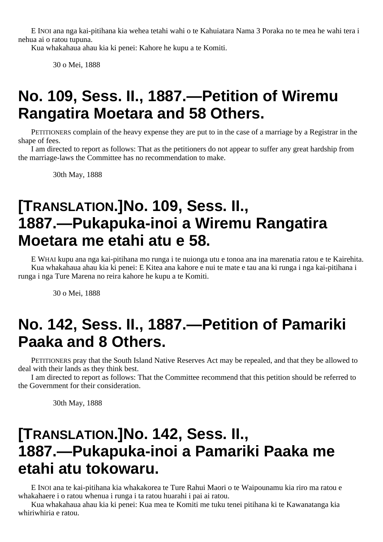E INOI ana nga kai-pitihana kia wehea tetahi wahi o te Kahuiatara Nama 3 Poraka no te mea he wahi tera i nehua ai o ratou tupuna.

Kua whakahaua ahau kia ki penei: Kahore he kupu a te Komiti.

30 o Mei, 1888

## **No. 109, Sess. II., 1887.—Petition of Wiremu Rangatira Moetara and 58 Others.**

PETITIONERS complain of the heavy expense they are put to in the case of a marriage by a Registrar in the shape of fees.

I am directed to report as follows: That as the petitioners do not appear to suffer any great hardship from the marriage-laws the Committee has no recommendation to make.

30th May, 1888

## **[TRANSLATION.]No. 109, Sess. II., 1887.—Pukapuka-inoi a Wiremu Rangatira Moetara me etahi atu e 58.**

E WHAI kupu ana nga kai-pitihana mo runga i te nuionga utu e tonoa ana ina marenatia ratou e te Kairehita. Kua whakahaua ahau kia ki penei: E Kitea ana kahore e nui te mate e tau ana ki runga i nga kai-pitihana i runga i nga Ture Marena no reira kahore he kupu a te Komiti.

30 o Mei, 1888

### **No. 142, Sess. II., 1887.—Petition of Pamariki Paaka and 8 Others.**

PETITIONERS pray that the South Island Native Reserves Act may be repealed, and that they be allowed to deal with their lands as they think best.

I am directed to report as follows: That the Committee recommend that this petition should be referred to the Government for their consideration.

30th May, 1888

### **[TRANSLATION.]No. 142, Sess. II., 1887.—Pukapuka-inoi a Pamariki Paaka me etahi atu tokowaru.**

E INOI ana te kai-pitihana kia whakakorea te Ture Rahui Maori o te Waipounamu kia riro ma ratou e whakahaere i o ratou whenua i runga i ta ratou huarahi i pai ai ratou.

Kua whakahaua ahau kia ki penei: Kua mea te Komiti me tuku tenei pitihana ki te Kawanatanga kia whiriwhiria e ratou.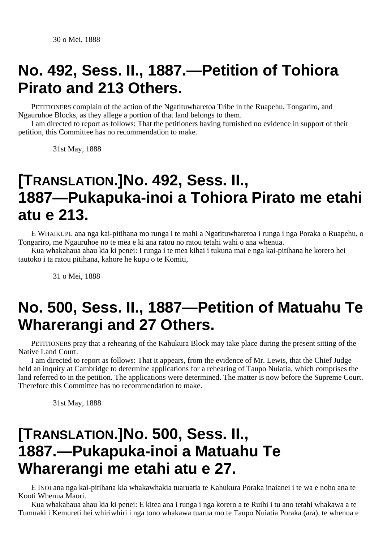#### **No. 492, Sess. II., 1887.—Petition of Tohiora Pirato and 213 Others.**

PETITIONERS complain of the action of the Ngatituwharetoa Tribe in the Ruapehu, Tongariro, and Ngauruhoe Blocks, as they allege a portion of that land belongs to them.

I am directed to report as follows: That the petitioners having furnished no evidence in support of their petition, this Committee has no recommendation to make.

31st May, 1888

#### **[TRANSLATION.]No. 492, Sess. II., 1887—Pukapuka-inoi a Tohiora Pirato me etahi atu e 213.**

E WHAIKUPU ana nga kai-pitihana mo runga i te mahi a Ngatituwharetoa i runga i nga Poraka o Ruapehu, o Tongariro, me Ngauruhoe no te mea e ki ana ratou no ratou tetahi wahi o ana whenua.

Kua whakahaua ahau kia ki penei: I runga i te mea kihai i tukuna mai e nga kai-pitihana he korero hei tautoko i ta ratou pitihana, kahore he kupu o te Komiti,

31 o Mei, 1888

## **No. 500, Sess. II., 1887—Petition of Matuahu Te Wharerangi and 27 Others.**

PETITIONERS pray that a rehearing of the Kahukura Block may take place during the present sitting of the Native Land Court.

I am directed to report as follows: That it appears, from the evidence of Mr. Lewis, that the Chief Judge held an inquiry at Cambridge to determine applications for a rehearing of Taupo Nuiatia, which comprises the land referred to in the petition. The applications were determined. The matter is now before the Supreme Court. Therefore this Committee has no recommendation to make.

31st May, 1888

### **[TRANSLATION.]No. 500, Sess. II., 1887.—Pukapuka-inoi a Matuahu Te Wharerangi me etahi atu e 27.**

E INOI ana nga kai-pitihana kia whakawhakia tuaruatia te Kahukura Poraka inaianei i te wa e noho ana te Kooti Whenua Maori.

Kua whakahaua ahau kia ki penei: E kitea ana i runga i nga korero a te Ruihi i tu ano tetahi whakawa a te Tumuaki i Kemureti hei whiriwhiri i nga tono whakawa tuarua mo te Taupo Nuiatia Poraka (ara), te whenua e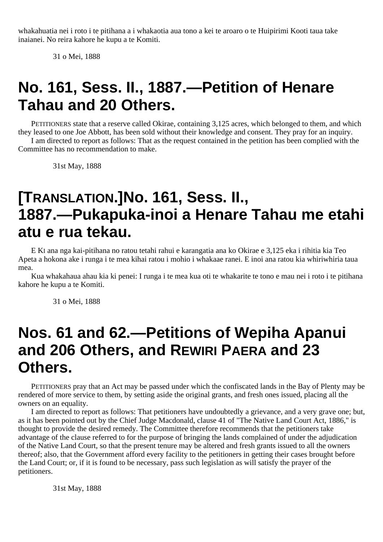whakahuatia nei i roto i te pitihana a i whakaotia aua tono a kei te aroaro o te Huipirimi Kooti taua take inaianei. No reira kahore he kupu a te Komiti.

31 o Mei, 1888

### **No. 161, Sess. II., 1887.—Petition of Henare Tahau and 20 Others.**

PETITIONERS state that a reserve called Okirae, containing 3,125 acres, which belonged to them, and which they leased to one Joe Abbott, has been sold without their knowledge and consent. They pray for an inquiry. I am directed to report as follows: That as the request contained in the petition has been complied with the Committee has no recommendation to make.

31st May, 1888

## **[TRANSLATION.]No. 161, Sess. II., 1887.—Pukapuka-inoi a Henare Tahau me etahi atu e rua tekau.**

E KI ana nga kai-pitihana no ratou tetahi rahui e karangatia ana ko Okirae e 3,125 eka i rihitia kia Teo Apeta a hokona ake i runga i te mea kihai ratou i mohio i whakaae ranei. E inoi ana ratou kia whiriwhiria taua mea.

Kua whakahaua ahau kia ki penei: I runga i te mea kua oti te whakarite te tono e mau nei i roto i te pitihana kahore he kupu a te Komiti.

31 o Mei, 1888

## **Nos. 61 and 62.—Petitions of Wepiha Apanui and 206 Others, and REWIRI PAERA and 23 Others.**

PETITIONERS pray that an Act may be passed under which the confiscated lands in the Bay of Plenty may be rendered of more service to them, by setting aside the original grants, and fresh ones issued, placing all the owners on an equality.

I am directed to report as follows: That petitioners have undoubtedly a grievance, and a very grave one; but, as it has been pointed out by the Chief Judge Macdonald, clause 41 of "The Native Land Court Act, 1886," is thought to provide the desired remedy. The Committee therefore recommends that the petitioners take advantage of the clause referred to for the purpose of bringing the lands complained of under the adjudication of the Native Land Court, so that the present tenure may be altered and fresh grants issued to all the owners thereof; also, that the Government afford every facility to the petitioners in getting their cases brought before the Land Court; or, if it is found to be necessary, pass such legislation as will satisfy the prayer of the petitioners.

31st May, 1888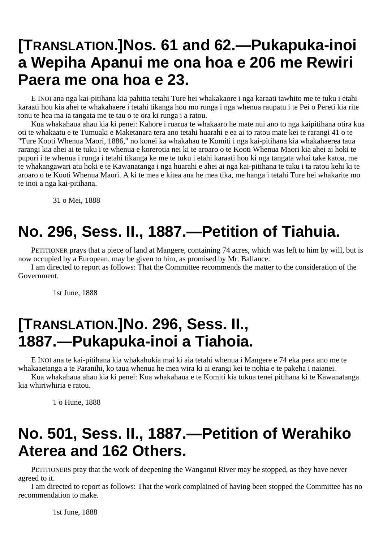### **[TRANSLATION.]Nos. 61 and 62.—Pukapuka-inoi a Wepiha Apanui me ona hoa e 206 me Rewiri Paera me ona hoa e 23.**

E INOI ana nga kai-pitihana kia pahitia tetahi Ture hei whakakaore i nga karaati tawhito me te tuku i etahi karaati hou kia ahei te whakahaere i tetahi tikanga hou mo runga i nga whenua raupatu i te Pei o Pereti kia rite tonu te hea ma ia tangata me te tau o te ora ki runga i a ratou.

Kua whakahaua ahau kia ki penei: Kahore i ruarua te whakaaro he mate nui ano to nga kaipitihana otira kua oti te whakaatu e te Tumuaki e Maketanara tera ano tetahi huarahi e ea ai to ratou mate kei te rarangi 41 o te "Ture Kooti Whenua Maori, 1886," no konei ka whakahau te Komiti i nga kai-pitihana kia whakahaerea taua rarangi kia ahei ai te tuku i te whenua e korerotia nei ki te aroaro o te Kooti Whenua Maori kia ahei ai hoki te pupuri i te whenua i runga i tetahi tikanga ke me te tuku i etahi karaati hou ki nga tangata whai take katoa, me te whakangawari atu hoki e te Kawanatanga i nga huarahi e ahei ai nga kai-pitihana te tuku i ta ratou kehi ki te aroaro o te Kooti Whenua Maori. A ki te mea e kitea ana he mea tika, me hanga i tetahi Ture hei whakarite mo te inoi a nga kai-pitihana.

31 o Mei, 1888

# **No. 296, Sess. II., 1887.—Petition of Tiahuia.**

PETITIONER prays that a piece of land at Mangere, containing 74 acres, which was left to him by will, but is now occupied by a European, may be given to him, as promised by Mr. Ballance.

I am directed to report as follows: That the Committee recommends the matter to the consideration of the Government.

1st June, 1888

### **[TRANSLATION.]No. 296, Sess. II., 1887.—Pukapuka-inoi a Tiahoia.**

E INOI ana te kai-pitihana kia whakahokia mai ki aia tetahi whenua i Mangere e 74 eka pera ano me te whakaaetanga a te Paranihi, ko taua whenua he mea wira ki ai erangi kei te nohia e te pakeha i naianei.

Kua whakahaua ahau kia ki penei: Kua whakahaua e te Komiti kia tukua tenei pitihana ki te Kawanatanga kia whiriwhiria e ratou.

1 o Hune, 1888

### **No. 501, Sess. II., 1887.—Petition of Werahiko Aterea and 162 Others.**

PETITIONERS pray that the work of deepening the Wanganui River may be stopped, as they have never agreed to it.

I am directed to report as follows: That the work complained of having been stopped the Committee has no recommendation to make.

1st June, 1888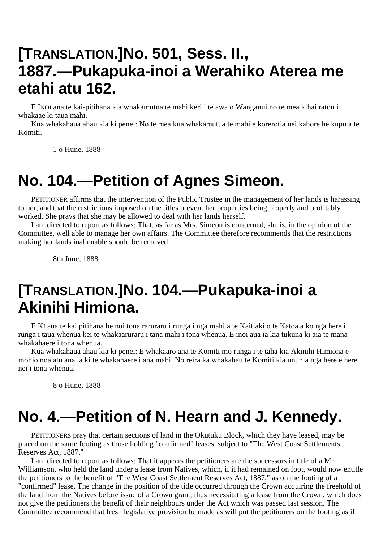### **[TRANSLATION.]No. 501, Sess. II., 1887.—Pukapuka-inoi a Werahiko Aterea me etahi atu 162.**

E INOI ana te kai-pitihana kia whakamutua te mahi keri i te awa o Wanganui no te mea kihai ratou i whakaae ki taua mahi.

Kua whakahaua ahau kia ki penei: No te mea kua whakamutua te mahi e korerotia nei kahore he kupu a te Komiti.

1 o Hune, 1888

### **No. 104.—Petition of Agnes Simeon.**

PETITIONER affirms that the intervention of the Public Trustee in the management of her lands is harassing to her, and that the restrictions imposed on the titles prevent her properties being properly and profitably worked. She prays that she may be allowed to deal with her lands herself.

I am directed to report as follows: That, as far as Mrs. Simeon is concerned, she is, in the opinion of the Committee, well able to manage her own affairs. The Committee therefore recommends that the restrictions making her lands inalienable should be removed.

8th June, 1888

#### **[TRANSLATION.]No. 104.—Pukapuka-inoi a Akinihi Himiona.**

E KI ana te kai pitihana he nui tona raruraru i runga i nga mahi a te Kaitiaki o te Katoa a ko nga here i runga i taua whenua kei te whakaaruraru i tana mahi i tona whenua. E inoi aua ia kia tukuna ki aia te mana whakahaere i tona whenua.

Kua whakahaua ahau kia ki penei: E whakaaro ana te Komiti mo runga i te taha kia Akinihi Himiona e mohio noa atu ana ia ki te whakahaere i ana mahi. No reira ka whakahau te Komiti kia unuhia nga here e here nei i tona whenua.

8 o Hune, 1888

#### **No. 4.—Petition of N. Hearn and J. Kennedy.**

PETITIONERS pray that certain sections of land in the Okutuku Block, which they have leased, may be placed on the same footing as those holding "confirmed" leases, subject to "The West Coast Settlements Reserves Act, 1887."

I am directed to report as follows: That it appears the petitioners are the successors in title of a Mr. Williamson, who held the land under a lease from Natives, which, if it had remained on foot, would now entitle the petitioners to the benefit of "The West Coast Settlement Reserves Act, 1887," as on the footing of a "confirmed" lease. The change in the position of the title occurred through the Crown acquiring the freehold of the land from the Natives before issue of a Crown grant, thus necessitating a lease from the Crown, which does not give the petitioners the benefit of their neighbours under the Act which was passed last session. The Committee recommend that fresh legislative provision be made as will put the petitioners on the footing as if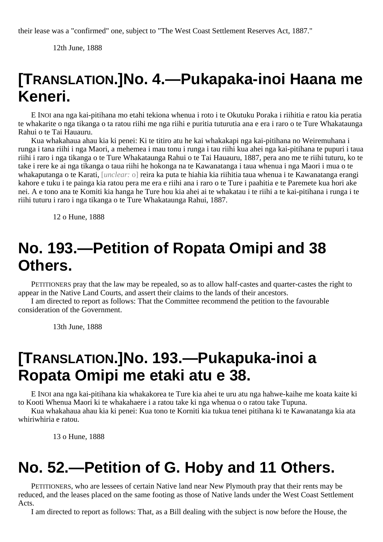their lease was a "confirmed" one, subject to "The West Coast Settlement Reserves Act, 1887."

12th June, 1888

## **[TRANSLATION.]No. 4.—Pukapaka-inoi Haana me Keneri.**

E INOI ana nga kai-pitihana mo etahi tekiona whenua i roto i te Okutuku Poraka i riihitia e ratou kia peratia te whakarite o nga tikanga o ta ratou riihi me nga riihi e puritia tuturutia ana e era i raro o te Ture Whakataunga Rahui o te Tai Hauauru.

Kua whakahaua ahau kia ki penei: Ki te titiro atu he kai whakakapi nga kai-pitihana no Weiremuhana i runga i tana riihi i nga Maori, a mehemea i mau tonu i runga i tau riihi kua ahei nga kai-pitihana te pupuri i taua riihi i raro i nga tikanga o te Ture Whakataunga Rahui o te Tai Hauauru, 1887, pera ano me te riihi tuturu, ko te take i rere ke ai nga tikanga o taua riihi he hokonga na te Kawanatanga i taua whenua i nga Maori i mua o te whakaputanga o te Karati, [*unclear:* o] reira ka puta te hiahia kia riihitia taua whenua i te Kawanatanga erangi kahore e tuku i te painga kia ratou pera me era e riihi ana i raro o te Ture i paahitia e te Paremete kua hori ake nei. A e tono ana te Komiti kia hanga he Ture hou kia ahei ai te whakatau i te riihi a te kai-pitihana i runga i te riihi tuturu i raro i nga tikanga o te Ture Whakataunga Rahui, 1887.

12 o Hune, 1888

## **No. 193.—Petition of Ropata Omipi and 38 Others.**

PETITIONERS pray that the law may be repealed, so as to allow half-castes and quarter-castes the right to appear in the Native Land Courts, and assert their claims to the lands of their ancestors.

I am directed to report as follows: That the Committee recommend the petition to the favourable consideration of the Government.

13th June, 1888

#### **[TRANSLATION.]No. 193.—Pukapuka-inoi a Ropata Omipi me etaki atu e 38.**

E INOI ana nga kai-pitihana kia whakakorea te Ture kia ahei te uru atu nga hahwe-kaihe me koata kaite ki to Kooti Whenua Maori ki te whakahaere i a ratou take ki nga whenua o o ratou take Tupuna.

Kua whakahaua ahau kia ki penei: Kua tono te Korniti kia tukua tenei pitihana ki te Kawanatanga kia ata whiriwhiria e ratou.

13 o Hune, 1888

#### **No. 52.—Petition of G. Hoby and 11 Others.**

PETITIONERS, who are lessees of certain Native land near New Plymouth pray that their rents may be reduced, and the leases placed on the same footing as those of Native lands under the West Coast Settlement Acts.

I am directed to report as follows: That, as a Bill dealing with the subject is now before the House, the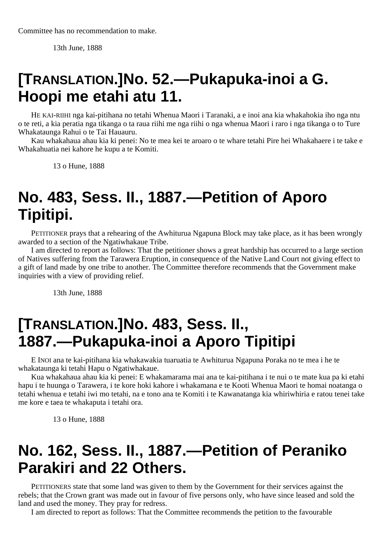13th June, 1888

### **[TRANSLATION.]No. 52.—Pukapuka-inoi a G. Hoopi me etahi atu 11.**

HE KAI-RIIHI nga kai-pitihana no tetahi Whenua Maori i Taranaki, a e inoi ana kia whakahokia iho nga ntu o te reti, a kia peratia nga tikanga o ta raua riihi me nga riihi o nga whenua Maori i raro i nga tikanga o to Ture Whakataunga Rahui o te Tai Hauauru.

Kau whakahaua ahau kia ki penei: No te mea kei te aroaro o te whare tetahi Pire hei Whakahaere i te take e Whakahuatia nei kahore he kupu a te Komiti.

13 o Hune, 1888

### **No. 483, Sess. II., 1887.—Petition of Aporo Tipitipi.**

PETITIONER prays that a rehearing of the Awhiturua Ngapuna Block may take place, as it has been wrongly awarded to a section of the Ngatiwhakaue Tribe.

I am directed to report as follows: That the petitioner shows a great hardship has occurred to a large section of Natives suffering from the Tarawera Eruption, in consequence of the Native Land Court not giving effect to a gift of land made by one tribe to another. The Committee therefore recommends that the Government make inquiries with a view of providing relief.

13th June, 1888

#### **[TRANSLATION.]No. 483, Sess. II., 1887.—Pukapuka-inoi a Aporo Tipitipi**

E INOI ana te kai-pitihana kia whakawakia tuaruatia te Awhiturua Ngapuna Poraka no te mea i he te whakataunga ki tetahi Hapu o Ngatiwhakaue.

Kua whakahaua ahau kia ki penei: E whakamarama mai ana te kai-pitihana i te nui o te mate kua pa ki etahi hapu i te huunga o Tarawera, i te kore hoki kahore i whakamana e te Kooti Whenua Maori te homai noatanga o tetahi whenua e tetahi iwi mo tetahi, na e tono ana te Komiti i te Kawanatanga kia whiriwhiria e ratou tenei take me kore e taea te whakaputa i tetahi ora.

13 o Hune, 1888

### **No. 162, Sess. II., 1887.—Petition of Peraniko Parakiri and 22 Others.**

PETITIONERS state that some land was given to them by the Government for their services against the rebels; that the Crown grant was made out in favour of five persons only, who have since leased and sold the land and used the money. They pray for redress.

I am directed to report as follows: That the Committee recommends the petition to the favourable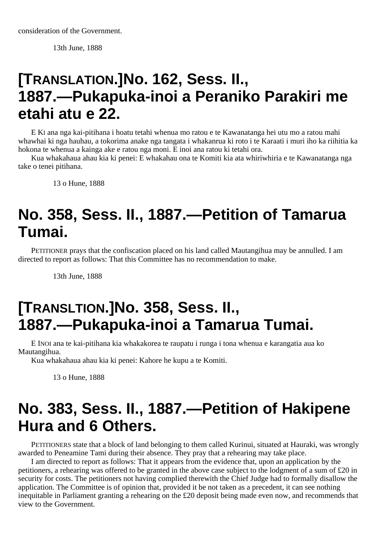consideration of the Government.

13th June, 1888

## **[TRANSLATION.]No. 162, Sess. II., 1887.—Pukapuka-inoi a Peraniko Parakiri me etahi atu e 22.**

E KI ana nga kai-pitihana i hoatu tetahi whenua mo ratou e te Kawanatanga hei utu mo a ratou mahi whawhai ki nga hauhau, a tokorima anake nga tangata i whakanrua ki roto i te Karaati i muri iho ka riihitia ka hokona te whenua a kainga ake e ratou nga moni. E inoi ana ratou ki tetahi ora.

Kua whakahaua ahau kia ki penei: E whakahau ona te Komiti kia ata whiriwhiria e te Kawanatanga nga take o tenei pitihana.

13 o Hune, 1888

## **No. 358, Sess. II., 1887.—Petition of Tamarua Tumai.**

PETITIONER prays that the confiscation placed on his land called Mautangihua may be annulled. I am directed to report as follows: That this Committee has no recommendation to make.

13th June, 1888

## **[TRANSLTION.]No. 358, Sess. II., 1887.—Pukapuka-inoi a Tamarua Tumai.**

E INOI ana te kai-pitihana kia whakakorea te raupatu i runga i tona whenua e karangatia aua ko Mautangihua.

Kua whakahaua ahau kia ki penei: Kahore he kupu a te Komiti.

13 o Hune, 1888

## **No. 383, Sess. II., 1887.—Petition of Hakipene Hura and 6 Others.**

PETITIONERS state that a block of land belonging to them called Kurinui, situated at Hauraki, was wrongly awarded to Peneamine Tami during their absence. They pray that a rehearing may take place.

I am directed to report as follows: That it appears from the evidence that, upon an application by the petitioners, a rehearing was offered to be granted in the above case subject to the lodgment of a sum of £20 in security for costs. The petitioners not having complied therewith the Chief Judge had to formally disallow the application. The Committee is of opinion that, provided it be not taken as a precedent, it can see nothing inequitable in Parliament granting a rehearing on the £20 deposit being made even now, and recommends that view to the Government.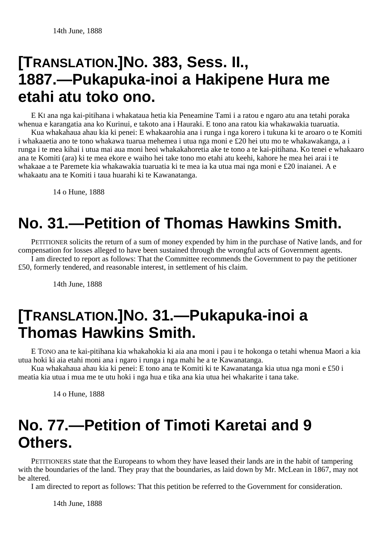## **[TRANSLATION.]NO. 383, Sess. II., 1887.—Pukapuka-inoi a Hakipene Hura me etahi atu toko ono.**

E KI ana nga kai-pitihana i whakataua hetia kia Peneamine Tami i a ratou e ngaro atu ana tetahi poraka whenua e karangatia ana ko Kurinui, e takoto ana i Hauraki. E tono ana ratou kia whakawakia tuaruatia.

Kua whakahaua ahau kia ki penei: E whakaarohia ana i runga i nga korero i tukuna ki te aroaro o te Komiti i whakaaetia ano te tono whakawa tuarua mehemea i utua nga moni e £20 hei utu mo te whakawakanga, a i runga i te mea kihai i utua mai aua moni heoi whakakahoretia ake te tono a te kai-pitihana. Ko tenei e whakaaro ana te Komiti (ara) ki te mea ekore e waiho hei take tono mo etahi atu keehi, kahore he mea hei arai i te whakaae a te Paremete kia whakawakia tuaruatia ki te mea ia ka utua mai nga moni e £20 inaianei. A e whakaatu ana te Komiti i taua huarahi ki te Kawanatanga.

14 o Hune, 1888

## **No. 31.—Petition of Thomas Hawkins Smith.**

PETITIONER solicits the return of a sum of money expended by him in the purchase of Native lands, and for compensation for losses alleged to have been sustained through the wrongful acts of Government agents.

I am directed to report as follows: That the Committee recommends the Government to pay the petitioner £50, formerly tendered, and reasonable interest, in settlement of his claim.

14th June, 1888

## **[TRANSLATION.]NO. 31.—Pukapuka-inoi a Thomas Hawkins Smith.**

E TONO ana te kai-pitihana kia whakahokia ki aia ana moni i pau i te hokonga o tetahi whenua Maori a kia utua hoki ki aia etahi moni ana i ngaro i runga i nga mahi he a te Kawanatanga.

Kua whakahaua ahau kia ki penei: E tono ana te Komiti ki te Kawanatanga kia utua nga moni e £50 i meatia kia utua i mua me te utu hoki i nga hua e tika ana kia utua hei whakarite i tana take.

14 o Hune, 1888

## **No. 77.—Petition of Timoti Karetai and 9 Others.**

PETITIONERS state that the Europeans to whom they have leased their lands are in the habit of tampering with the boundaries of the land. They pray that the boundaries, as laid down by Mr. McLean in 1867, may not be altered.

I am directed to report as follows: That this petition be referred to the Government for consideration.

14th June, 1888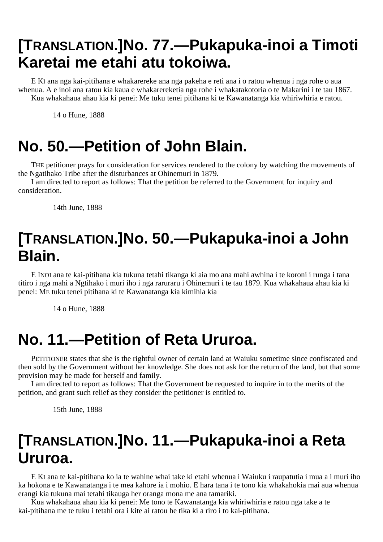## **[TRANSLATION.]No. 77.—Pukapuka-inoi a Timoti Karetai me etahi atu tokoiwa.**

E KI ana nga kai-pitihana e whakarereke ana nga pakeha e reti ana i o ratou whenua i nga rohe o aua whenua. A e inoi ana ratou kia kaua e whakarereketia nga rohe i whakatakotoria o te Makarini i te tau 1867. Kua whakahaua ahau kia ki penei: Me tuku tenei pitihana ki te Kawanatanga kia whiriwhiria e ratou.

14 o Hune, 1888

## **No. 50.—Petition of John Blain.**

THE petitioner prays for consideration for services rendered to the colony by watching the movements of the Ngatihako Tribe after the disturbances at Ohinemuri in 1879.

I am directed to report as follows: That the petition be referred to the Government for inquiry and consideration.

14th June, 1888

## **[TRANSLATION.]No. 50.—Pukapuka-inoi a John Blain.**

E INOI ana te kai-pitihana kia tukuna tetahi tikanga ki aia mo ana mahi awhina i te koroni i runga i tana titiro i nga mahi a Ngtihako i muri iho i nga raruraru i Ohinemuri i te tau 1879. Kua whakahaua ahau kia ki penei: ME tuku tenei pitihana ki te Kawanatanga kia kimihia kia

14 o Hune, 1888

## **No. 11.—Petition of Reta Ururoa.**

PETITIONER states that she is the rightful owner of certain land at Waiuku sometime since confiscated and then sold by the Government without her knowledge. She does not ask for the return of the land, but that some provision may be made for herself and family.

I am directed to report as follows: That the Government be requested to inquire in to the merits of the petition, and grant such relief as they consider the petitioner is entitled to.

15th June, 1888

## **[TRANSLATION.]No. 11.—Pukapuka-inoi a Reta Ururoa.**

E KI ana te kai-pitihana ko ia te wahine whai take ki etahi whenua i Waiuku i raupatutia i mua a i muri iho ka hokona e te Kawanatanga i te mea kahore ia i mohio. E hara tana i te tono kia whakahokia mai aua whenua erangi kia tukuna mai tetahi tikauga her oranga mona me ana tamariki.

Kua whakahaua ahau kia ki penei: Me tono te Kawanatanga kia whiriwhiria e ratou nga take a te kai-pitihana me te tuku i tetahi ora i kite ai ratou he tika ki a riro i to kai-pitihana.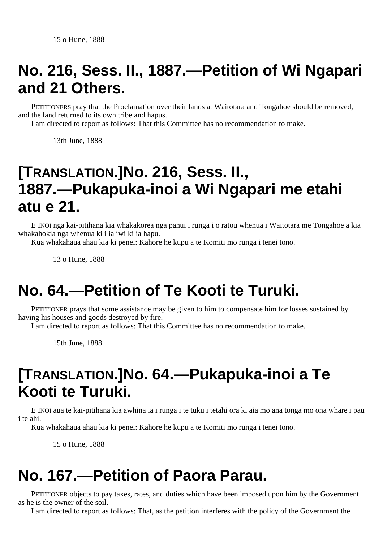## **No. 216, Sess. II., 1887.—Petition of Wi Ngapari and 21 Others.**

PETITIONERS pray that the Proclamation over their lands at Waitotara and Tongahoe should be removed, and the land returned to its own tribe and hapus.

I am directed to report as follows: That this Committee has no recommendation to make.

13th June, 1888

## **[TRANSLATION.]No. 216, Sess. II., 1887.—Pukapuka-inoi a Wi Ngapari me etahi atu e 21.**

E INOI nga kai-pitihana kia whakakorea nga panui i runga i o ratou whenua i Waitotara me Tongahoe a kia whakahokia nga whenua ki i ia iwi ki ia hapu.

Kua whakahaua ahau kia ki penei: Kahore he kupu a te Komiti mo runga i tenei tono.

13 o Hune, 1888

## **No. 64.—Petition of Te Kooti te Turuki.**

PETITIONER prays that some assistance may be given to him to compensate him for losses sustained by having his houses and goods destroyed by fire.

I am directed to report as follows: That this Committee has no recommendation to make.

15th June, 1888

## **[TRANSLATION.]No. 64.—Pukapuka-inoi a Te Kooti te Turuki.**

E INOI aua te kai-pitihana kia awhina ia i runga i te tuku i tetahi ora ki aia mo ana tonga mo ona whare i pau i te ahi.

Kua whakahaua ahau kia ki penei: Kahore he kupu a te Komiti mo runga i tenei tono.

15 o Hune, 1888

## **No. 167.—Petition of Paora Parau.**

PETITIONER objects to pay taxes, rates, and duties which have been imposed upon him by the Government as he is the owner of the soil.

I am directed to report as follows: That, as the petition interferes with the policy of the Government the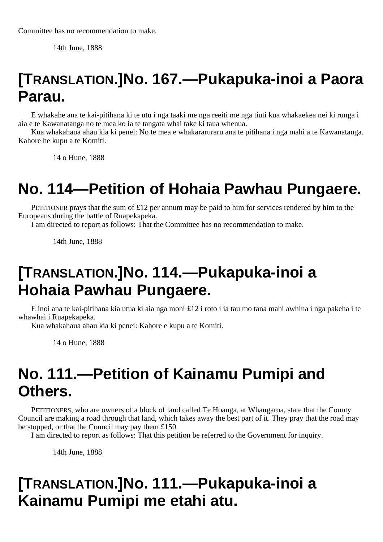14th June, 1888

## **[TRANSLATION.]No. 167.—Pukapuka-inoi a Paora Parau.**

E whakahe ana te kai-pitihana ki te utu i nga taaki me nga reeiti me nga tiuti kua whakaekea nei ki runga i aia e te Kawanatanga no te mea ko ia te tangata whai take ki taua whenua.

Kua whakahaua ahau kia ki penei: No te mea e whakararuraru ana te pitihana i nga mahi a te Kawanatanga. Kahore he kupu a te Komiti.

14 o Hune, 1888

## **No. 114—Petition of Hohaia Pawhau Pungaere.**

PETITIONER prays that the sum of £12 per annum may be paid to him for services rendered by him to the Europeans during the battle of Ruapekapeka.

I am directed to report as follows: That the Committee has no recommendation to make.

14th June, 1888

### **[TRANSLATION.]No. 114.—Pukapuka-inoi a Hohaia Pawhau Pungaere.**

E inoi ana te kai-pitihana kia utua ki aia nga moni £12 i roto i ia tau mo tana mahi awhina i nga pakeha i te whawhai i Ruapekapeka.

Kua whakahaua ahau kia ki penei: Kahore e kupu a te Komiti.

14 o Hune, 1888

## **No. 111.—Petition of Kainamu Pumipi and Others.**

PETITIONERS, who are owners of a block of land called Te Hoanga, at Whangaroa, state that the County Council are making a road through that land, which takes away the best part of it. They pray that the road may be stopped, or that the Council may pay them £150.

I am directed to report as follows: That this petition be referred to the Government for inquiry.

14th June, 1888

### **[TRANSLATION.]No. 111.—Pukapuka-inoi a Kainamu Pumipi me etahi atu.**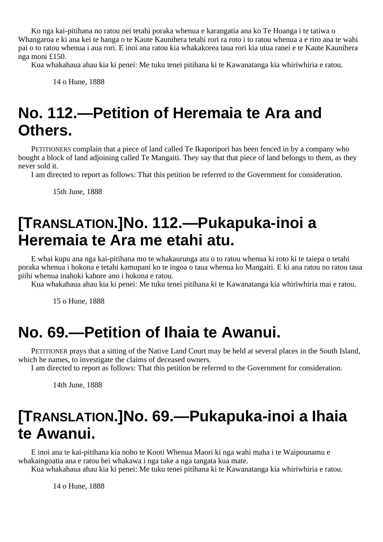Ko nga kai-pitihana no ratou nei tetahi poraka whenua e karangatia ana ko Te Hoanga i te tatiwa o Whangaroa e ki ana kei te hanga o te Kaute Kaunihera tetahi rori ra roto i to ratou whenua a e riro ana te wahi pai o to ratou whenua i aua rori. E inoi ana ratou kia whakakorea taua rori kia utua ranei e te Kaute Kaunihera nga moni £150.

Kua whakahaua ahau kia ki penei: Me tuku tenei pitihana ki te Kawanatanga kia whiriwhiria e ratou.

14 o Hune, 1888

### **No. 112.—Petition of Heremaia te Ara and Others.**

PETITIONERS complain that a piece of land called Te Ikaporipori has been fenced in by a company who bought a block of land adjoining called Te Mangaiti. They say that that piece of land belongs to them, as they never sold it.

I am directed to report as follows: That this petition be referred to the Government for consideration.

15th June, 1888

### **[TRANSLATION.]No. 112.—Pukapuka-inoi a Heremaia te Ara me etahi atu.**

E whai kupu ana nga kai-pitihana mo te whakaurunga atu o to ratou whenua ki roto ki te taiepa o tetahi poraka whenua i hokona e tetahi kamupani ko te ingoa o taua whenua ko Mangaiti. E ki ana ratou no ratou taua piihi whenua inahoki kahore ano i hokona e ratou.

Kua whakahaua ahau kia ki penei: Me tuku tenei pitihana ki te Kawanatanga kia whiriwhiria mai e ratou.

15 o Hune, 1888

#### **No. 69.—Petition of Ihaia te Awanui.**

PETITIONER prays that a sitting of the Native Land Court may be held at several places in the South Island, which he names, to investigate the claims of deceased owners.

I am directed to report as follows: That this petition be referred to the Government for consideration.

14th June, 1888

### **[TRANSLATION.]No. 69.—Pukapuka-inoi a Ihaia te Awanui.**

E inoi ana te kai-pitihana kia noho te Kooti Whenua Maori ki nga wahi maha i te Waipounamu e whakaingoatia ana e ratou hei whakawa i nga take a nga tangata kua mate.

Kua whakahaua ahau kia ki penei: Me tuku tenei pitihana ki te Kawanatanga kia whiriwhiria e ratou.

14 o Hune, 1888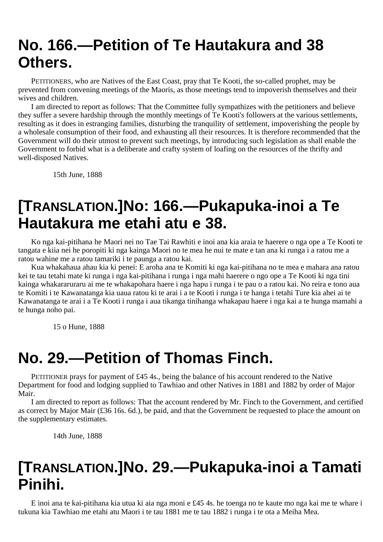### **No. 166.—Petition of Te Hautakura and 38 Others.**

PETITIONERS, who are Natives of the East Coast, pray that Te Kooti, the so-called prophet, may be prevented from convening meetings of the Maoris, as those meetings tend to impoverish themselves and their wives and children.

I am directed to report as follows: That the Committee fully sympathizes with the petitioners and believe they suffer a severe hardship through the monthly meetings of Te Kooti's followers at the various settlements, resulting as it does in estranging families, disturbing the tranquility of settlement, impoverishing the people by a wholesale consumption of their food, and exhausting all their resources. It is therefore recommended that the Government will do their utmost to prevent such meetings, by introducing such legislation as shall enable the Government to forbid what is a deliberate and crafty system of loafing on the resources of the thrifty and well-disposed Natives.

15th June, 1888

#### **[TRANSLATION.]No: 166.—Pukapuka-inoi a Te Hautakura me etahi atu e 38.**

Ko nga kai-pitihana he Maori nei no Tae Tai Rawhiti e inoi ana kia araia te haerere o nga ope a Te Kooti te tangata e kiia nei he poropiti ki nga kainga Maori no te mea he nui te mate e tan ana ki runga i a ratou me a ratou wahine me a ratou tamariki i te paunga a ratou kai.

Kua whakahaua ahau kia ki penei: E aroha ana te Komiti ki nga kai-pitihana no te mea e mahara ana ratou kei te tau tetahi mate ki runga i nga kai-pitihana i runga i nga mahi haerere o ngo ope a Te Kooti ki nga tini kainga whakararuraru ai me te whakapohara haere i nga hapu i runga i te pau o a ratou kai. No reira e tono aua te Komiti i te Kawanatanga kia uaua ratou ki te arai i a te Kooti i runga i te hanga i tetahi Ture kia ahei ai te Kawanatanga te arai i a Te Kooti i runga i aua tikanga tinihanga whakapau haere i nga kai a te hunga mamahi a te hunga noho pai.

15 o Hune, 1888

#### **No. 29.—Petition of Thomas Finch.**

PETITIONER prays for payment of £45 4s., being the balance of his account rendered to the Native Department for food and lodging supplied to Tawhiao and other Natives in 1881 and 1882 by order of Major Mair.

I am directed to report as follows: That the account rendered by Mr. Finch to the Government, and certified as correct by Major Mair (£36 16s. 6d.), be paid, and that the Government be requested to place the amount on the supplementary estimates.

14th June, 1888

#### **[TRANSLATION.]No. 29.—Pukapuka-inoi a Tamati Pinihi.**

E inoi ana te kai-pitihana kia utua ki aia nga moni e £45 4s. he toenga no te kaute mo nga kai me te whare i tukuna kia Tawhiao me etahi atu Maori i te tau 1881 me te tau 1882 i runga i te ota a Meiha Mea.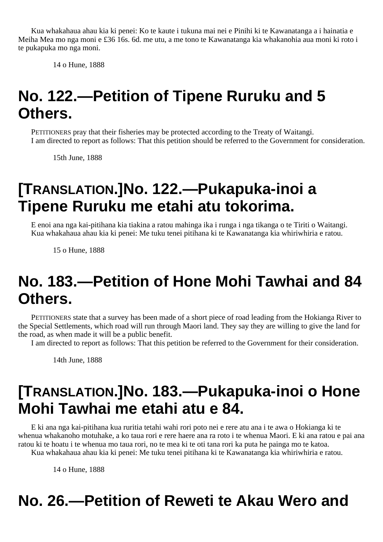Kua whakahaua ahau kia ki penei: Ko te kaute i tukuna mai nei e Pinihi ki te Kawanatanga a i hainatia e Meiha Mea mo nga moni e £36 16s. 6d. me utu, a me tono te Kawanatanga kia whakanohia aua moni ki roto i te pukapuka mo nga moni.

14 o Hune, 1888

## **No. 122.—Petition of Tipene Ruruku and 5 Others.**

PETITIONERS pray that their fisheries may be protected according to the Treaty of Waitangi. I am directed to report as follows: That this petition should be referred to the Government for consideration.

15th June, 1888

## **[TRANSLATION.]No. 122.—Pukapuka-inoi a Tipene Ruruku me etahi atu tokorima.**

E enoi ana nga kai-pitihana kia tiakina a ratou mahinga ika i runga i nga tikanga o te Tiriti o Waitangi. Kua whakahaua ahau kia ki penei: Me tuku tenei pitihana ki te Kawanatanga kia whiriwhiria e ratou.

15 o Hune, 1888

## **No. 183.—Petition of Hone Mohi Tawhai and 84 Others.**

PETITIONERS state that a survey has been made of a short piece of road leading from the Hokianga River to the Special Settlements, which road will run through Maori land. They say they are willing to give the land for the road, as when made it will be a public benefit.

I am directed to report as follows: That this petition be referred to the Government for their consideration.

14th June, 1888

## **[TRANSLATION.]No. 183.—Pukapuka-inoi o Hone Mohi Tawhai me etahi atu e 84.**

E ki ana nga kai-pitihana kua ruritia tetahi wahi rori poto nei e rere atu ana i te awa o Hokianga ki te whenua whakanoho motuhake, a ko taua rori e rere haere ana ra roto i te whenua Maori. E ki ana ratou e pai ana ratou ki te hoatu i te whenua mo taua rori, no te mea ki te oti tana rori ka puta he painga mo te katoa. Kua whakahaua ahau kia ki penei: Me tuku tenei pitihana ki te Kawanatanga kia whiriwhiria e ratou.

14 o Hune, 1888

## **No. 26.—Petition of Reweti te Akau Wero and**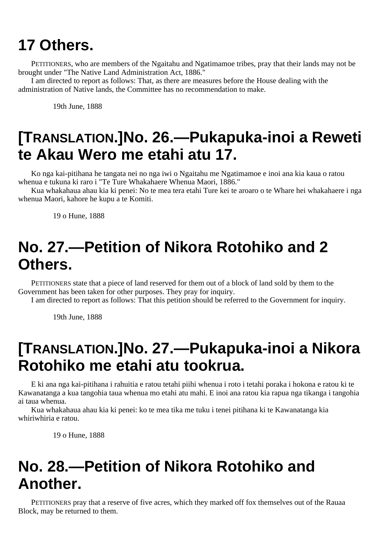## **17 Others.**

PETITIONERS, who are members of the Ngaitahu and Ngatimamoe tribes, pray that their lands may not be brought under "The Native Land Administration Act, 1886."

I am directed to report as follows: That, as there are measures before the House dealing with the administration of Native lands, the Committee has no recommendation to make.

19th June, 1888

## **[TRANSLATION.]No. 26.—Pukapuka-inoi a Reweti te Akau Wero me etahi atu 17.**

Ko nga kai-pitihana he tangata nei no nga iwi o Ngaitahu me Ngatimamoe e inoi ana kia kaua o ratou whenua e tukuna ki raro i "Te Ture Whakahaere Whenua Maori, 1886."

Kua whakahaua ahau kia ki penei: No te mea tera etahi Ture kei te aroaro o te Whare hei whakahaere i nga whenua Maori, kahore he kupu a te Komiti.

19 o Hune, 1888

## **No. 27.—Petition of Nikora Rotohiko and 2 Others.**

PETITIONERS state that a piece of land reserved for them out of a block of land sold by them to the Government has been taken for other purposes. They pray for inquiry.

I am directed to report as follows: That this petition should be referred to the Government for inquiry.

19th June, 1888

### **[TRANSLATION.]No. 27.—Pukapuka-inoi a Nikora Rotohiko me etahi atu tookrua.**

E ki ana nga kai-pitihana i rahuitia e ratou tetahi piihi whenua i roto i tetahi poraka i hokona e ratou ki te Kawanatanga a kua tangohia taua whenua mo etahi atu mahi. E inoi ana ratou kia rapua nga tikanga i tangohia ai taua whenua.

Kua whakahaua ahau kia ki penei: ko te mea tika me tuku i tenei pitihana ki te Kawanatanga kia whiriwhiria e ratou.

19 o Hune, 1888

## **No. 28.—Petition of Nikora Rotohiko and Another.**

PETITIONERS pray that a reserve of five acres, which they marked off fox themselves out of the Rauaa Block, may be returned to them.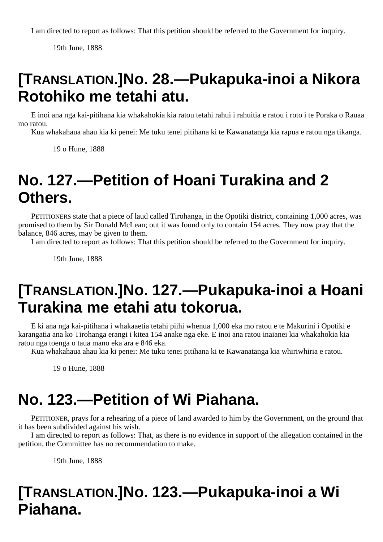I am directed to report as follows: That this petition should be referred to the Government for inquiry.

19th June, 1888

## **[TRANSLATION.]No. 28.—Pukapuka-inoi a Nikora Rotohiko me tetahi atu.**

E inoi ana nga kai-pitihana kia whakahokia kia ratou tetahi rahui i rahuitia e ratou i roto i te Poraka o Rauaa mo ratou.

Kua whakahaua ahau kia ki penei: Me tuku tenei pitihana ki te Kawanatanga kia rapua e ratou nga tikanga.

19 o Hune, 1888

## **No. 127.—Petition of Hoani Turakina and 2 Others.**

PETITIONERS state that a piece of laud called Tirohanga, in the Opotiki district, containing 1,000 acres, was promised to them by Sir Donald McLean; out it was found only to contain 154 acres. They now pray that the balance, 846 acres, may be given to them.

I am directed to report as follows: That this petition should be referred to the Government for inquiry.

19th June, 1888

## **[TRANSLATION.]No. 127.—Pukapuka-inoi a Hoani Turakina me etahi atu tokorua.**

E ki ana nga kai-pitihana i whakaaetia tetahi piihi whenua 1,000 eka mo ratou e te Makurini i Opotiki e karangatia ana ko Tirohanga erangi i kitea 154 anake nga eke. E inoi ana ratou inaianei kia whakahokia kia ratou nga toenga o taua mano eka ara e 846 eka.

Kua whakahaua ahau kia ki penei: Me tuku tenei pitihana ki te Kawanatanga kia whiriwhiria e ratou.

19 o Hune, 1888

## **No. 123.—Petition of Wi Piahana.**

PETITIONER, prays for a rehearing of a piece of land awarded to him by the Government, on the ground that it has been subdivided against his wish.

I am directed to report as follows: That, as there is no evidence in support of the allegation contained in the petition, the Committee has no recommendation to make.

19th June, 1888

# **[TRANSLATION.]No. 123.—Pukapuka-inoi a Wi Piahana.**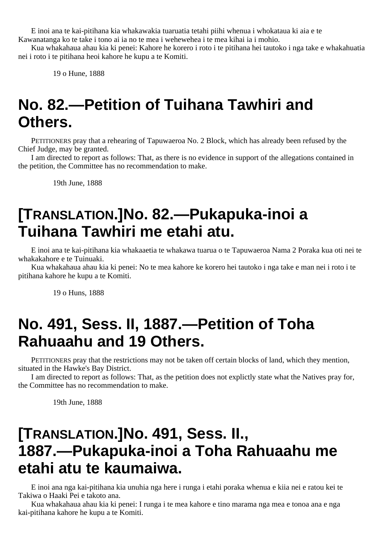E inoi ana te kai-pitihana kia whakawakia tuaruatia tetahi piihi whenua i whokataua ki aia e te Kawanatanga ko te take i tono ai ia no te mea i wehewehea i te mea kihai ia i mohio.

Kua whakahaua ahau kia ki penei: Kahore he korero i roto i te pitihana hei tautoko i nga take e whakahuatia nei i roto i te pitihana heoi kahore he kupu a te Komiti.

19 o Hune, 1888

### **No. 82.—Petition of Tuihana Tawhiri and Others.**

PETITIONERS pray that a rehearing of Tapuwaeroa No. 2 Block, which has already been refused by the Chief Judge, may be granted.

I am directed to report as follows: That, as there is no evidence in support of the allegations contained in the petition, the Committee has no recommendation to make.

19th June, 1888

## **[TRANSLATION.]No. 82.—Pukapuka-inoi a Tuihana Tawhiri me etahi atu.**

E inoi ana te kai-pitihana kia whakaaetia te whakawa tuarua o te Tapuwaeroa Nama 2 Poraka kua oti nei te whakakahore e te Tuinuaki.

Kua whakahaua ahau kia ki penei: No te mea kahore ke korero hei tautoko i nga take e man nei i roto i te pitihana kahore he kupu a te Komiti.

19 o Huns, 1888

### **No. 491, Sess. II, 1887.—Petition of Toha Rahuaahu and 19 Others.**

PETITIONERS pray that the restrictions may not be taken off certain blocks of land, which they mention, situated in the Hawke's Bay District.

I am directed to report as follows: That, as the petition does not explictly state what the Natives pray for, the Committee has no recommendation to make.

19th June, 1888

### **[TRANSLATION.]No. 491, Sess. II., 1887.—Pukapuka-inoi a Toha Rahuaahu me etahi atu te kaumaiwa.**

E inoi ana nga kai-pitihana kia unuhia nga here i runga i etahi poraka whenua e kiia nei e ratou kei te Takiwa o Haaki Pei e takoto ana.

Kua whakahaua ahau kia ki penei: I runga i te mea kahore e tino marama nga mea e tonoa ana e nga kai-pitihana kahore he kupu a te Komiti.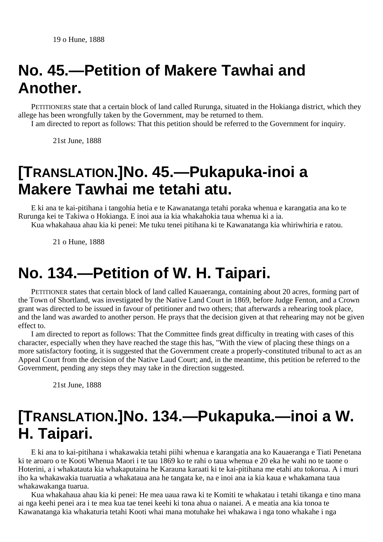### **No. 45.—Petition of Makere Tawhai and Another.**

PETITIONERS state that a certain block of land called Rurunga, situated in the Hokianga district, which they allege has been wrongfully taken by the Government, may be returned to them.

I am directed to report as follows: That this petition should be referred to the Government for inquiry.

21st June, 1888

## **[TRANSLATION.]No. 45.—Pukapuka-inoi a Makere Tawhai me tetahi atu.**

E ki ana te kai-pitihana i tangohia hetia e te Kawanatanga tetahi poraka whenua e karangatia ana ko te Rurunga kei te Takiwa o Hokianga. E inoi aua ia kia whakahokia taua whenua ki a ia.

Kua whakahaua ahau kia ki penei: Me tuku tenei pitihana ki te Kawanatanga kia whiriwhiria e ratou.

21 o Hune, 1888

### **No. 134.—Petition of W. H. Taipari.**

PETITIONER states that certain block of land called Kauaeranga, containing about 20 acres, forming part of the Town of Shortland, was investigated by the Native Land Court in 1869, before Judge Fenton, and a Crown grant was directed to be issued in favour of petitioner and two others; that afterwards a rehearing took place, and the land was awarded to another person. He prays that the decision given at that rehearing may not be given effect to.

I am directed to report as follows: That the Committee finds great difficulty in treating with cases of this character, especially when they have reached the stage this has, "With the view of placing these things on a more satisfactory footing, it is suggested that the Government create a properly-constituted tribunal to act as an Appeal Court from the decision of the Native Laud Court; and, in the meantime, this petition be referred to the Government, pending any steps they may take in the direction suggested.

21st June, 1888

## **[TRANSLATION.]No. 134.—Pukapuka.—inoi a W. H. Taipari.**

E ki ana to kai-pitihana i whakawakia tetahi piihi whenua e karangatia ana ko Kauaeranga e Tiati Penetana ki te aroaro o te Kooti Whenua Maori i te tau 1869 ko te rahi o taua whenua e 20 eka he wahi no te taone o Hoterini, a i whakatauta kia whakaputaina he Karauna karaati ki te kai-pitihana me etahi atu tokorua. A i muri iho ka whakawakia tuaruatia a whakataua ana he tangata ke, na e inoi ana ia kia kaua e whakamana taua whakawakanga tuarua.

Kua whakahaua ahau kia ki penei: He mea uaua rawa ki te Komiti te whakatau i tetahi tikanga e tino mana ai nga keehi penei ara i te mea kua tae tenei keehi ki tona ahua o naianei. A e meatia ana kia tonoa te Kawanatanga kia whakaturia tetahi Kooti whai mana motuhake hei whakawa i nga tono whakahe i nga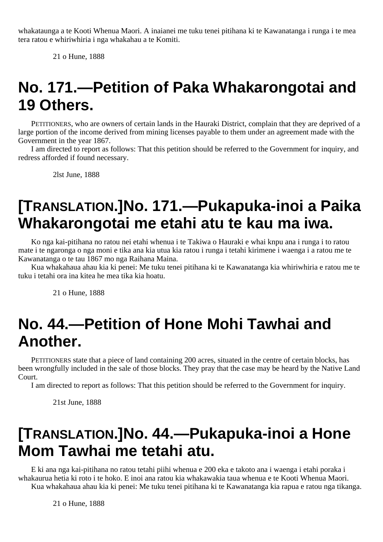whakataunga a te Kooti Whenua Maori. A inaianei me tuku tenei pitihana ki te Kawanatanga i runga i te mea tera ratou e whiriwhiria i nga whakahau a te Komiti.

21 o Hune, 1888

### **No. 171.—Petition of Paka Whakarongotai and 19 Others.**

PETITIONERS, who are owners of certain lands in the Hauraki District, complain that they are deprived of a large portion of the income derived from mining licenses payable to them under an agreement made with the Government in the year 1867.

I am directed to report as follows: That this petition should be referred to the Government for inquiry, and redress afforded if found necessary.

2lst June, 1888

## **[TRANSLATION.]No. 171.—Pukapuka-inoi a Paika Whakarongotai me etahi atu te kau ma iwa.**

Ko nga kai-pitihana no ratou nei etahi whenua i te Takiwa o Hauraki e whai knpu ana i runga i to ratou mate i te ngaronga o nga moni e tika ana kia utua kia ratou i runga i tetahi kirimene i waenga i a ratou me te Kawanatanga o te tau 1867 mo nga Raihana Maina.

Kua whakahaua ahau kia ki penei: Me tuku tenei pitihana ki te Kawanatanga kia whiriwhiria e ratou me te tuku i tetahi ora ina kitea he mea tika kia hoatu.

21 o Hune, 1888

## **No. 44.—Petition of Hone Mohi Tawhai and Another.**

PETITIONERS state that a piece of land containing 200 acres, situated in the centre of certain blocks, has been wrongfully included in the sale of those blocks. They pray that the case may be heard by the Native Land Court.

I am directed to report as follows: That this petition should be referred to the Government for inquiry.

21st June, 1888

### **[TRANSLATION.]No. 44.—Pukapuka-inoi a Hone Mom Tawhai me tetahi atu.**

E ki ana nga kai-pitihana no ratou tetahi piihi whenua e 200 eka e takoto ana i waenga i etahi poraka i whakaurua hetia ki roto i te hoko. E inoi ana ratou kia whakawakia taua whenua e te Kooti Whenua Maori. Kua whakahaua ahau kia ki penei: Me tuku tenei pitihana ki te Kawanatanga kia rapua e ratou nga tikanga.

21 o Hune, 1888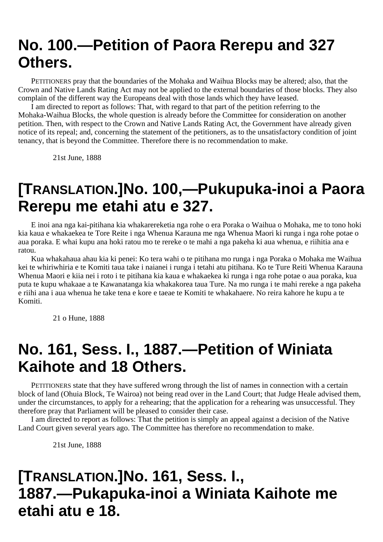### **No. 100.—Petition of Paora Rerepu and 327 Others.**

PETITIONERS pray that the boundaries of the Mohaka and Waihua Blocks may be altered; also, that the Crown and Native Lands Rating Act may not be applied to the external boundaries of those blocks. They also complain of the different way the Europeans deal with those lands which they have leased.

I am directed to report as follows: That, with regard to that part of the petition referring to the Mohaka-Waihua Blocks, the whole question is already before the Committee for consideration on another petition. Then, with respect to the Crown and Native Lands Rating Act, the Government have already given notice of its repeal; and, concerning the statement of the petitioners, as to the unsatisfactory condition of joint tenancy, that is beyond the Committee. Therefore there is no recommendation to make.

21st June, 1888

### **[TRANSLATION.]No. 100,—Pukupuka-inoi a Paora Rerepu me etahi atu e 327.**

E inoi ana nga kai-pitihana kia whakarereketia nga rohe o era Poraka o Waihua o Mohaka, me to tono hoki kia kaua e whakaekea te Tore Reite i nga Whenua Karauna me nga Whenua Maori ki runga i nga rohe potae o aua poraka. E whai kupu ana hoki ratou mo te rereke o te mahi a nga pakeha ki aua whenua, e riihitia ana e ratou.

Kua whakahaua ahau kia ki penei: Ko tera wahi o te pitihana mo runga i nga Poraka o Mohaka me Waihua kei te whiriwhiria e te Komiti taua take i naianei i runga i tetahi atu pitihana. Ko te Ture Reiti Whenua Karauna Whenua Maori e kiia nei i roto i te pitihana kia kaua e whakaekea ki runga i nga rohe potae o aua poraka, kua puta te kupu whakaae a te Kawanatanga kia whakakorea taua Ture. Na mo runga i te mahi rereke a nga pakeha e riihi ana i aua whenua he take tena e kore e taeae te Komiti te whakahaere. No reira kahore he kupu a te Komiti.

21 o Hune, 1888

## **No. 161, Sess. I., 1887.—Petition of Winiata Kaihote and 18 Others.**

PETITIONERS state that they have suffered wrong through the list of names in connection with a certain block of land (Ohuia Block, Te Wairoa) not being read over in the Land Court; that Judge Heale advised them, under the circumstances, to apply for a rehearing; that the application for a rehearing was unsuccessful. They therefore pray that Parliament will be pleased to consider their case.

I am directed to report as follows: That the petition is simply an appeal against a decision of the Native Land Court given several years ago. The Committee has therefore no recommendation to make.

21st June, 1888

### **[TRANSLATION.]No. 161, Sess. I., 1887.—Pukapuka-inoi a Winiata Kaihote me etahi atu e 18.**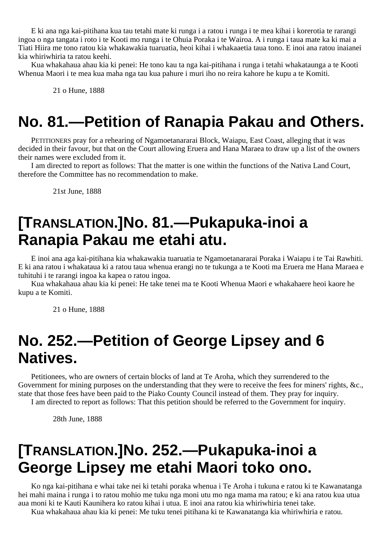E ki ana nga kai-pitihana kua tau tetahi mate ki runga i a ratou i runga i te mea kihai i korerotia te rarangi ingoa o nga tangata i roto i te Kooti mo runga i te Ohuia Poraka i te Wairoa. A i runga i taua mate ka ki mai a Tiati Hiira me tono ratou kia whakawakia tuaruatia, heoi kihai i whakaaetia taua tono. E inoi ana ratou inaianei kia whiriwhiria ta ratou keehi.

Kua whakahaua ahau kia ki penei: He tono kau ta nga kai-pitihana i runga i tetahi whakataunga a te Kooti Whenua Maori i te mea kua maha nga tau kua pahure i muri iho no reira kahore he kupu a te Komiti.

21 o Hune, 1888

### **No. 81.—Petition of Ranapia Pakau and Others.**

PETITIONERS pray for a rehearing of Ngamoetanararai Block, Waiapu, East Coast, alleging that it was decided in their favour, but that on the Court allowing Eruera and Hana Maraea to draw up a list of the owners their names were excluded from it.

I am directed to report as follows: That the matter is one within the functions of the Nativa Land Court, therefore the Committee has no recommendation to make.

21st June, 1888

### **[TRANSLATION.]No. 81.—Pukapuka-inoi a Ranapia Pakau me etahi atu.**

E inoi ana aga kai-pitihana kia whakawakia tuaruatia te Ngamoetanararai Poraka i Waiapu i te Tai Rawhiti. E ki ana ratou i whakataua ki a ratou taua whenua erangi no te tukunga a te Kooti ma Eruera me Hana Maraea e tuhituhi i te rarangi ingoa ka kapea o ratou ingoa.

Kua whakahaua ahau kia ki penei: He take tenei ma te Kooti Whenua Maori e whakahaere heoi kaore he kupu a te Komiti.

21 o Hune, 1888

#### **No. 252.—Petition of George Lipsey and 6 Natives.**

Petitionees, who are owners of certain blocks of land at Te Aroha, which they surrendered to the Government for mining purposes on the understanding that they were to receive the fees for miners' rights, &c., state that those fees have been paid to the Piako County Council instead of them. They pray for inquiry.

I am directed to report as follows: That this petition should be referred to the Government for inquiry.

28th June, 1888

## **[TRANSLATION.]No. 252.—Pukapuka-inoi a George Lipsey me etahi Maori toko ono.**

Ko nga kai-pitihana e whai take nei ki tetahi poraka whenua i Te Aroha i tukuna e ratou ki te Kawanatanga hei mahi maina i runga i to ratou mohio me tuku nga moni utu mo nga mama ma ratou; e ki ana ratou kua utua aua moni ki te Kauti Kaunihera ko ratou kihai i utua. E inoi ana ratou kia whiriwhiria tenei take.

Kua whakahaua ahau kia ki penei: Me tuku tenei pitihana ki te Kawanatanga kia whiriwhiria e ratou.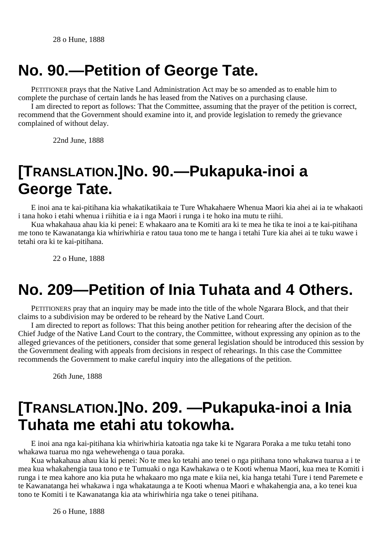### **No. 90.—Petition of George Tate.**

PETITIONER prays that the Native Land Administration Act may be so amended as to enable him to complete the purchase of certain lands he has leased from the Natives on a purchasing clause.

I am directed to report as follows: That the Committee, assuming that the prayer of the petition is correct, recommend that the Government should examine into it, and provide legislation to remedy the grievance complained of without delay.

22nd June, 1888

## **[TRANSLATION.]No. 90.—Pukapuka-inoi a George Tate.**

E inoi ana te kai-pitihana kia whakatikatikaia te Ture Whakahaere Whenua Maori kia ahei ai ia te whakaoti i tana hoko i etahi whenua i riihitia e ia i nga Maori i runga i te hoko ina mutu te riihi.

Kua whakahaua ahau kia ki penei: E whakaaro ana te Komiti ara ki te mea he tika te inoi a te kai-pitihana me tono te Kawanatanga kia whiriwhiria e ratou taua tono me te hanga i tetahi Ture kia ahei ai te tuku wawe i tetahi ora ki te kai-pitihana.

22 o Hune, 1888

## **No. 209—Petition of Inia Tuhata and 4 Others.**

PETITIONERS pray that an inquiry may be made into the title of the whole Ngarara Block, and that their claims to a subdivision may be ordered to be reheard by the Native Land Court.

I am directed to report as follows: That this being another petition for rehearing after the decision of the Chief Judge of the Native Land Court to the contrary, the Committee, without expressing any opinion as to the alleged grievances of the petitioners, consider that some general legislation should be introduced this session by the Government dealing with appeals from decisions in respect of rehearings. In this case the Committee recommends the Government to make careful inquiry into the allegations of the petition.

26th June, 1888

## **[TRANSLATION.]No. 209. —Pukapuka-inoi a Inia Tuhata me etahi atu tokowha.**

E inoi ana nga kai-pitihana kia whiriwhiria katoatia nga take ki te Ngarara Poraka a me tuku tetahi tono whakawa tuarua mo nga wehewehenga o taua poraka.

Kua whakahaua ahau kia ki penei: No te mea ko tetahi ano tenei o nga pitihana tono whakawa tuarua a i te mea kua whakahengia taua tono e te Tumuaki o nga Kawhakawa o te Kooti whenua Maori, kua mea te Komiti i runga i te mea kahore ano kia puta he whakaaro mo nga mate e kiia nei, kia hanga tetahi Ture i tend Paremete e te Kawanatanga hei whakawa i nga whakataunga a te Kooti whenua Maori e whakahengia ana, a ko tenei kua tono te Komiti i te Kawanatanga kia ata whiriwhiria nga take o tenei pitihana.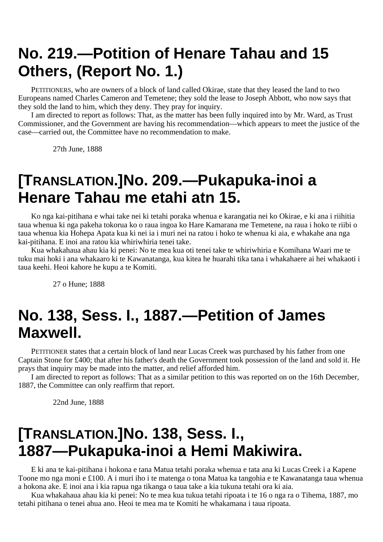## **No. 219.—Potition of Henare Tahau and 15 Others, (Report No. 1.)**

PETITIONERS, who are owners of a block of land called Okirae, state that they leased the land to two Europeans named Charles Cameron and Temetene; they sold the lease to Joseph Abbott, who now says that they sold the land to him, which they deny. They pray for inquiry.

I am directed to report as follows: That, as the matter has been fully inquired into by Mr. Ward, as Trust Commissioner, and the Government are having his recommendation—which appears to meet the justice of the case—carried out, the Committee have no recommendation to make.

27th June, 1888

### **[TRANSLATION.]No. 209.—Pukapuka-inoi a Henare Tahau me etahi atn 15.**

Ko nga kai-pitihana e whai take nei ki tetahi poraka whenua e karangatia nei ko Okirae, e ki ana i riihitia taua whenua ki nga pakeha tokorua ko o raua ingoa ko Hare Kamarana me Temetene, na raua i hoko te riibi o taua whenua kia Hohepa Apata kua ki nei ia i muri nei na ratou i hoko te whenua ki aia, e whakahe ana nga kai-pitihana. E inoi ana ratou kia whiriwhiria tenei take.

Kua whakahaua ahau kia ki penei: No te mea kua oti tenei take te whiriwhiria e Komihana Waari me te tuku mai hoki i ana whakaaro ki te Kawanatanga, kua kitea he huarahi tika tana i whakahaere ai hei whakaoti i taua keehi. Heoi kahore he kupu a te Komiti.

27 o Hune; 1888

### **No. 138, Sess. I., 1887.—Petition of James Maxwell.**

PETITIONER states that a certain block of land near Lucas Creek was purchased by his father from one Captain Stone for £400; that after his father's death the Government took possession of the land and sold it. He prays that inquiry may be made into the matter, and relief afforded him.

I am directed to report as follows: That as a similar petition to this was reported on on the 16th December, 1887, the Committee can only reaffirm that report.

22nd June, 1888

#### **[TRANSLATION.]No. 138, Sess. I., 1887—Pukapuka-inoi a Hemi Makiwira.**

E ki ana te kai-pitihana i hokona e tana Matua tetahi poraka whenua e tata ana ki Lucas Creek i a Kapene Toone mo nga moni e £100. A i muri iho i te matenga o tona Matua ka tangohia e te Kawanatanga taua whenua a hokona ake. E inoi ana i kia rapua nga tikanga o taua take a kia tukuna tetahi ora ki aia.

Kua whakahaua ahau kia ki penei: No te mea kua tukua tetahi ripoata i te 16 o nga ra o Tihema, 1887, mo tetahi pitihana o tenei ahua ano. Heoi te mea ma te Komiti he whakamana i taua ripoata.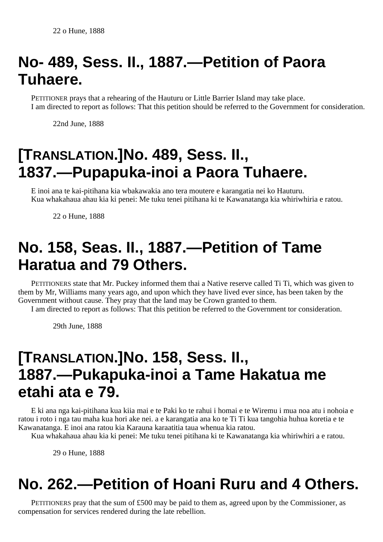# **No- 489, Sess. II., 1887.—Petition of Paora Tuhaere.**

PETITIONER prays that a rehearing of the Hauturu or Little Barrier Island may take place. I am directed to report as follows: That this petition should be referred to the Government for consideration.

22nd June, 1888

# **[TRANSLATION.]No. 489, Sess. II., 1837.—Pupapuka-inoi a Paora Tuhaere.**

E inoi ana te kai-pitihana kia wbakawakia ano tera moutere e karangatia nei ko Hauturu. Kua whakahaua ahau kia ki penei: Me tuku tenei pitihana ki te Kawanatanga kia whiriwhiria e ratou.

22 o Hune, 1888

# **No. 158, Seas. II., 1887.—Petition of Tame Haratua and 79 Others.**

PETITIONERS state that Mr. Puckey informed them thai a Native reserve called Ti Ti, which was given to them by Mr, Williams many years ago, and upon which they have lived ever since, has been taken by the Government without cause. They pray that the land may be Crown granted to them.

I am directed to report as follows: That this petition be referred to the Government tor consideration.

29th June, 1888

## **[TRANSLATION.]No. 158, Sess. II., 1887.—Pukapuka-inoi a Tame Hakatua me etahi ata e 79.**

E ki ana nga kai-pitihana kua kiia mai e te Paki ko te rahui i homai e te Wiremu i mua noa atu i nohoia e ratou i roto i nga tau maha kua hori ake nei. a e karangatia ana ko te Ti Ti kua tangohia huhua koretia e te Kawanatanga. E inoi ana ratou kia Karauna karaatitia taua whenua kia ratou.

Kua whakahaua ahau kia ki penei: Me tuku tenei pitihana ki te Kawanatanga kia whiriwhiri a e ratou.

29 o Hune, 1888

## **No. 262.—Petition of Hoani Ruru and 4 Others.**

PETITIONERS pray that the sum of £500 may be paid to them as, agreed upon by the Commissioner, as compensation for services rendered during the late rebellion.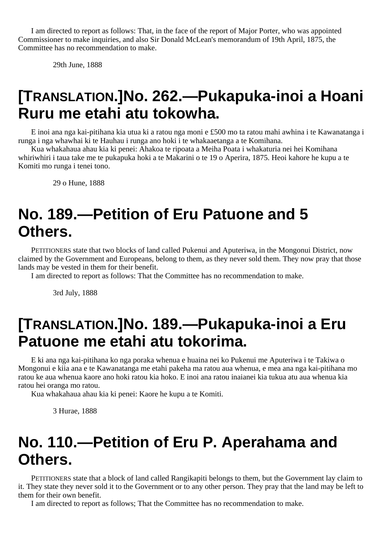I am directed to report as follows: That, in the face of the report of Major Porter, who was appointed Commissioner to make inquiries, and also Sir Donald McLean's memorandum of 19th April, 1875, the Committee has no recommendation to make.

29th June, 1888

## **[TRANSLATION.]No. 262.—Pukapuka-inoi a Hoani Ruru me etahi atu tokowha.**

E inoi ana nga kai-pitihana kia utua ki a ratou nga moni e £500 mo ta ratou mahi awhina i te Kawanatanga i runga i nga whawhai ki te Hauhau i runga ano hoki i te whakaaetanga a te Komihana.

Kua whakahaua ahau kia ki penei: Ahakoa te ripoata a Meiha Poata i whakaturia nei hei Komihana whiriwhiri i taua take me te pukapuka hoki a te Makarini o te 19 o Aperira, 1875. Heoi kahore he kupu a te Komiti mo runga i tenei tono.

29 o Hune, 1888

### **No. 189.—Petition of Eru Patuone and 5 Others.**

PETITIONERS state that two blocks of land called Pukenui and Aputeriwa, in the Mongonui District, now claimed by the Government and Europeans, belong to them, as they never sold them. They now pray that those lands may be vested in them for their benefit.

I am directed to report as follows: That the Committee has no recommendation to make.

3rd July, 1888

### **[TRANSLATION.]No. 189.—Pukapuka-inoi a Eru Patuone me etahi atu tokorima.**

E ki ana nga kai-pitihana ko nga poraka whenua e huaina nei ko Pukenui me Aputeriwa i te Takiwa o Mongonui e kiia ana e te Kawanatanga me etahi pakeha ma ratou aua whenua, e mea ana nga kai-pitihana mo ratou ke aua whenua kaore ano hoki ratou kia hoko. E inoi ana ratou inaianei kia tukua atu aua whenua kia ratou hei oranga mo ratou.

Kua whakahaua ahau kia ki penei: Kaore he kupu a te Komiti.

3 Hurae, 1888

#### **No. 110.—Petition of Eru P. Aperahama and Others.**

PETITIONERS state that a block of land called Rangikapiti belongs to them, but the Government lay claim to it. They state they never sold it to the Government or to any other person. They pray that the land may be left to them for their own benefit.

I am directed to report as follows; That the Committee has no recommendation to make.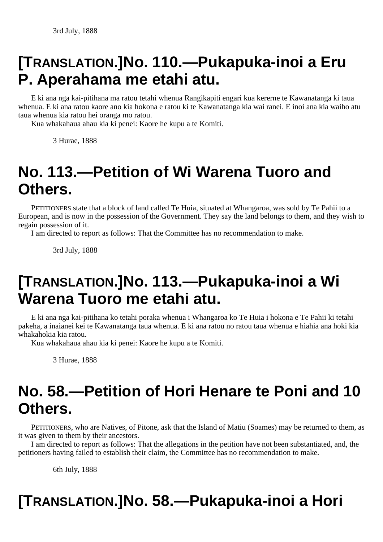# **[TRANSLATION.]No. 110.—Pukapuka-inoi a Eru P. Aperahama me etahi atu.**

E ki ana nga kai-pitihana ma ratou tetahi whenua Rangikapiti engari kua kererne te Kawanatanga ki taua whenua. E ki ana ratou kaore ano kia hokona e ratou ki te Kawanatanga kia wai ranei. E inoi ana kia waiho atu taua whenua kia ratou hei oranga mo ratou.

Kua whakahaua ahau kia ki penei: Kaore he kupu a te Komiti.

3 Hurae, 1888

## **No. 113.—Petition of Wi Warena Tuoro and Others.**

PETITIONERS state that a block of land called Te Huia, situated at Whangaroa, was sold by Te Pahii to a European, and is now in the possession of the Government. They say the land belongs to them, and they wish to regain possession of it.

I am directed to report as follows: That the Committee has no recommendation to make.

3rd July, 1888

## **[TRANSLATION.]No. 113.—Pukapuka-inoi a Wi Warena Tuoro me etahi atu.**

E ki ana nga kai-pitihana ko tetahi poraka whenua i Whangaroa ko Te Huia i hokona e Te Pahii ki tetahi pakeha, a inaianei kei te Kawanatanga taua whenua. E ki ana ratou no ratou taua whenua e hiahia ana hoki kia whakahokia kia ratou.

Kua whakahaua ahau kia ki penei: Kaore he kupu a te Komiti.

3 Hurae, 1888

## **No. 58.—Petition of Hori Henare te Poni and 10 Others.**

PETITIONERS, who are Natives, of Pitone, ask that the Island of Matiu (Soames) may be returned to them, as it was given to them by their ancestors.

I am directed to report as follows: That the allegations in the petition have not been substantiated, and, the petitioners having failed to establish their claim, the Committee has no recommendation to make.

6th July, 1888

# **[TRANSLATION.]No. 58.—Pukapuka-inoi a Hori**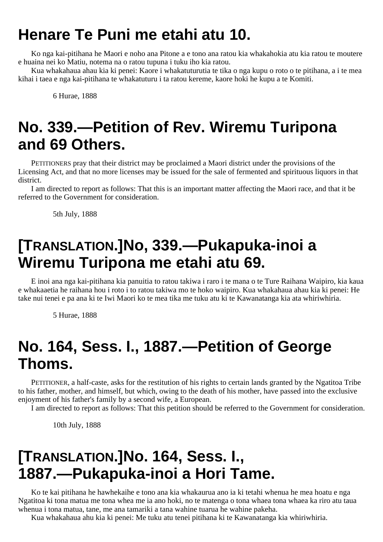## **Henare Te Puni me etahi atu 10.**

Ko nga kai-pitihana he Maori e noho ana Pitone a e tono ana ratou kia whakahokia atu kia ratou te moutere e huaina nei ko Matiu, notema na o ratou tupuna i tuku iho kia ratou.

Kua whakahaua ahau kia ki penei: Kaore i whakatuturutia te tika o nga kupu o roto o te pitihana, a i te mea kihai i taea e nga kai-pitihana te whakatuturu i ta ratou kereme, kaore hoki he kupu a te Komiti.

6 Hurae, 1888

## **No. 339.—Petition of Rev. Wiremu Turipona and 69 Others.**

PETITIONERS pray that their district may be proclaimed a Maori district under the provisions of the Licensing Act, and that no more licenses may be issued for the sale of fermented and spirituous liquors in that district.

I am directed to report as follows: That this is an important matter affecting the Maori race, and that it be referred to the Government for consideration.

5th July, 1888

### **[TRANSLATION.]No, 339.—Pukapuka-inoi a Wiremu Turipona me etahi atu 69.**

E inoi ana nga kai-pitihana kia panuitia to ratou takiwa i raro i te mana o te Ture Raihana Waipiro, kia kaua e whakaaetia he raihana hou i roto i to ratou takiwa mo te hoko waipiro. Kua whakahaua ahau kia ki penei: He take nui tenei e pa ana ki te Iwi Maori ko te mea tika me tuku atu ki te Kawanatanga kia ata whiriwhiria.

5 Hurae, 1888

# **No. 164, Sess. I., 1887.—Petition of George Thoms.**

PETITIONER, a half-caste, asks for the restitution of his rights to certain lands granted by the Ngatitoa Tribe to his father, mother, and himself, but which, owing to the death of his mother, have passed into the exclusive enjoyment of his father's family by a second wife, a European.

I am directed to report as follows: That this petition should be referred to the Government for consideration.

10th July, 1888

## **[TRANSLATION.]No. 164, Sess. I., 1887.—Pukapuka-inoi a Hori Tame.**

Ko te kai pitihana he hawhekaihe e tono ana kia whakaurua ano ia ki tetahi whenua he mea hoatu e nga Ngatitoa ki tona matua me tona whea me ia ano hoki, no te matenga o tona whaea tona whaea ka riro atu taua whenua i tona matua, tane, me ana tamariki a tana wahine tuarua he wahine pakeha.

Kua whakahaua ahu kia ki penei: Me tuku atu tenei pitihana ki te Kawanatanga kia whiriwhiria.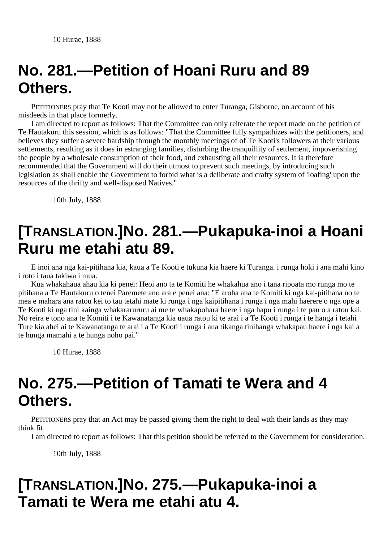## **No. 281.—Petition of Hoani Ruru and 89 Others.**

PETITIONERS pray that Te Kooti may not be allowed to enter Turanga, Gisborne, on account of his misdeeds in that place formerly.

I am directed to report as follows: That the Committee can only reiterate the report made on the petition of Te Hautakuru this session, which is as follows: "That the Committee fully sympathizes with the petitioners, and believes they suffer a severe hardship through the monthly meetings of of Te Kooti's followers at their various settlements, resulting as it does in estranging families, disturbing the tranquillity of settlement, impoverishing the people by a wholesale consumption of their food, and exhausting all their resources. It ia therefore recommended that the Government will do their utmost to prevent such meetings, by introducing such legislation as shall enable the Government to forbid what is a deliberate and crafty system of 'loafing' upon the resources of the thrifty and well-disposed Natives."

10th July, 1888

## **[TRANSLATION.]No. 281.—Pukapuka-inoi a Hoani Ruru me etahi atu 89.**

E inoi ana nga kai-pitihana kia, kaua a Te Kooti e tukuna kia haere ki Turanga. i runga hoki i ana mahi kino i roto i taua takiwa i mua.

Kua whakahaua ahau kia ki penei: Heoi ano ta te Komiti he whakahua ano i tana ripoata mo runga mo te pitihana a Te Hautakuru o tenei Paremete ano ara e penei ana: "E aroha ana te Komiti ki nga kai-pitihana no te mea e mahara ana ratou kei to tau tetahi mate ki runga i nga kaipitihana i runga i nga mahi haerere o nga ope a Te Kooti ki nga tini kainga whakararururu ai me te whakapohara haere i nga hapu i runga i te pau o a ratou kai. No reira e tono ana te Komiti i te Kawanatanga kia uaua ratou ki te arai i a Te Kooti i runga i te hanga i tetahi Ture kia ahei ai te Kawanatanga te arai i a Te Kooti i runga i aua tikanga tinihanga whakapau haere i nga kai a te hunga mamahi a te hunga noho pai."

10 Hurae, 1888

### **No. 275.—Petition of Tamati te Wera and 4 Others.**

PETITIONERS pray that an Act may be passed giving them the right to deal with their lands as they may think fit.

I am directed to report as follows: That this petition should be referred to the Government for consideration.

10th July, 1888

## **[TRANSLATION.]No. 275.—Pukapuka-inoi a Tamati te Wera me etahi atu 4.**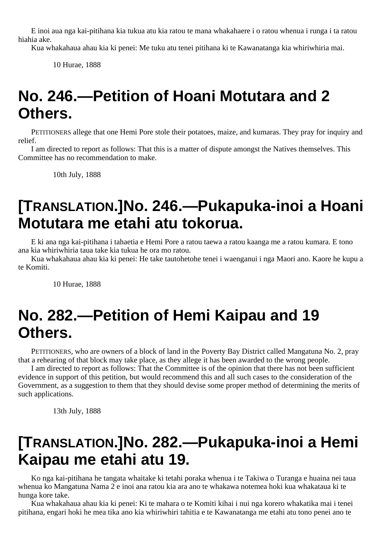E inoi aua nga kai-pitihana kia tukua atu kia ratou te mana whakahaere i o ratou whenua i runga i ta ratou hiahia ake.

Kua whakahaua ahau kia ki penei: Me tuku atu tenei pitihana ki te Kawanatanga kia whiriwhiria mai.

10 Hurae, 1888

## **No. 246.—Petition of Hoani Motutara and 2 Others.**

PETITIONERS allege that one Hemi Pore stole their potatoes, maize, and kumaras. They pray for inquiry and relief.

I am directed to report as follows: That this is a matter of dispute amongst the Natives themselves. This Committee has no recommendation to make.

10th July, 1888

## **[TRANSLATION.]No. 246.—Pukapuka-inoi a Hoani Motutara me etahi atu tokorua.**

E ki ana nga kai-pitihana i tahaetia e Hemi Pore a ratou taewa a ratou kaanga me a ratou kumara. E tono ana kia whiriwhiria taua take kia tukua he ora mo ratou.

Kua whakahaua ahau kia ki penei: He take tautohetohe tenei i waenganui i nga Maori ano. Kaore he kupu a te Komiti.

10 Hurae, 1888

### **No. 282.—Petition of Hemi Kaipau and 19 Others.**

PETITIONERS, who are owners of a block of land in the Poverty Bay District called Mangatuna No. 2, pray that a rehearing of that block may take place, as they allege it has been awarded to the wrong people.

I am directed to report as follows: That the Committee is of the opinion that there has not been sufficient evidence in support of this petition, but would recommend this and all such cases to the consideration of the Government, as a suggestion to them that they should devise some proper method of determining the merits of such applications.

13th July, 1888

## **[TRANSLATION.]No. 282.—Pukapuka-inoi a Hemi Kaipau me etahi atu 19.**

Ko nga kai-pitihana he tangata whaitake ki tetahi poraka whenua i te Takiwa o Turanga e huaina nei taua whenua ko Mangatuna Nama 2 e inoi ana ratou kia ara ano te whakawa notemea hoki kua whakataua ki te hunga kore take.

Kua whakahaua ahau kia ki penei: Ki te mahara o te Komiti kihai i nui nga korero whakatika mai i tenei pitihana, engari hoki he mea tika ano kia whiriwhiri tahitia e te Kawanatanga me etahi atu tono penei ano te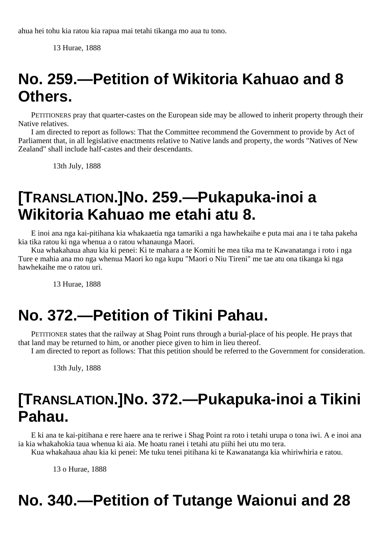ahua hei tohu kia ratou kia rapua mai tetahi tikanga mo aua tu tono.

13 Hurae, 1888

# **No. 259.—Petition of Wikitoria Kahuao and 8 Others.**

PETITIONERS pray that quarter-castes on the European side may be allowed to inherit property through their Native relatives.

I am directed to report as follows: That the Committee recommend the Government to provide by Act of Parliament that, in all legislative enactments relative to Native lands and property, the words "Natives of New Zealand" shall include half-castes and their descendants.

13th July, 1888

## **[TRANSLATION.]No. 259.—Pukapuka-inoi a Wikitoria Kahuao me etahi atu 8.**

E inoi ana nga kai-pitihana kia whakaaetia nga tamariki a nga hawhekaihe e puta mai ana i te taha pakeha kia tika ratou ki nga whenua a o ratou whanaunga Maori.

Kua whakahaua ahau kia ki penei: Ki te mahara a te Komiti he mea tika ma te Kawanatanga i roto i nga Ture e mahia ana mo nga whenua Maori ko nga kupu "Maori o Niu Tireni" me tae atu ona tikanga ki nga hawhekaihe me o ratou uri.

13 Hurae, 1888

## **No. 372.—Petition of Tikini Pahau.**

PETITIONER states that the railway at Shag Point runs through a burial-place of his people. He prays that that land may be returned to him, or another piece given to him in lieu thereof.

I am directed to report as follows: That this petition should be referred to the Government for consideration.

13th July, 1888

## **[TRANSLATION.]No. 372.—Pukapuka-inoi a Tikini Pahau.**

E ki ana te kai-pitihana e rere haere ana te reriwe i Shag Point ra roto i tetahi urupa o tona iwi. A e inoi ana ia kia whakahokia taua whenua ki aia. Me hoatu ranei i tetahi atu piihi hei utu mo tera.

Kua whakahaua ahau kia ki penei: Me tuku tenei pitihana ki te Kawanatanga kia whiriwhiria e ratou.

13 o Hurae, 1888

## **No. 340.—Petition of Tutange Waionui and 28**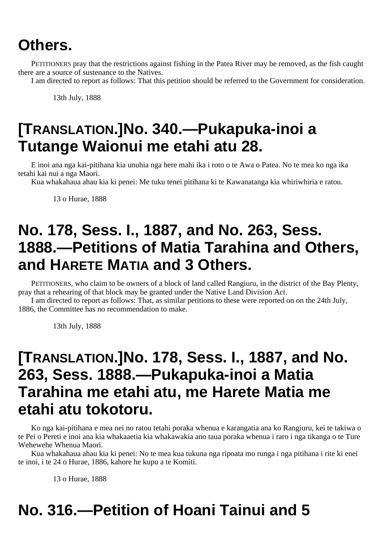#### **Others.**

PETITIONERS pray that the restrictions against fishing in the Patea River may be removed, as the fish caught there are a source of sustenance to the Natives.

I am directed to report as follows: That this petition should be referred to the Government for consideration.

13th July, 1888

### **[TRANSLATION.]No. 340.—Pukapuka-inoi a Tutange Waionui me etahi atu 28.**

E inoi ana nga kai-pitihana kia unuhia nga here mahi ika i roto o te Awa o Patea. No te mea ko nga ika tetahi kai nui a nga Maori.

Kua whakahaua ahau kia ki penei: Me tuku tenei pitihana ki te Kawanatanga kia whiriwhiria e ratou.

13 o Hurae, 1888

#### **No. 178, Sess. I., 1887, and No. 263, Sess. 1888.—Petitions of Matia Tarahina and Others, and HARETE MATIA and 3 Others.**

PETITIONERS, who claim to be owners of a block of land called Rangiuru, in the district of the Bay Plenty, pray that a rehearing of that block may be granted under the Native Land Division Act.

I am directed to report as follows: That, as similar petitions to these were reported on on the 24th July, 1886, the Committee has no recommendation to make.

13th July, 1888

#### **[TRANSLATION.]No. 178, Sess. I., 1887, and No. 263, Sess. 1888.—Pukapuka-inoi a Matia Tarahina me etahi atu, me Harete Matia me etahi atu tokotoru.**

Ko nga kai-pitihana e mea nei no ratou tetahi poraka whenua e karangatia ana ko Rangiuru, kei te takiwa o te Pei o Pereti e inoi ana kia whakaaetia kia whakawakia ano taua poraka whenua i raro i nga tikanga o te Ture Wehewehe Whenua Maori.

Kua whakahaua ahau kia ki penei: No te mea kua tukuna nga ripoata mo runga i nga pitihana i rite ki enei te inoi, i te 24 o Hurae, 1886, kahore he kupu a te Komiti.

13 o Hurae, 1888

# **No. 316.—Petition of Hoani Tainui and 5**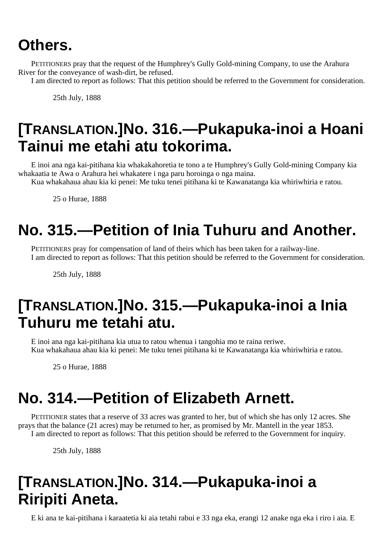# **Others.**

PETITIONERS pray that the request of the Humphrey's Gully Gold-mining Company, to use the Arahura River for the conveyance of wash-dirt, be refused.

I am directed to report as follows: That this petition should be referred to the Government for consideration.

25th July, 1888

# **[TRANSLATION.]No. 316.—Pukapuka-inoi a Hoani Tainui me etahi atu tokorima.**

E inoi ana nga kai-pitihana kia whakakahoretia te tono a te Humphrey's Gully Gold-mining Company kia whakaatia te Awa o Arahura hei whakatere i nga paru horoinga o nga maina.

Kua whakahaua ahau kia ki penei: Me tuku tenei pitihana ki te Kawanatanga kia whiriwhiria e ratou.

25 o Hurae, 1888

# **No. 315.—Petition of Inia Tuhuru and Another.**

PETITIONERS pray for compensation of land of theirs which has been taken for a railway-line. I am directed to report as follows: That this petition should be referred to the Government for consideration.

25th July, 1888

# **[TRANSLATION.]No. 315.—Pukapuka-inoi a Inia Tuhuru me tetahi atu.**

E inoi ana nga kai-pitihana kia utua to ratou whenua i tangohia mo te raina reriwe. Kua whakahaua ahau kia ki penei: Me tuku tenei pitihana ki te Kawanatanga kia whiriwhiria e ratou.

25 o Hurae, 1888

# **No. 314.—Petition of Elizabeth Arnett.**

PETITIONER states that a reserve of 33 acres was granted to her, but of which she has only 12 acres. She prays that the balance (21 acres) may be returned to her, as promised by Mr. Mantell in the year 1853. I am directed to report as follows: That this petition should be referred to the Government for inquiry.

25th July, 1888

# **[TRANSLATION.]No. 314.—Pukapuka-inoi a Riripiti Aneta.**

E ki ana te kai-pitihana i karaatetia ki aia tetahi rabui e 33 nga eka, erangi 12 anake nga eka i riro i aia. E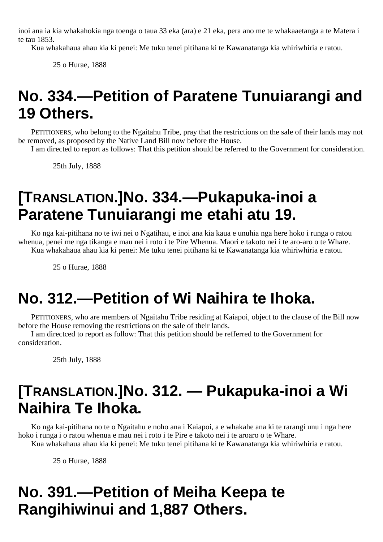inoi ana ia kia whakahokia nga toenga o taua 33 eka (ara) e 21 eka, pera ano me te whakaaetanga a te Matera i te tau 1853.

Kua whakahaua ahau kia ki penei: Me tuku tenei pitihana ki te Kawanatanga kia whiriwhiria e ratou.

25 o Hurae, 1888

# **No. 334.—Petition of Paratene Tunuiarangi and 19 Others.**

PETITIONERS, who belong to the Ngaitahu Tribe, pray that the restrictions on the sale of their lands may not be removed, as proposed by the Native Land Bill now before the House.

I am directed to report as follows: That this petition should be referred to the Government for consideration.

25th July, 1888

# **[TRANSLATION.]No. 334.—Pukapuka-inoi a Paratene Tunuiarangi me etahi atu 19.**

Ko nga kai-pitihana no te iwi nei o Ngatihau, e inoi ana kia kaua e unuhia nga here hoko i runga o ratou whenua, penei me nga tikanga e mau nei i roto i te Pire Whenua. Maori e takoto nei i te aro-aro o te Whare. Kua whakahaua ahau kia ki penei: Me tuku tenei pitihana ki te Kawanatanga kia whiriwhiria e ratou.

25 o Hurae, 1888

### **No. 312.—Petition of Wi Naihira te Ihoka.**

PETITIONERS, who are members of Ngaitahu Tribe residing at Kaiapoi, object to the clause of the Bill now before the House removing the restrictions on the sale of their lands.

I am directced to report as follow: That this petition should be refferred to the Government for consideration.

25th July, 1888

### **[TRANSLATION.]No. 312. — Pukapuka-inoi a Wi Naihira Te Ihoka.**

Ko nga kai-pitihana no te o Ngaitahu e noho ana i Kaiapoi, a e whakahe ana ki te rarangi unu i nga here hoko i runga i o ratou whenua e mau nei i roto i te Pire e takoto nei i te aroaro o te Whare.

Kua whakahaua ahau kia ki penei: Me tuku tenei pitihana ki te Kawanatanga kia whiriwhiria e ratou.

25 o Hurae, 1888

# **No. 391.—Petition of Meiha Keepa te Rangihiwinui and 1,887 Others.**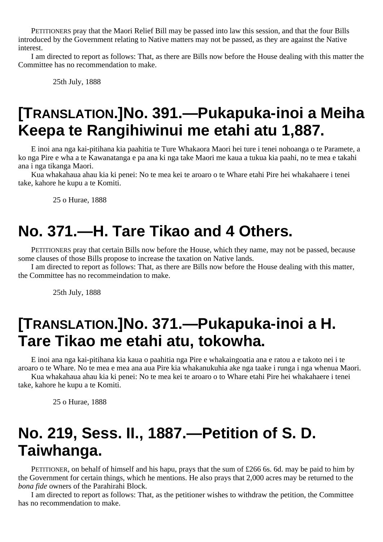PETITIONERS pray that the Maori Relief Bill may be passed into law this session, and that the four Bills introduced by the Government relating to Native matters may not be passed, as they are against the Native interest.

I am directed to report as follows: That, as there are Bills now before the House dealing with this matter the Committee has no recommendation to make.

25th July, 1888

#### **[TRANSLATION.]No. 391.—Pukapuka-inoi a Meiha Keepa te Rangihiwinui me etahi atu 1,887.**

E inoi ana nga kai-pitihana kia paahitia te Ture Whakaora Maori hei ture i tenei nohoanga o te Paramete, a ko nga Pire e wha a te Kawanatanga e pa ana ki nga take Maori me kaua a tukua kia paahi, no te mea e takahi ana i nga tikanga Maori.

Kua whakahaua ahau kia ki penei: No te mea kei te aroaro o te Whare etahi Pire hei whakahaere i tenei take, kahore he kupu a te Komiti.

25 o Hurae, 1888

### **No. 371.—H. Tare Tikao and 4 Others.**

PETITIONERS pray that certain Bills now before the House, which they name, may not be passed, because some clauses of those Bills propose to increase the taxation on Native lands.

I am directed to report as follows: That, as there are Bills now before the House dealing with this matter, the Committee has no recommeindation to make.

25th July, 1888

#### **[TRANSLATION.]No. 371.—Pukapuka-inoi a H. Tare Tikao me etahi atu, tokowha.**

E inoi ana nga kai-pitihana kia kaua o paahitia nga Pire e whakaingoatia ana e ratou a e takoto nei i te aroaro o te Whare. No te mea e mea ana aua Pire kia whakanukuhia ake nga taake i runga i nga whenua Maori.

Kua whakahaua ahau kia ki penei: No te mea kei te aroaro o to Whare etahi Pire hei whakahaere i tenei take, kahore he kupu a te Komiti.

25 o Hurae, 1888

#### **No. 219, Sess. II., 1887.—Petition of S. D. Taiwhanga.**

PETITIONER, on behalf of himself and his hapu, prays that the sum of £266 6s. 6d. may be paid to him by the Government for certain things, which he mentions. He also prays that 2,000 acres may be returned to the *bona fide* owners of the Parahirahi Block.

I am directed to report as follows: That, as the petitioner wishes to withdraw the petition, the Committee has no recommendation to make.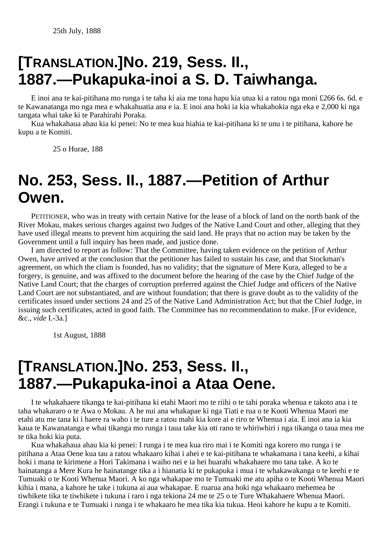# **[TRANSLATION.]No. 219, Sess. II., 1887.—Pukapuka-inoi a S. D. Taiwhanga.**

E inoi ana te kai-pitihana mo runga i te taha ki aia me tona hapu kia utua ki a ratou nga moni £266 6s. 6d. e te Kawanatanga mo nga mea e whakahuatia ana e ia. E inoi ana hoki ia kia whakahokia nga eka e 2,000 ki nga tangata whai take ki te Parahirahi Poraka.

Kua whakahaua ahau kia ki penei: No te mea kua hiahia te kai-pitihana ki te unu i te pitihana, kahore he kupu a te Komiti.

25 o Hurae, 188

#### **No. 253, Sess. II., 1887.—Petition of Arthur Owen.**

PETITIONER, who was in treaty with certain Native for the lease of a block of land on the north bank of the River Mokau, makes serious charges against two Judges of the Native Land Court and other, alleging that they have used illegal means to prevent him acquiring the said land. He prays that no action may be taken by the Government until a full inquiry has been made, and justice done.

I am directed to report as follow: That the Committee, having taken evidence on the petition of Arthur Owen, have arrived at the conclusion that the petitioner has failed to sustain his case, and that Stockman's agreement, on which the cliam is founded, has no validity; that the signature of Mere Kura, alleged to be a forgery, is genuine, and was affixed to the document before the hearing of the case by the Chief Judge of the Native Land Court; that the charges of corruption preferred against the Chief Judge and officers of the Native Land Court are not substantiated, and are without foundation; that there is grave doubt as to the validity of the certificates issued under sections 24 and 25 of the Native Land Administration Act; but that the Chief Judge, in issuing such certificates, acted in good faith. The Committee has no recommendation to make. [For evidence, &c., *vide* I.-3a.]

1st August, 1888

#### **[TRANSLATION.]No. 253, Sess. II., 1887.—Pukapuka-inoi a Ataa Oene.**

I te whakahaere tikanga te kai-pitihana ki etahi Maori mo te riihi o te tahi poraka whenua e takoto ana i te taha whakararo o te Awa o Mokau. A he nui ana whakapae ki nga Tiati e rua o te Kooti Whenua Maori me etahi atu me tana ki i haere ra waho i te ture a ratou mahi kia kore ai e riro te Whenua i aia. E inoi ana ia kia kaua te Kawanatanga e whai tikanga mo runga i taua take kia oti rano te whiriwhiri i nga tikanga o taua mea me te tika hoki kia puta.

Kua whakahaua ahau kia ki penei: I runga i te mea kua riro mai i te Komiti nga korero mo runga i te pitihana a Ataa Oene kua tau a ratou whakaaro kihai i ahei e te kai-pitihana te whakamana i tana keehi, a kihai hoki i mana te kirimene a Hori Takimana i waiho nei e ia hei huarahi whakahaere mo tana take. A ko te hainatanga a Mere Kura he hainatange tika a i hianatia ki te pukapuka i mua i te whakawakanga o te keehi e te Tumuaki o te Kooti Whenua Maori. A ko nga whakapae mo te Tumuaki me atu apiha o te Kooti Whenua Maori kihia i mana, a kahore he take i tukuna ai aua whakapae. E ruarua ana hoki nga whakaaro mehemea he tiwhikete tika te tiwhikete i tukuna i raro i nga tekiona 24 me te 25 o te Ture Whakahaere Whenua Maori. Erangi i tukuna e te Tumuaki i runga i te whakaaro he mea tika kia tukua. Heoi kahore he kupu a te Komiti.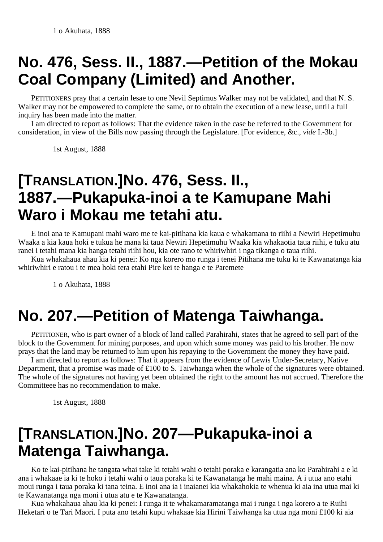# **No. 476, Sess. II., 1887.—Petition of the Mokau Coal Company (Limited) and Another.**

PETITIONERS pray that a certain lesae to one Nevil Septimus Walker may not be validated, and that N. S. Walker may not be empowered to complete the same, or to obtain the execution of a new lease, until a full inquiry has been made into the matter.

I am directed to report as follows: That the evidence taken in the case be referred to the Government for consideration, in view of the Bills now passing through the Legislature. [For evidence, &c., *vide* I.-3b.]

1st August, 1888

# **[TRANSLATION.]No. 476, Sess. II., 1887.—Pukapuka-inoi a te Kamupane Mahi Waro i Mokau me tetahi atu.**

E inoi ana te Kamupani mahi waro me te kai-pitihana kia kaua e whakamana to riihi a Newiri Hepetimuhu Waaka a kia kaua hoki e tukua he mana ki taua Newiri Hepetimuhu Waaka kia whakaotia taua riihi, e tuku atu ranei i tetahi mana kia hanga tetahi riihi hou, kia ote rano te whiriwhiri i nga tikanga o taua riihi.

Kua whakahaua ahau kia ki penei: Ko nga korero mo runga i tenei Pitihana me tuku ki te Kawanatanga kia whiriwhiri e ratou i te mea hoki tera etahi Pire kei te hanga e te Paremete

1 o Akuhata, 1888

# **No. 207.—Petition of Matenga Taiwhanga.**

PETITIONER, who is part owner of a block of land called Parahirahi, states that he agreed to sell part of the block to the Government for mining purposes, and upon which some money was paid to his brother. He now prays that the land may be returned to him upon his repaying to the Government the money they have paid.

I am directed to report as follows: That it appears from the evidence of Lewis Under-Secretary, Native Department, that a promise was made of £100 to S. Taiwhanga when the whole of the signatures were obtained. The whole of the signatures not having yet been obtained the right to the amount has not accrued. Therefore the Committeee has no recommendation to make.

1st August, 1888

### **[TRANSLATION.]No. 207—Pukapuka-inoi a Matenga Taiwhanga.**

Ko te kai-pitihana he tangata whai take ki tetahi wahi o tetahi poraka e karangatia ana ko Parahirahi a e ki ana i whakaae ia ki te hoko i tetahi wahi o taua poraka ki te Kawanatanga he mahi maina. A i utua ano etahi moui runga i taua poraka ki tana teina. E inoi ana ia i inaianei kia whakahokia te whenua ki aia ina utua mai ki te Kawanatanga nga moni i utua atu e te Kawanatanga.

Kua whakahaua ahau kia ki penei: I runga it te whakamaramatanga mai i runga i nga korero a te Ruihi Heketari o te Tari Maori. I puta ano tetahi kupu whakaae kia Hirini Taiwhanga ka utua nga moni £100 ki aia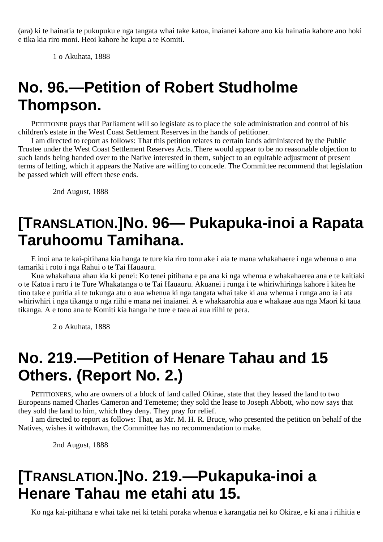(ara) ki te hainatia te pukupuku e nga tangata whai take katoa, inaianei kahore ano kia hainatia kahore ano hoki e tika kia riro moni. Heoi kahore he kupu a te Komiti.

1 o Akuhata, 1888

# **No. 96.—Petition of Robert Studholme Thompson.**

PETITIONER prays that Parliament will so legislate as to place the sole administration and control of his children's estate in the West Coast Settlement Reserves in the hands of petitioner.

I am directed to report as follows: That this petition relates to certain lands administered by the Public Trustee under the West Coast Settlement Reserves Acts. There would appear to be no reasonable objection to such lands being handed over to the Native interested in them, subject to an equitable adjustment of present terms of letting, which it appears the Native are willing to concede. The Committee recommend that legislation be passed which will effect these ends.

2nd August, 1888

### **[TRANSLATION.]No. 96— Pukapuka-inoi a Rapata Taruhoomu Tamihana.**

E inoi ana te kai-pitihana kia hanga te ture kia riro tonu ake i aia te mana whakahaere i nga whenua o ana tamariki i roto i nga Rahui o te Tai Hauauru.

Kua whakahaua ahau kia ki penei: Ko tenei pitihana e pa ana ki nga whenua e whakahaerea ana e te kaitiaki o te Katoa i raro i te Ture Whakatanga o te Tai Hauauru. Akuanei i runga i te whiriwhiringa kahore i kitea he tino take e puritia ai te tukunga atu o aua whenua ki nga tangata whai take ki aua whenua i runga ano ia i ata whiriwhiri i nga tikanga o nga riihi e mana nei inaianei. A e whakaarohia aua e whakaae aua nga Maori ki taua tikanga. A e tono ana te Komiti kia hanga he ture e taea ai aua riihi te pera.

2 o Akuhata, 1888

# **No. 219.—Petition of Henare Tahau and 15 Others. (Report No. 2.)**

PETITIONERS, who are owners of a block of land called Okirae, state that they leased the land to two Europeans named Charles Cameron and Temeteme; they sold the lease to Joseph Abbott, who now says that they sold the land to him, which they deny. They pray for relief.

I am directed to report as follows: That, as Mr. M. H. R. Bruce, who presented the petition on behalf of the Natives, wishes it withdrawn, the Committee has no recommendation to make.

2nd August, 1888

#### **[TRANSLATION.]No. 219.—Pukapuka-inoi a Henare Tahau me etahi atu 15.**

Ko nga kai-pitihana e whai take nei ki tetahi poraka whenua e karangatia nei ko Okirae, e ki ana i riihitia e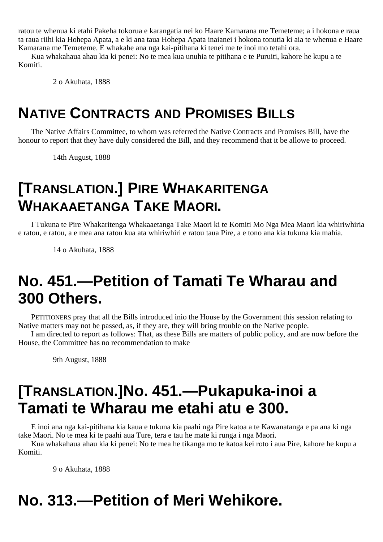ratou te whenua ki etahi Pakeha tokorua e karangatia nei ko Haare Kamarana me Temeteme; a i hokona e raua ta raua riihi kia Hohepa Apata, a e ki ana taua Hohepa Apata inaianei i hokona tonutia ki aia te whenua e Haare Kamarana me Temeteme. E whakahe ana nga kai-pitihana ki tenei me te inoi mo tetahi ora.

Kua whakahaua ahau kia ki penei: No te mea kua unuhia te pitihana e te Puruiti, kahore he kupu a te Komiti.

2 o Akuhata, 1888

#### **NATIVE CONTRACTS AND PROMISES BILLS**

The Native Affairs Committee, to whom was referred the Native Contracts and Promises Bill, have the honour to report that they have duly considered the Bill, and they recommend that it be allowe to proceed.

14th August, 1888

#### **[TRANSLATION.] PIRE WHAKARITENGA WHAKAAETANGA TAKE MAORI.**

I Tukuna te Pire Whakaritenga Whakaaetanga Take Maori ki te Komiti Mo Nga Mea Maori kia whiriwhiria e ratou, e ratou, a e mea ana ratou kua ata whiriwhiri e ratou taua Pire, a e tono ana kia tukuna kia mahia.

14 o Akuhata, 1888

### **No. 451.—Petition of Tamati Te Wharau and 300 Others.**

PETITIONERS pray that all the Bills introduced inio the House by the Government this session relating to Native matters may not be passed, as, if they are, they will bring trouble on the Native people.

I am directed to report as follows: That, as these Bills are matters of public policy, and are now before the House, the Committee has no recommendation to make

9th August, 1888

### **[TRANSLATION.]No. 451.—Pukapuka-inoi a Tamati te Wharau me etahi atu e 300.**

E inoi ana nga kai-pitihana kia kaua e tukuna kia paahi nga Pire katoa a te Kawanatanga e pa ana ki nga take Maori. No te mea ki te paahi aua Ture, tera e tau he mate ki runga i nga Maori.

Kua whakahaua ahau kia ki penei: No te mea he tikanga mo te katoa kei roto i aua Pire, kahore he kupu a Komiti.

9 o Akuhata, 1888

# **No. 313.—Petition of Meri Wehikore.**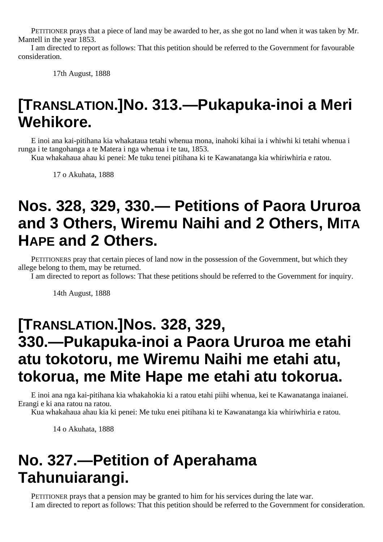PETITIONER prays that a piece of land may be awarded to her, as she got no land when it was taken by Mr. Mantell in the year 1853.

I am directed to report as follows: That this petition should be referred to the Government for favourable consideration.

17th August, 1888

## **[TRANSLATION.]No. 313.—Pukapuka-inoi a Meri Wehikore.**

E inoi ana kai-pitihana kia whakataua tetahi whenua mona, inahoki kihai ia i whiwhi ki tetahi whenua i runga i te tangohanga a te Matera i nga whenua i te tau, 1853.

Kua whakahaua ahau ki penei: Me tuku tenei pitihana ki te Kawanatanga kia whiriwhiria e ratou.

17 o Akuhata, 1888

### **Nos. 328, 329, 330.— Petitions of Paora Ururoa and 3 Others, Wiremu Naihi and 2 Others, MITA HAPE and 2 Others.**

PETITIONERS pray that certain pieces of land now in the possession of the Government, but which they allege belong to them, may be returned.

I am directed to report as follows: That these petitions should be referred to the Government for inquiry.

14th August, 1888

#### **[TRANSLATION.]Nos. 328, 329, 330.—Pukapuka-inoi a Paora Ururoa me etahi atu tokotoru, me Wiremu Naihi me etahi atu, tokorua, me Mite Hape me etahi atu tokorua.**

E inoi ana nga kai-pitihana kia whakahokia ki a ratou etahi piihi whenua, kei te Kawanatanga inaianei. Erangi e ki ana ratou na ratou.

Kua whakahaua ahau kia ki penei: Me tuku enei pitihana ki te Kawanatanga kia whiriwhiria e ratou.

14 o Akuhata, 1888

# **No. 327.—Petition of Aperahama Tahunuiarangi.**

PETITIONER prays that a pension may be granted to him for his services during the late war. I am directed to report as follows: That this petition should be referred to the Government for consideration.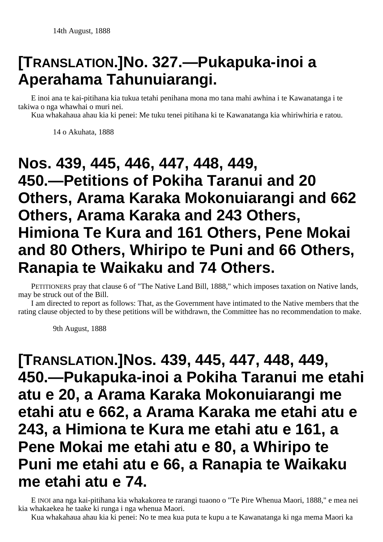# **[TRANSLATION.]No. 327.—Pukapuka-inoi a Aperahama Tahunuiarangi.**

E inoi ana te kai-pitihana kia tukua tetahi penihana mona mo tana mahi awhina i te Kawanatanga i te takiwa o nga whawhai o muri nei.

Kua whakahaua ahau kia ki penei: Me tuku tenei pitihana ki te Kawanatanga kia whiriwhiria e ratou.

14 o Akuhata, 1888

### **Nos. 439, 445, 446, 447, 448, 449, 450.—Petitions of Pokiha Taranui and 20 Others, Arama Karaka Mokonuiarangi and 662 Others, Arama Karaka and 243 Others, Himiona Te Kura and 161 Others, Pene Mokai and 80 Others, Whiripo te Puni and 66 Others, Ranapia te Waikaku and 74 Others.**

PETITIONERS pray that clause 6 of "The Native Land Bill, 1888," which imposes taxation on Native lands, may be struck out of the Bill.

I am directed to report as follows: That, as the Government have intimated to the Native members that the rating clause objected to by these petitions will be withdrawn, the Committee has no recommendation to make.

9th August, 1888

**[TRANSLATION.]Nos. 439, 445, 447, 448, 449, 450.—Pukapuka-inoi a Pokiha Taranui me etahi atu e 20, a Arama Karaka Mokonuiarangi me etahi atu e 662, a Arama Karaka me etahi atu e 243, a Himiona te Kura me etahi atu e 161, a Pene Mokai me etahi atu e 80, a Whiripo te Puni me etahi atu e 66, a Ranapia te Waikaku me etahi atu e 74.**

E INOI ana nga kai-pitihana kia whakakorea te rarangi tuaono o "Te Pire Whenua Maori, 1888," e mea nei kia whakaekea he taake ki runga i nga whenua Maori.

Kua whakahaua ahau kia ki penei: No te mea kua puta te kupu a te Kawanatanga ki nga mema Maori ka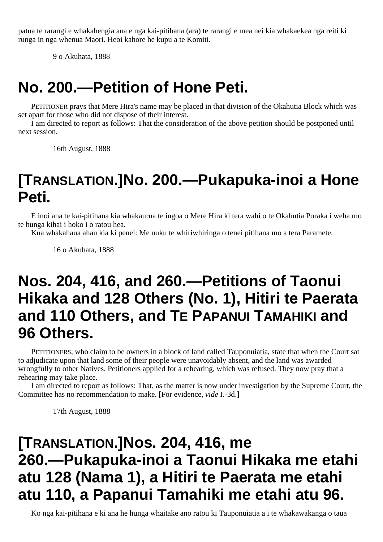patua te rarangi e whakahengia ana e nga kai-pitihana (ara) te rarangi e mea nei kia whakaekea nga reiti ki runga in nga whenua Maori. Heoi kahore he kupu a te Komiti.

9 o Akuhata, 1888

#### **No. 200.—Petition of Hone Peti.**

PETITIONER prays that Mere Hira's name may be placed in that division of the Okahutia Block which was set apart for those who did not dispose of their interest.

I am directed to report as follows: That the consideration of the above petition should be postponed until next session.

16th August, 1888

#### **[TRANSLATION.]No. 200.—Pukapuka-inoi a Hone Peti.**

E inoi ana te kai-pitihana kia whakaurua te ingoa o Mere Hira ki tera wahi o te Okahutia Poraka i weha mo te hunga kihai i hoko i o ratou hea.

Kua whakahaua ahau kia ki penei: Me nuku te whiriwhiringa o tenei pitihana mo a tera Paramete.

16 o Akuhata, 1888

#### **Nos. 204, 416, and 260.—Petitions of Taonui Hikaka and 128 Others (No. 1), Hitiri te Paerata and 110 Others, and TE PAPANUI TAMAHIKI and 96 Others.**

PETITIONERS, who claim to be owners in a block of land called Tauponuiatia, state that when the Court sat to adjudicate upon that land some of their people were unavoidably absent, and the land was awarded wrongfully to other Natives. Petitioners applied for a rehearing, which was refused. They now pray that a rehearing may take place.

I am directed to report as follows: That, as the matter is now under investigation by the Supreme Court, the Committee has no recommendation to make. [For evidence, *vide* I.-3d.]

17th August, 1888

### **[TRANSLATION.]Nos. 204, 416, me 260.—Pukapuka-inoi a Taonui Hikaka me etahi atu 128 (Nama 1), a Hitiri te Paerata me etahi atu 110, a Papanui Tamahiki me etahi atu 96.**

Ko nga kai-pitihana e ki ana he hunga whaitake ano ratou ki Tauponuiatia a i te whakawakanga o taua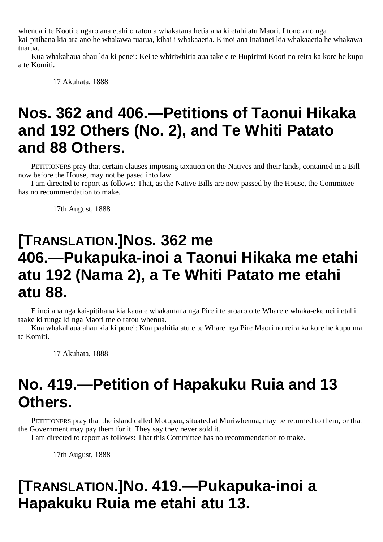whenua i te Kooti e ngaro ana etahi o ratou a whakataua hetia ana ki etahi atu Maori. I tono ano nga kai-pitihana kia ara ano he whakawa tuarua, kihai i whakaaetia. E inoi ana inaianei kia whakaaetia he whakawa tuarua.

Kua whakahaua ahau kia ki penei: Kei te whiriwhiria aua take e te Hupirimi Kooti no reira ka kore he kupu a te Komiti.

17 Akuhata, 1888

## **Nos. 362 and 406.—Petitions of Taonui Hikaka and 192 Others (No. 2), and Te Whiti Patato and 88 Others.**

PETITIONERS pray that certain clauses imposing taxation on the Natives and their lands, contained in a Bill now before the House, may not be pased into law.

I am directed to report as follows: That, as the Native Bills are now passed by the House, the Committee has no recommendation to make.

17th August, 1888

#### **[TRANSLATION.]Nos. 362 me 406.—Pukapuka-inoi a Taonui Hikaka me etahi atu 192 (Nama 2), a Te Whiti Patato me etahi atu 88.**

E inoi ana nga kai-pitihana kia kaua e whakamana nga Pire i te aroaro o te Whare e whaka-eke nei i etahi taake ki runga ki nga Maori me o ratou whenua.

Kua whakahaua ahau kia ki penei: Kua paahitia atu e te Whare nga Pire Maori no reira ka kore he kupu ma te Komiti.

17 Akuhata, 1888

## **No. 419.—Petition of Hapakuku Ruia and 13 Others.**

PETITIONERS pray that the island called Motupau, situated at Muriwhenua, may be returned to them, or that the Government may pay them for it. They say they never sold it.

I am directed to report as follows: That this Committee has no recommendation to make.

17th August, 1888

# **[TRANSLATION.]No. 419.—Pukapuka-inoi a Hapakuku Ruia me etahi atu 13.**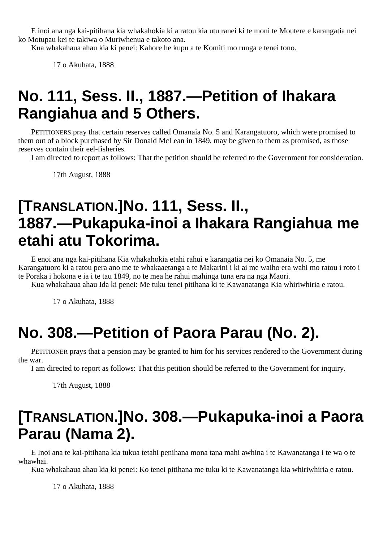E inoi ana nga kai-pitihana kia whakahokia ki a ratou kia utu ranei ki te moni te Moutere e karangatia nei ko Motupau kei te takiwa o Muriwhenua e takoto ana.

Kua whakahaua ahau kia ki penei: Kahore he kupu a te Komiti mo runga e tenei tono.

17 o Akuhata, 1888

# **No. 111, Sess. II., 1887.—Petition of Ihakara Rangiahua and 5 Others.**

PETITIONERS pray that certain reserves called Omanaia No. 5 and Karangatuoro, which were promised to them out of a block purchased by Sir Donald McLean in 1849, may be given to them as promised, as those reserves contain their eel-fisheries.

I am directed to report as follows: That the petition should be referred to the Government for consideration.

17th August, 1888

### **[TRANSLATION.]No. 111, Sess. II., 1887.—Pukapuka-inoi a Ihakara Rangiahua me etahi atu Tokorima.**

E enoi ana nga kai-pitihana Kia whakahokia etahi rahui e karangatia nei ko Omanaia No. 5, me Karangatuoro ki a ratou pera ano me te whakaaetanga a te Makarini i ki ai me waiho era wahi mo ratou i roto i te Poraka i hokona e ia i te tau 1849, no te mea he rahui mahinga tuna era na nga Maori.

Kua whakahaua ahau Ida ki penei: Me tuku tenei pitihana ki te Kawanatanga Kia whiriwhiria e ratou.

17 o Akuhata, 1888

# **No. 308.—Petition of Paora Parau (No. 2).**

PETITIONER prays that a pension may be granted to him for his services rendered to the Government during the war.

I am directed to report as follows: That this petition should be referred to the Government for inquiry.

17th August, 1888

## **[TRANSLATION.]No. 308.—Pukapuka-inoi a Paora Parau (Nama 2).**

E Inoi ana te kai-pitihana kia tukua tetahi penihana mona tana mahi awhina i te Kawanatanga i te wa o te whawhai.

Kua whakahaua ahau kia ki penei: Ko tenei pitihana me tuku ki te Kawanatanga kia whiriwhiria e ratou.

17 o Akuhata, 1888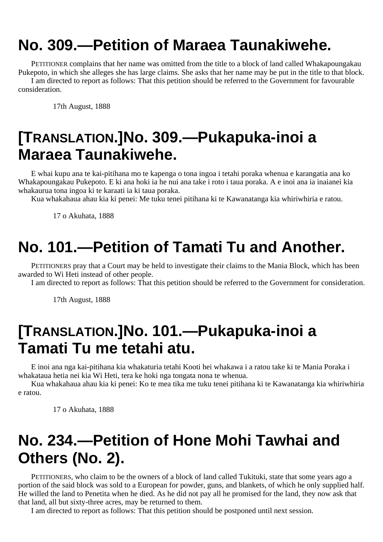# **No. 309.—Petition of Maraea Taunakiwehe.**

PETITIONER complains that her name was omitted from the title to a block of land called Whakapoungakau Pukepoto, in which she alleges she has large claims. She asks that her name may be put in the title to that block. I am directed to report as follows: That this petition should be referred to the Government for favourable consideration.

17th August, 1888

### **[TRANSLATION.]No. 309.—Pukapuka-inoi a Maraea Taunakiwehe.**

E whai kupu ana te kai-pitihana mo te kapenga o tona ingoa i tetahi poraka whenua e karangatia ana ko Whakapoungakau Pukepoto. E ki ana hoki ia he nui ana take i roto i taua poraka. A e inoi ana ia inaianei kia whakaurua tona ingoa ki te karaati ia ki taua poraka.

Kua whakahaua ahau kia ki penei: Me tuku tenei pitihana ki te Kawanatanga kia whiriwhiria e ratou.

17 o Akuhata, 1888

# **No. 101.—Petition of Tamati Tu and Another.**

PETITIONERS pray that a Court may be held to investigate their claims to the Mania Block, which has been awarded to Wi Heti instead of other people.

I am directed to report as follows: That this petition should be referred to the Government for consideration.

17th August, 1888

#### **[TRANSLATION.]No. 101.—Pukapuka-inoi a Tamati Tu me tetahi atu.**

E inoi ana nga kai-pitihana kia whakaturia tetahi Kooti hei whakawa i a ratou take ki te Mania Poraka i whakataua hetia nei kia Wi Heti, tera ke hoki nga tongata nona te whenua.

Kua whakahaua ahau kia ki penei: Ko te mea tika me tuku tenei pitihana ki te Kawanatanga kia whiriwhiria e ratou.

17 o Akuhata, 1888

## **No. 234.—Petition of Hone Mohi Tawhai and Others (No. 2).**

PETITIONERS, who claim to be the owners of a block of land called Tukituki, state that some years ago a portion of the said block was sold to a European for powder, guns, and blankets, of which he only supplied half. He willed the land to Penetita when he died. As he did not pay all he promised for the land, they now ask that that land, all but sixty-three acres, may be returned to them.

I am directed to report as follows: That this petition should be postponed until next session.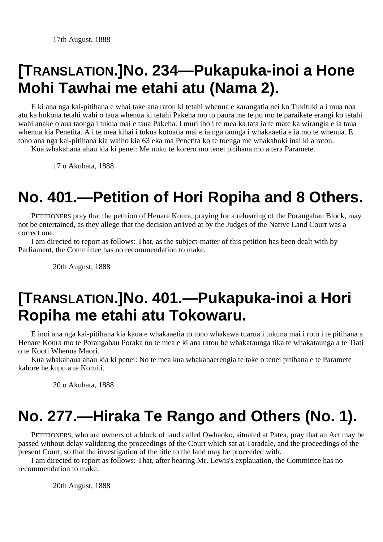# **[TRANSLATION.]No. 234—Pukapuka-inoi a Hone Mohi Tawhai me etahi atu (Nama 2).**

E ki ana nga kai-pitihana e whai take ana ratou ki tetahi whenua e karangatia nei ko Tukituki a i mua noa atu ka hokona tetahi wahi o taua whenua ki tetahi Pakeha mo to paura me te pu mo te paraikete erangi ko tetahi wahi anake o aua taonga i tukua mai e taua Pakeha. I muri iho i te mea ka tata ia te mate ka wirangia e ia taua whenua kia Penetita. A i te mea kihai i tukua kotoatia mai e ia nga taonga i whakaaetia e ia mo te whenua. E tono ana nga kai-pitihana kia waiho kia 63 eka ma Penetita ko te toenga me whakahoki inai ki a ratou.

Kua whakahaua ahau kia ki penei: Me nuku te korero mo tenei pitihana mo a tera Paramete.

17 o Akuhata, 1888

### **No. 401.—Petition of Hori Ropiha and 8 Others.**

PETITIONERS pray that the petition of Henare Koura, praying for a rehearing of the Porangahau Block, may not be entertained, as they allege that the decision arrived at by the Judges of the Native Land Court was a correct one.

I am directed to report as follows: That, as the subject-matter of this petition has been dealt with by Parliament, the Committee has no recommendation to make.

20th August, 1888

### **[TRANSLATION.]No. 401.—Pukapuka-inoi a Hori Ropiha me etahi atu Tokowaru.**

E inoi ana nga kai-pitihana kia kaua e whakaaetia to tono whakawa tuarua i tukuna mai i roto i te pitihana a Henare Koura mo te Porangahau Poraka no te mea e ki ana ratou he whakataunga tika te whakataunga a te Tiati o te Kooti Whenua Maori.

Kua whakahaua ahau kia ki penei: No te mea kua whakahaerengia te take o tenei pitihana e te Paramete kahore he kupu a te Komiti.

20 o Akuhata, 1888

### **No. 277.—Hiraka Te Rango and Others (No. 1).**

PETITIONERS, who are owners of a block of land called Owhaoko, situated at Patea, pray that an Act may be passed without delay validating the proceedings of the Court which sat at Taradale, and the proceedings of the present Court, so that the investigation of the title to the land may be proceeded with.

I am directed to report as follows: That, after hearing Mr. Lewis's explauation, the Committee has no recommendation to make.

20th August, 1888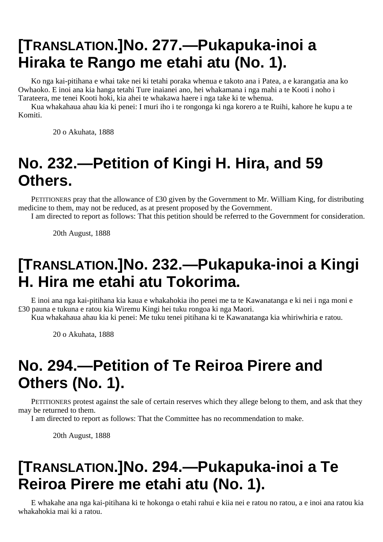# **[TRANSLATION.]No. 277.—Pukapuka-inoi a Hiraka te Rango me etahi atu (No. 1).**

Ko nga kai-pitihana e whai take nei ki tetahi poraka whenua e takoto ana i Patea, a e karangatia ana ko Owhaoko. E inoi ana kia hanga tetahi Ture inaianei ano, hei whakamana i nga mahi a te Kooti i noho i Tarateera, me tenei Kooti hoki, kia ahei te whakawa haere i nga take ki te whenua.

Kua whakahaua ahau kia ki penei: I muri iho i te rongonga ki nga korero a te Ruihi, kahore he kupu a te Komiti.

20 o Akuhata, 1888

# **No. 232.—Petition of Kingi H. Hira, and 59 Others.**

PETITIONERS pray that the allowance of £30 given by the Government to Mr. William King, for distributing medicine to them, may not be reduced, as at present proposed by the Government.

I am directed to report as follows: That this petition should be referred to the Government for consideration.

20th August, 1888

## **[TRANSLATION.]No. 232.—Pukapuka-inoi a Kingi H. Hira me etahi atu Tokorima.**

E inoi ana nga kai-pitihana kia kaua e whakahokia iho penei me ta te Kawanatanga e ki nei i nga moni e £30 pauna e tukuna e ratou kia Wiremu Kingi hei tuku rongoa ki nga Maori.

Kua whakahaua ahau kia ki penei: Me tuku tenei pitihana ki te Kawanatanga kia whiriwhiria e ratou.

20 o Akuhata, 1888

# **No. 294.—Petition of Te Reiroa Pirere and Others (No. 1).**

PETITIONERS protest against the sale of certain reserves which they allege belong to them, and ask that they may be returned to them.

I am directed to report as follows: That the Committee has no recommendation to make.

20th August, 1888

# **[TRANSLATION.]No. 294.—Pukapuka-inoi a Te Reiroa Pirere me etahi atu (No. 1).**

E whakahe ana nga kai-pitihana ki te hokonga o etahi rahui e kiia nei e ratou no ratou, a e inoi ana ratou kia whakahokia mai ki a ratou.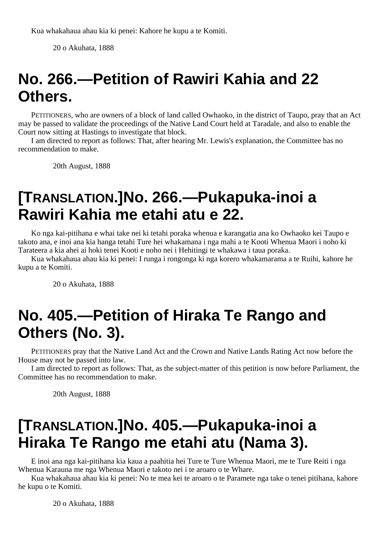20 o Akuhata, 1888

# **No. 266.—Petition of Rawiri Kahia and 22 Others.**

PETITIONERS, who are owners of a block of land called Owhaoko, in the district of Taupo, pray that an Act may be passed to validate the proceedings of the Native Land Court held at Taradale, and also to enable the Court now sitting at Hastings to investigate that block.

I am directed to report as follows: That, after hearing Mr. Lewis's explanation, the Committee has no recommendation to make.

20th August, 1888

#### **[TRANSLATION.]No. 266.—Pukapuka-inoi a Rawiri Kahia me etahi atu e 22.**

Ko nga kai-pitihana e whai take nei ki tetahi poraka whenua e karangatia ana ko Owhaoko kei Taupo e takoto ana, e inoi ana kia hanga tetahi Ture hei whakamana i nga mahi a te Kooti Whenua Maori i noho ki Tarateera a kia ahei ai hoki tenei Kooti e noho nei i Hehitingi te whakawa i taua poraka.

Kua whakahaua ahau kia ki penei: I runga i rongonga ki nga korero whakamarama a te Ruihi, kahore he kupu a te Komiti.

20 o Akuhata, 1888

### **No. 405.—Petition of Hiraka Te Rango and Others (No. 3).**

PETITIONERS pray that the Native Land Act and the Crown and Native Lands Rating Act now before the House may not be passed into law.

I am directed to report as follows: That, as the subject-matter of this petition is now before Parliament, the Committee has no recommendation to make.

20th August, 1888

#### **[TRANSLATION.]No. 405.—Pukapuka-inoi a Hiraka Te Rango me etahi atu (Nama 3).**

E inoi ana nga kai-pitihana kia kaua a paahitia hei Ture te Ture Whenua Maori, me te Ture Reiti i nga Whenua Karauna me nga Whenua Maori e takoto nei i te aroaro o te Whare.

Kua whakahaua ahau kia ki penei: No te mea kei te aroaro o te Paramete nga take o tenei pitihana, kahore he kupu o te Komiti.

20 o Akuhata, 1888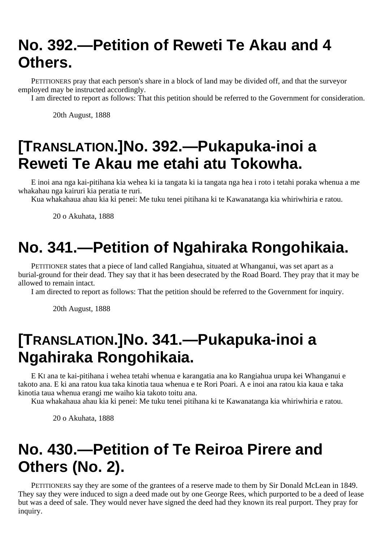# **No. 392.—Petition of Reweti Te Akau and 4 Others.**

PETITIONERS pray that each person's share in a block of land may be divided off, and that the surveyor employed may be instructed accordingly.

I am directed to report as follows: That this petition should be referred to the Government for consideration.

20th August, 1888

#### **[TRANSLATION.]No. 392.—Pukapuka-inoi a Reweti Te Akau me etahi atu Tokowha.**

E inoi ana nga kai-pitihana kia wehea ki ia tangata ki ia tangata nga hea i roto i tetahi poraka whenua a me whakahau nga kairuri kia peratia te ruri.

Kua whakahaua ahau kia ki penei: Me tuku tenei pitihana ki te Kawanatanga kia whiriwhiria e ratou.

20 o Akuhata, 1888

# **No. 341.—Petition of Ngahiraka Rongohikaia.**

PETITIONER states that a piece of land called Rangiahua, situated at Whanganui, was set apart as a burial-ground for their dead. They say that it has been desecrated by the Road Board. They pray that it may be allowed to remain intact.

I am directed to report as follows: That the petition should be referred to the Government for inquiry.

20th August, 1888

#### **[TRANSLATION.]No. 341.—Pukapuka-inoi a Ngahiraka Rongohikaia.**

E KI ana te kai-pitihana i wehea tetahi whenua e karangatia ana ko Rangiahua urupa kei Whanganui e takoto ana. E ki ana ratou kua taka kinotia taua whenua e te Rori Poari. A e inoi ana ratou kia kaua e taka kinotia taua whenua erangi me waiho kia takoto toitu ana.

Kua whakahaua ahau kia ki penei: Me tuku tenei pitihana ki te Kawanatanga kia whiriwhiria e ratou.

20 o Akuhata, 1888

#### **No. 430.—Petition of Te Reiroa Pirere and Others (No. 2).**

PETITIONERS say they are some of the grantees of a reserve made to them by Sir Donald McLean in 1849. They say they were induced to sign a deed made out by one George Rees, which purported to be a deed of lease but was a deed of sale. They would never have signed the deed had they known its real purport. They pray for inquiry.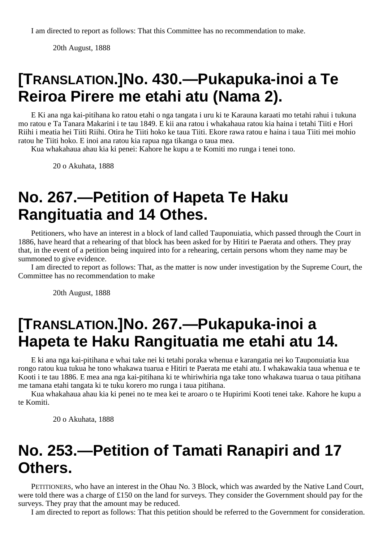20th August, 1888

#### **[TRANSLATION.]No. 430.—Pukapuka-inoi a Te Reiroa Pirere me etahi atu (Nama 2).**

E Ki ana nga kai-pitihana ko ratou etahi o nga tangata i uru ki te Karauna karaati mo tetahi rahui i tukuna mo ratou e Ta Tanara Makarini i te tau 1849. E kii ana ratou i whakahaua ratou kia haina i tetahi Tiiti e Hori Riihi i meatia hei Tiiti Riihi. Otira he Tiiti hoko ke taua Tiiti. Ekore rawa ratou e haina i taua Tiiti mei mohio ratou he Tiiti hoko. E inoi ana ratou kia rapua nga tikanga o taua mea.

Kua whakahaua ahau kia ki penei: Kahore he kupu a te Komiti mo runga i tenei tono.

20 o Akuhata, 1888

### **No. 267.—Petition of Hapeta Te Haku Rangituatia and 14 Othes.**

Petitioners, who have an interest in a block of land called Tauponuiatia, which passed through the Court in 1886, have heard that a rehearing of that block has been asked for by Hitiri te Paerata and others. They pray that, in the event of a petition being inquired into for a rehearing, certain persons whom they name may be summoned to give evidence.

I am directed to report as follows: That, as the matter is now under investigation by the Supreme Court, the Committee has no recommendation to make

20th August, 1888

#### **[TRANSLATION.]No. 267.—Pukapuka-inoi a Hapeta te Haku Rangituatia me etahi atu 14.**

E ki ana nga kai-pitihana e whai take nei ki tetahi poraka whenua e karangatia nei ko Tauponuiatia kua rongo ratou kua tukua he tono whakawa tuarua e Hitiri te Paerata me etahi atu. I whakawakia taua whenua e te Kooti i te tau 1886. E mea ana nga kai-pitihana ki te whiriwhiria nga take tono whakawa tuarua o taua pitihana me tamana etahi tangata ki te tuku korero mo runga i taua pitihana.

Kua whakahaua ahau kia ki penei no te mea kei te aroaro o te Hupirimi Kooti tenei take. Kahore he kupu a te Komiti.

20 o Akuhata, 1888

#### **No. 253.—Petition of Tamati Ranapiri and 17 Others.**

PETITIONERS, who have an interest in the Ohau No. 3 Block, which was awarded by the Native Land Court, were told there was a charge of £150 on the land for surveys. They consider the Government should pay for the surveys. They pray that the amount may be reduced.

I am directed to report as follows: That this petition should be referred to the Government for consideration.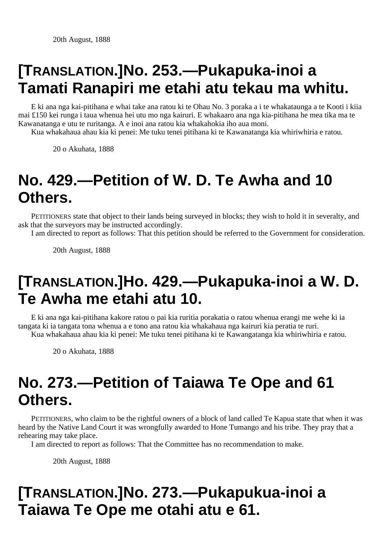# **[TRANSLATION.]No. 253.—Pukapuka-inoi a Tamati Ranapiri me etahi atu tekau ma whitu.**

E ki ana nga kai-pitihana e whai take ana ratou ki te Ohau No. 3 poraka a i te whakataunga a te Kooti i kiia mai £150 kei runga i taua whenua hei utu mo nga kairuri. E whakaaro ana nga kia-pitihana he mea tika ma te Kawanatanga e utu te ruritanga. A e inoi ana ratou kia whakahokia iho aua moni.

Kua whakahaua ahau kia ki penei: Me tuku tenei pitihana ki te Kawanatanga kia whiriwhiria e ratou.

20 o Akuhata, 1888

#### **No. 429.—Petition of W. D. Te Awha and 10 Others.**

PETITIONERS state that object to their lands being surveyed in blocks; they wish to hold it in severalty, and ask that the surveyors may be instructed accordingly.

I am directed to report as follows: That this petition should be referred to the Government for consideration.

20th August, 1888

# **[TRANSLATION.]Ho. 429.—Pukapuka-inoi a W. D. Te Awha me etahi atu 10.**

E ki ana nga kai-pitihana kakore ratou o pai kia ruritia porakatia o ratou whenua erangi me wehe ki ia tangata ki ia tangata tona whenua a e tono ana ratou kia whakahaua nga kairuri kia peratia te ruri. Kua whakahaua ahau kia ki penei: Me tuku tenei pitihana ki te Kawangatanga kia whiriwhiria e ratou.

20 o Akuhata, 1888

# **No. 273.—Petition of Taiawa Te Ope and 61 Others.**

PETITIONERS, who claim to be the rightful owners of a block of land called Te Kapua state that when it was heard by the Native Land Court it was wrongfully awarded to Hone Tumango and his tribe. They pray that a rehearing may take place.

I am directed to report as follows: That the Committee has no recommendation to make.

20th August, 1888

# **[TRANSLATION.]No. 273.—Pukapukua-inoi a Taiawa Te Ope me otahi atu e 61.**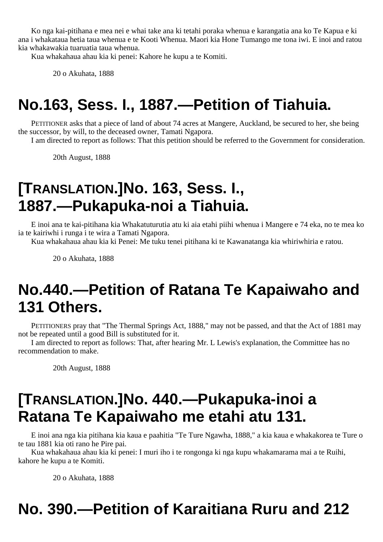Ko nga kai-pitihana e mea nei e whai take ana ki tetahi poraka whenua e karangatia ana ko Te Kapua e ki ana i whakataua hetia taua whenua e te Kooti Whenua. Maori kia Hone Tumango me tona iwi. E inoi and ratou kia whakawakia tuaruatia taua whenua.

Kua whakahaua ahau kia ki penei: Kahore he kupu a te Komiti.

20 o Akuhata, 1888

# **No.163, Sess. I., 1887.—Petition of Tiahuia.**

PETITIONER asks that a piece of land of about 74 acres at Mangere, Auckland, be secured to her, she being the successor, by will, to the deceased owner, Tamati Ngapora.

I am directed to report as follows: That this petition should be referred to the Government for consideration.

20th August, 1888

#### **[TRANSLATION.]No. 163, Sess. I., 1887.—Pukapuka-noi a Tiahuia.**

E inoi ana te kai-pitihana kia Whakatuturutia atu ki aia etahi piihi whenua i Mangere e 74 eka, no te mea ko ia te kairiwhi i runga i te wira a Tamati Ngapora.

Kua whakahaua ahau kia ki Penei: Me tuku tenei pitihana ki te Kawanatanga kia whiriwhiria e ratou.

20 o Akuhata, 1888

#### **No.440.—Petition of Ratana Te Kapaiwaho and 131 Others.**

PETITIONERS pray that "The Thermal Springs Act, 1888," may not be passed, and that the Act of 1881 may not be repeated until a good Bill is substituted for it.

I am directed to report as follows: That, after hearing Mr. L Lewis's explanation, the Committee has no recommendation to make.

20th August, 1888

### **[TRANSLATION.]No. 440.—Pukapuka-inoi a Ratana Te Kapaiwaho me etahi atu 131.**

E inoi ana nga kia pitihana kia kaua e paahitia "Te Ture Ngawha, 1888," a kia kaua e whakakorea te Ture o te tau 1881 kia oti rano he Pire pai.

Kua whakahaua ahau kia ki penei: I muri iho i te rongonga ki nga kupu whakamarama mai a te Ruihi, kahore he kupu a te Komiti.

20 o Akuhata, 1888

# **No. 390.—Petition of Karaitiana Ruru and 212**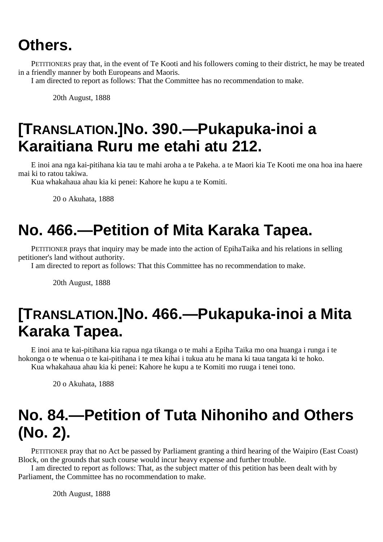#### **Others.**

PETITIONERS pray that, in the event of Te Kooti and his followers coming to their district, he may be treated in a friendly manner by both Europeans and Maoris.

I am directed to report as follows: That the Committee has no recommendation to make.

20th August, 1888

# **[TRANSLATION.]No. 390.—Pukapuka-inoi a Karaitiana Ruru me etahi atu 212.**

E inoi ana nga kai-pitihana kia tau te mahi aroha a te Pakeha. a te Maori kia Te Kooti me ona hoa ina haere mai ki to ratou takiwa.

Kua whakahaua ahau kia ki penei: Kahore he kupu a te Komiti.

20 o Akuhata, 1888

### **No. 466.—Petition of Mita Karaka Tapea.**

PETITIONER prays that inquiry may be made into the action of EpihaTaika and his relations in selling petitioner's land without authority.

I am directed to report as follows: That this Committee has no recommendation to make.

20th August, 1888

### **[TRANSLATION.]No. 466.—Pukapuka-inoi a Mita Karaka Tapea.**

E inoi ana te kai-pitihana kia rapua nga tikanga o te mahi a Epiha Taika mo ona huanga i runga i te hokonga o te whenua o te kai-pitihana i te mea kihai i tukua atu he mana ki taua tangata ki te hoko. Kua whakahaua ahau kia ki penei: Kahore he kupu a te Komiti mo ruuga i tenei tono.

20 o Akuhata, 1888

# **No. 84.—Petition of Tuta Nihoniho and Others (No. 2).**

PETITIONER pray that no Act be passed by Parliament granting a third hearing of the Waipiro (East Coast) Block, on the grounds that such course would incur heavy expense and further trouble.

I am directed to report as follows: That, as the subject matter of this petition has been dealt with by Parliament, the Committee has no rocommendation to make.

20th August, 1888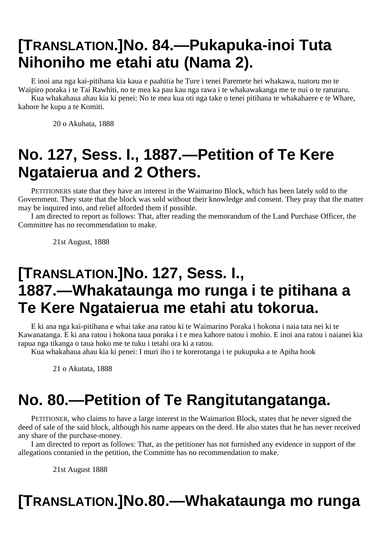# **[TRANSLATION.]No. 84.—Pukapuka-inoi Tuta Nihoniho me etahi atu (Nama 2).**

E inoi ana nga kai-pitihana kia kaua e paahitia he Ture i tenei Paremete hei whakawa, tuatoru mo te Waipiro poraka i te Tai Rawhiti, no te mea ka pau kau nga rawa i te whakawakanga me te nui o te raruraru.

Kua whakahaua ahau kia ki penei: No te mea kua oti nga take o tenei pitihana te whakahaere e te Whare, kahore he kupu a te Komiti.

20 o Akuhata, 1888

# **No. 127, Sess. I., 1887.—Petition of Te Kere Ngataierua and 2 Others.**

PETITIONERS state that they have an interest in the Waimarino Block, which has been lately sold to the Government. They state that the block was sold without their knowledge and consent. They pray that the matter may be inquired into, and relief afforded them if possible.

I am directed to report as follows: That, after reading the memorandum of the Land Purchase Officer, the Committee has no recommendation to make.

21st August, 1888

## **[TRANSLATION.]No. 127, Sess. I., 1887.—Whakataunga mo runga i te pitihana a Te Kere Ngataierua me etahi atu tokorua.**

E ki ana nga kai-pitihana e whai take ana ratou ki te Waimarino Poraka i hokona i naia tata nei ki te Kawanatanga. E ki ana ratou i hokona taua poraka i t e mea kahore natou i mohio. E inoi ana ratou i naianei kia rapua nga tikanga o taua hoko me te tuku i tetahi ora ki a ratou.

Kua whakahaua ahau kia ki penei: I muri iho i te korerotanga i te pukupuka a te Apiha hook

21 o Akutata, 1888

# **No. 80.—Petition of Te Rangitutangatanga.**

PETITIONER, who claims to have a large interest in the Waimarion Block, states that he never signed the deed of sale of the said block, although his name appears on the deed. He also states that he has never received any share of the purchase-money.

I am directed to report as follows: That, as the petitioner has not furnished any evidence in support of the allegations contanied in the petition, the Committe has no recommendation to make.

21st August 1888

# **[TRANSLATION.]No.80.—Whakataunga mo runga**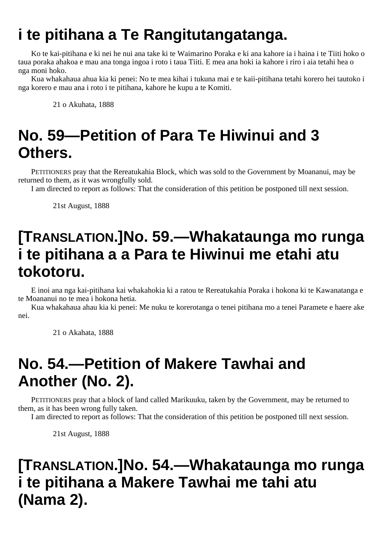# **i te pitihana a Te Rangitutangatanga.**

Ko te kai-pitihana e ki nei he nui ana take ki te Waimarino Poraka e ki ana kahore ia i haina i te Tiiti hoko o taua poraka ahakoa e mau ana tonga ingoa i roto i taua Tiiti. E mea ana hoki ia kahore i riro i aia tetahi hea o nga moni hoko.

Kua whakahaua ahua kia ki penei: No te mea kihai i tukuna mai e te kaii-pitihana tetahi korero hei tautoko i nga korero e mau ana i roto i te pitihana, kahore he kupu a te Komiti.

21 o Akuhata, 1888

# **No. 59—Petition of Para Te Hiwinui and 3 Others.**

PETITIONERS pray that the Rereatukahia Block, which was sold to the Government by Moananui, may be returned to them, as it was wrongfully sold.

I am directed to report as follows: That the consideration of this petition be postponed till next session.

21st August, 1888

### **[TRANSLATION.]No. 59.—Whakataunga mo runga i te pitihana a a Para te Hiwinui me etahi atu tokotoru.**

E inoi ana nga kai-pitihana kai whakahokia ki a ratou te Rereatukahia Poraka i hokona ki te Kawanatanga e te Moananui no te mea i hokona hetia.

Kua whakahaua ahau kia ki penei: Me nuku te korerotanga o tenei pitihana mo a tenei Paramete e haere ake nei.

21 o Akahata, 1888

# **No. 54.—Petition of Makere Tawhai and Another (No. 2).**

PETITIONERS pray that a block of land called Marikuuku, taken by the Government, may be returned to them, as it has been wrong fully taken.

I am directed to report as follows: That the consideration of this petition be postponed till next session.

21st August, 1888

# **[TRANSLATION.]No. 54.—Whakataunga mo runga i te pitihana a Makere Tawhai me tahi atu (Nama 2).**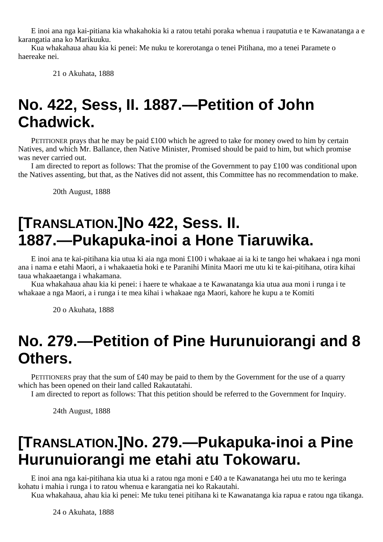E inoi ana nga kai-pitiana kia whakahokia ki a ratou tetahi poraka whenua i raupatutia e te Kawanatanga a e karangatia ana ko Marikuuku.

Kua whakahaua ahau kia ki penei: Me nuku te korerotanga o tenei Pitihana, mo a tenei Paramete o haereake nei.

21 o Akuhata, 1888

#### **No. 422, Sess, II. 1887.—Petition of John Chadwick.**

PETITIONER prays that he may be paid  $\pounds$ 100 which he agreed to take for money owed to him by certain Natives, and which Mr. Ballance, then Native Minister, Promised should be paid to him, but which promise was never carried out.

I am directed to report as follows: That the promise of the Government to pay  $\pounds 100$  was conditional upon the Natives assenting, but that, as the Natives did not assent, this Committee has no recommendation to make.

20th August, 1888

# **[TRANSLATION.]No 422, Sess. II. 1887.—Pukapuka-inoi a Hone Tiaruwika.**

E inoi ana te kai-pitihana kia utua ki aia nga moni £100 i whakaae ai ia ki te tango hei whakaea i nga moni ana i nama e etahi Maori, a i whakaaetia hoki e te Paranihi Minita Maori me utu ki te kai-pitihana, otira kihai taua whakaaetanga i whakamana.

Kua whakahaua ahau kia ki penei: i haere te whakaae a te Kawanatanga kia utua aua moni i runga i te whakaae a nga Maori, a i runga i te mea kihai i whakaae nga Maori, kahore he kupu a te Komiti

20 o Akuhata, 1888

#### **No. 279.—Petition of Pine Hurunuiorangi and 8 Others.**

PETITIONERS pray that the sum of £40 may be paid to them by the Government for the use of a quarry which has been opened on their land called Rakautatahi.

I am directed to report as follows: That this petition should be referred to the Government for Inquiry.

24th August, 1888

## **[TRANSLATION.]No. 279.—Pukapuka-inoi a Pine Hurunuiorangi me etahi atu Tokowaru.**

E inoi ana nga kai-pitihana kia utua ki a ratou nga moni e £40 a te Kawanatanga hei utu mo te keringa kohatu i mahia i runga i to ratou whenua e karangatia nei ko Rakautahi.

Kua whakahaua, ahau kia ki penei: Me tuku tenei pitihana ki te Kawanatanga kia rapua e ratou nga tikanga.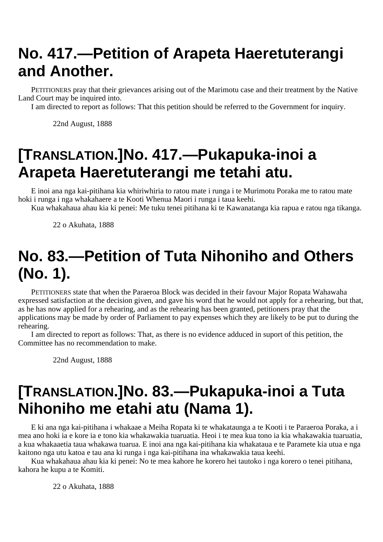# **No. 417.—Petition of Arapeta Haeretuterangi and Another.**

PETITIONERS pray that their grievances arising out of the Marimotu case and their treatment by the Native Land Court may be inquired into.

I am directed to report as follows: That this petition should be referred to the Government for inquiry.

22nd August, 1888

### **[TRANSLATION.]No. 417.—Pukapuka-inoi a Arapeta Haeretuterangi me tetahi atu.**

E inoi ana nga kai-pitihana kia whiriwhiria to ratou mate i runga i te Murimotu Poraka me to ratou mate hoki i runga i nga whakahaere a te Kooti Whenua Maori i runga i taua keehi.

Kua whakahaua ahau kia ki penei: Me tuku tenei pitihana ki te Kawanatanga kia rapua e ratou nga tikanga.

22 o Akuhata, 1888

# **No. 83.—Petition of Tuta Nihoniho and Others (No. 1).**

PETITIONERS state that when the Paraeroa Block was decided in their favour Major Ropata Wahawaha expressed satisfaction at the decision given, and gave his word that he would not apply for a rehearing, but that, as he has now applied for a rehearing, and as the rehearing has been granted, petitioners pray that the applications may be made by order of Parliament to pay expenses which they are likely to be put to during the rehearing.

I am directed to report as follows: That, as there is no evidence adduced in suport of this petition, the Committee has no recommendation to make.

22nd August, 1888

## **[TRANSLATION.]No. 83.—Pukapuka-inoi a Tuta Nihoniho me etahi atu (Nama 1).**

E ki ana nga kai-pitihana i whakaae a Meiha Ropata ki te whakataunga a te Kooti i te Paraeroa Poraka, a i mea ano hoki ia e kore ia e tono kia whakawakia tuaruatia. Heoi i te mea kua tono ia kia whakawakia tuaruatia, a kua whakaaetia taua whakawa tuarua. E inoi ana nga kai-pitihana kia whakataua e te Paramete kia utua e nga kaitono nga utu katoa e tau ana ki runga i nga kai-pitihana ina whakawakia taua keehi.

Kua whakahaua ahau kia ki penei: No te mea kahore he korero hei tautoko i nga korero o tenei pitihana, kahora he kupu a te Komiti.

22 o Akuhata, 1888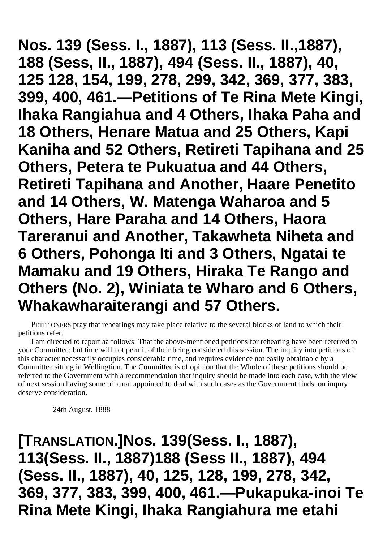**Nos. 139 (Sess. I., 1887), 113 (Sess. II.,1887), 188 (Sess, II., 1887), 494 (Sess. II., 1887), 40, 125 128, 154, 199, 278, 299, 342, 369, 377, 383, 399, 400, 461.—Petitions of Te Rina Mete Kingi, Ihaka Rangiahua and 4 Others, Ihaka Paha and 18 Others, Henare Matua and 25 Others, Kapi Kaniha and 52 Others, Retireti Tapihana and 25 Others, Petera te Pukuatua and 44 Others, Retireti Tapihana and Another, Haare Penetito and 14 Others, W. Matenga Waharoa and 5 Others, Hare Paraha and 14 Others, Haora Tareranui and Another, Takawheta Niheta and 6 Others, Pohonga Iti and 3 Others, Ngatai te Mamaku and 19 Others, Hiraka Te Rango and Others (No. 2), Winiata te Wharo and 6 Others, Whakawharaiterangi and 57 Others.**

PETITIONERS pray that rehearings may take place relative to the several blocks of land to which their petitions refer.

I am directed to report aa follows: That the above-mentioned petitions for rehearing have been referred to your Committee; but time will not permit of their being considered this session. The inquiry into petitions of this character necessarily occupies considerable time, and requires evidence not easily obtainable by a Committee sitting in Wellingtion. The Committee is of opinion that the Whole of these petitions should be referred to the Government with a recommendation that inquiry should be made into each case, with the view of next session having some tribunal appointed to deal with such cases as the Government finds, on inqury deserve consideration.

24th August, 1888

**[TRANSLATION.]Nos. 139(Sess. I., 1887), 113(Sess. II., 1887)188 (Sess II., 1887), 494 (Sess. II., 1887), 40, 125, 128, 199, 278, 342, 369, 377, 383, 399, 400, 461.—Pukapuka-inoi Te Rina Mete Kingi, Ihaka Rangiahura me etahi**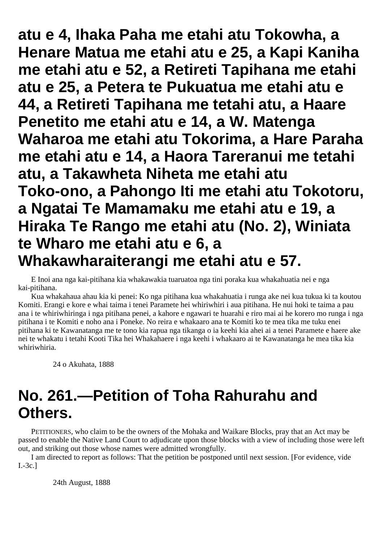**atu e 4, Ihaka Paha me etahi atu Tokowha, a Henare Matua me etahi atu e 25, a Kapi Kaniha me etahi atu e 52, a Retireti Tapihana me etahi atu e 25, a Petera te Pukuatua me etahi atu e 44, a Retireti Tapihana me tetahi atu, a Haare Penetito me etahi atu e 14, a W. Matenga Waharoa me etahi atu Tokorima, a Hare Paraha me etahi atu e 14, a Haora Tareranui me tetahi atu, a Takawheta Niheta me etahi atu Toko-ono, a Pahongo Iti me etahi atu Tokotoru, a Ngatai Te Mamamaku me etahi atu e 19, a Hiraka Te Rango me etahi atu (No. 2), Winiata te Wharo me etahi atu e 6, a Whakawharaiterangi me etahi atu e 57.**

E Inoi ana nga kai-pitihana kia whakawakia tuaruatoa nga tini poraka kua whakahuatia nei e nga kai-pitihana.

Kua whakahaua ahau kia ki penei: Ko nga pitihana kua whakahuatia i runga ake nei kua tukua ki ta koutou Komiti. Erangi e kore e whai taima i tenei Paramete hei whiriwhiri i aua pitihana. He nui hoki te taima a pau ana i te whiriwhiringa i nga pitihana penei, a kahore e ngawari te huarahi e riro mai ai he korero mo runga i nga pitihana i te Komiti e noho ana i Poneke. No reira e whakaaro ana te Komiti ko te mea tika me tuku enei pitihana ki te Kawanatanga me te tono kia rapua nga tikanga o ia keehi kia ahei ai a tenei Paramete e haere ake nei te whakatu i tetahi Kooti Tika hei Whakahaere i nga keehi i whakaaro ai te Kawanatanga he mea tika kia whiriwhiria.

24 o Akuhata, 1888

# **No. 261.—Petition of Toha Rahurahu and Others.**

PETITIONERS, who claim to be the owners of the Mohaka and Waikare Blocks, pray that an Act may be passed to enable the Native Land Court to adjudicate upon those blocks with a view of including those were left out, and striking out those whose names were admitted wrongfully.

I am directed to report as follows: That the petition be postponed until next session. [For evidence, vide I.-3c.]

24th August, 1888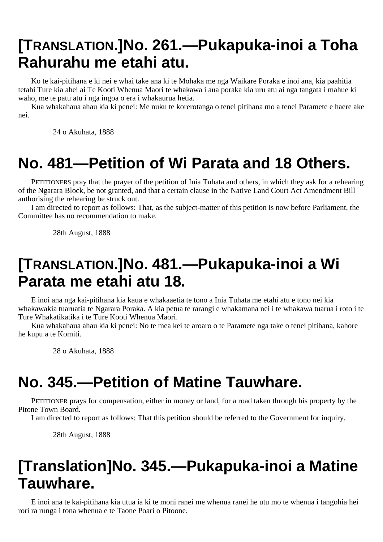## **[TRANSLATION.]No. 261.—Pukapuka-inoi a Toha Rahurahu me etahi atu.**

Ko te kai-pitihana e ki nei e whai take ana ki te Mohaka me nga Waikare Poraka e inoi ana, kia paahitia tetahi Ture kia ahei ai Te Kooti Whenua Maori te whakawa i aua poraka kia uru atu ai nga tangata i mahue ki waho, me te patu atu i nga ingoa o era i whakaurua hetia.

Kua whakahaua ahau kia ki penei: Me nuku te korerotanga o tenei pitihana mo a tenei Paramete e haere ake nei.

24 o Akuhata, 1888

### **No. 481—Petition of Wi Parata and 18 Others.**

PETITIONERS pray that the prayer of the petition of Inia Tuhata and others, in which they ask for a rehearing of the Ngarara Block, be not granted, and that a certain clause in the Native Land Court Act Amendment Bill authorising the rehearing be struck out.

I am directed to report as follows: That, as the subject-matter of this petition is now before Parliament, the Committee has no recommendation to make.

28th August, 1888

#### **[TRANSLATION.]No. 481.—Pukapuka-inoi a Wi Parata me etahi atu 18.**

E inoi ana nga kai-pitihana kia kaua e whakaaetia te tono a Inia Tuhata me etahi atu e tono nei kia whakawakia tuaruatia te Ngarara Poraka. A kia petua te rarangi e whakamana nei i te whakawa tuarua i roto i te Ture Whakatikatika i te Ture Kooti Whenua Maori.

Kua whakahaua ahau kia ki penei: No te mea kei te aroaro o te Paramete nga take o tenei pitihana, kahore he kupu a te Komiti.

28 o Akuhata, 1888

#### **No. 345.—Petition of Matine Tauwhare.**

PETITIONER prays for compensation, either in money or land, for a road taken through his property by the Pitone Town Board.

I am directed to report as follows: That this petition should be referred to the Government for inquiry.

28th August, 1888

## **[Translation]No. 345.—Pukapuka-inoi a Matine Tauwhare.**

E inoi ana te kai-pitihana kia utua ia ki te moni ranei me whenua ranei he utu mo te whenua i tangohia hei rori ra runga i tona whenua e te Taone Poari o Pitoone.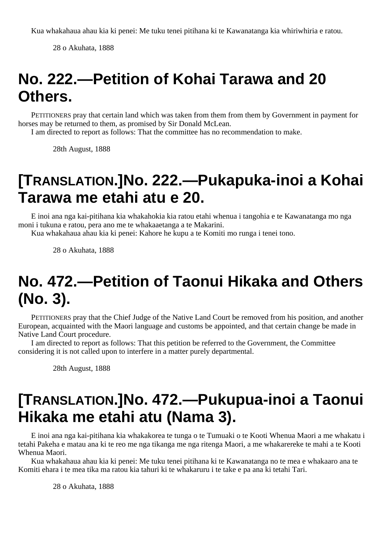28 o Akuhata, 1888

# **No. 222.—Petition of Kohai Tarawa and 20 Others.**

PETITIONERS pray that certain land which was taken from them from them by Government in payment for horses may be returned to them, as promised by Sir Donald McLean.

I am directed to report as follows: That the committee has no recommendation to make.

28th August, 1888

#### **[TRANSLATION.]No. 222.—Pukapuka-inoi a Kohai Tarawa me etahi atu e 20.**

E inoi ana nga kai-pitihana kia whakahokia kia ratou etahi whenua i tangohia e te Kawanatanga mo nga moni i tukuna e ratou, pera ano me te whakaaetanga a te Makarini.

Kua whakahaua ahau kia ki penei: Kahore he kupu a te Komiti mo runga i tenei tono.

28 o Akuhata, 1888

# **No. 472.—Petition of Taonui Hikaka and Others (No. 3).**

PETITIONERS pray that the Chief Judge of the Native Land Court be removed from his position, and another European, acquainted with the Maori language and customs be appointed, and that certain change be made in Native Land Court procedure.

I am directed to report as follows: That this petition be referred to the Government, the Committee considering it is not called upon to interfere in a matter purely departmental.

28th August, 1888

### **[TRANSLATION.]No. 472.—Pukupua-inoi a Taonui Hikaka me etahi atu (Nama 3).**

E inoi ana nga kai-pitihana kia whakakorea te tunga o te Tumuaki o te Kooti Whenua Maori a me whakatu i tetahi Pakeha e matau ana ki te reo me nga tikanga me nga ritenga Maori, a me whakarereke te mahi a te Kooti Whenua Maori.

Kua whakahaua ahau kia ki penei: Me tuku tenei pitihana ki te Kawanatanga no te mea e whakaaro ana te Komiti ehara i te mea tika ma ratou kia tahuri ki te whakaruru i te take e pa ana ki tetahi Tari.

28 o Akuhata, 1888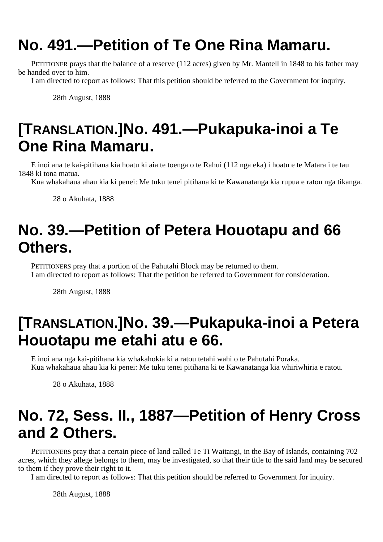# **No. 491.—Petition of Te One Rina Mamaru.**

PETITIONER prays that the balance of a reserve (112 acres) given by Mr. Mantell in 1848 to his father may be handed over to him.

I am directed to report as follows: That this petition should be referred to the Government for inquiry.

28th August, 1888

# **[TRANSLATION.]No. 491.—Pukapuka-inoi a Te One Rina Mamaru.**

E inoi ana te kai-pitihana kia hoatu ki aia te toenga o te Rahui (112 nga eka) i hoatu e te Matara i te tau 1848 ki tona matua.

Kua whakahaua ahau kia ki penei: Me tuku tenei pitihana ki te Kawanatanga kia rupua e ratou nga tikanga.

28 o Akuhata, 1888

## **No. 39.—Petition of Petera Houotapu and 66 Others.**

PETITIONERS pray that a portion of the Pahutahi Block may be returned to them. I am directed to report as follows: That the petition be referred to Government for consideration.

28th August, 1888

## **[TRANSLATION.]No. 39.—Pukapuka-inoi a Petera Houotapu me etahi atu e 66.**

E inoi ana nga kai-pitihana kia whakahokia ki a ratou tetahi wahi o te Pahutahi Poraka. Kua whakahaua ahau kia ki penei: Me tuku tenei pitihana ki te Kawanatanga kia whiriwhiria e ratou.

28 o Akuhata, 1888

# **No. 72, Sess. II., 1887—Petition of Henry Cross and 2 Others.**

PETITIONERS pray that a certain piece of land called Te Ti Waitangi, in the Bay of Islands, containing 702 acres, which they allege belongs to them, may be investigated, so that their title to the said land may be secured to them if they prove their right to it.

I am directed to report as follows: That this petition should be referred to Government for inquiry.

28th August, 1888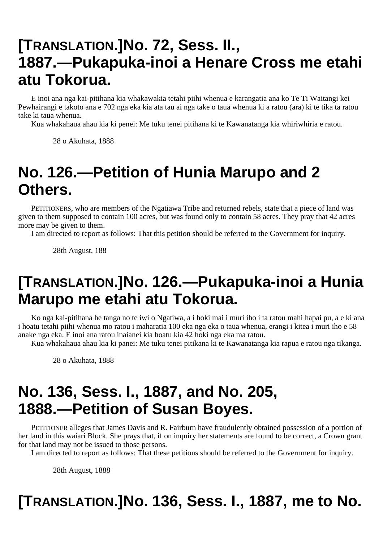## **[TRANSLATION.]No. 72, Sess. II., 1887.—Pukapuka-inoi a Henare Cross me etahi atu Tokorua.**

E inoi ana nga kai-pitihana kia whakawakia tetahi piihi whenua e karangatia ana ko Te Ti Waitangi kei Pewhairangi e takoto ana e 702 nga eka kia ata tau ai nga take o taua whenua ki a ratou (ara) ki te tika ta ratou take ki taua whenua.

Kua whakahaua ahau kia ki penei: Me tuku tenei pitihana ki te Kawanatanga kia whiriwhiria e ratou.

28 o Akuhata, 1888

## **No. 126.—Petition of Hunia Marupo and 2 Others.**

PETITIONERS, who are members of the Ngatiawa Tribe and returned rebels, state that a piece of land was given to them supposed to contain 100 acres, but was found only to contain 58 acres. They pray that 42 acres more may be given to them.

I am directed to report as follows: That this petition should be referred to the Government for inquiry.

28th August, 188

### **[TRANSLATION.]No. 126.—Pukapuka-inoi a Hunia Marupo me etahi atu Tokorua.**

Ko nga kai-pitihana he tanga no te iwi o Ngatiwa, a i hoki mai i muri iho i ta ratou mahi hapai pu, a e ki ana i hoatu tetahi piihi whenua mo ratou i maharatia 100 eka nga eka o taua whenua, erangi i kitea i muri iho e 58 anake nga eka. E inoi ana ratou inaianei kia hoatu kia 42 hoki nga eka ma ratou.

Kua whakahaua ahau kia ki panei: Me tuku tenei pitikana ki te Kawanatanga kia rapua e ratou nga tikanga.

28 o Akuhata, 1888

### **No. 136, Sess. I., 1887, and No. 205, 1888.—Petition of Susan Boyes.**

PETITIONER alleges that James Davis and R. Fairburn have fraudulently obtained possession of a portion of her land in this waiari Block. She prays that, if on inquiry her statements are found to be correct, a Crown grant for that land may not be issued to those persons.

I am directed to report as follows: That these petitions should be referred to the Government for inquiry.

28th August, 1888

### **[TRANSLATION.]No. 136, Sess. I., 1887, me to No.**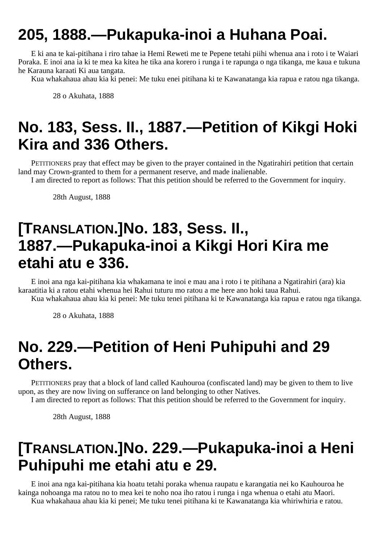# **205, 1888.—Pukapuka-inoi a Huhana Poai.**

E ki ana te kai-pitihana i riro tahae ia Hemi Reweti me te Pepene tetahi piihi whenua ana i roto i te Waiari Poraka. E inoi ana ia ki te mea ka kitea he tika ana korero i runga i te rapunga o nga tikanga, me kaua e tukuna he Karauna karaati Ki aua tangata.

Kua whakahaua ahau kia ki penei: Me tuku enei pitihana ki te Kawanatanga kia rapua e ratou nga tikanga.

28 o Akuhata, 1888

# **No. 183, Sess. II., 1887.—Petition of Kikgi Hoki Kira and 336 Others.**

PETITIONERS pray that effect may be given to the prayer contained in the Ngatirahiri petition that certain land may Crown-granted to them for a permanent reserve, and made inalienable.

I am directed to report as follows: That this petition should be referred to the Government for inquiry.

28th August, 1888

#### **[TRANSLATION.]No. 183, Sess. II., 1887.—Pukapuka-inoi a Kikgi Hori Kira me etahi atu e 336.**

E inoi ana nga kai-pitihana kia whakamana te inoi e mau ana i roto i te pitihana a Ngatirahiri (ara) kia karaatitia ki a ratou etahi whenua hei Rahui tuturu mo ratou a me here ano hoki taua Rahui.

Kua whakahaua ahau kia ki penei: Me tuku tenei pitihana ki te Kawanatanga kia rapua e ratou nga tikanga.

28 o Akuhata, 1888

# **No. 229.—Petition of Heni Puhipuhi and 29 Others.**

PETITIONERS pray that a block of land called Kauhouroa (confiscated land) may be given to them to live upon, as they are now living on sufferance on land belonging to other Natives.

I am directed to report as follows: That this petition should be referred to the Government for inquiry.

28th August, 1888

## **[TRANSLATION.]No. 229.—Pukapuka-inoi a Heni Puhipuhi me etahi atu e 29.**

E inoi ana nga kai-pitihana kia hoatu tetahi poraka whenua raupatu e karangatia nei ko Kauhouroa he kainga nohoanga ma ratou no to mea kei te noho noa iho ratou i runga i nga whenua o etahi atu Maori. Kua whakahaua ahau kia ki penei; Me tuku tenei pitihana ki te Kawanatanga kia whiriwhiria e ratou.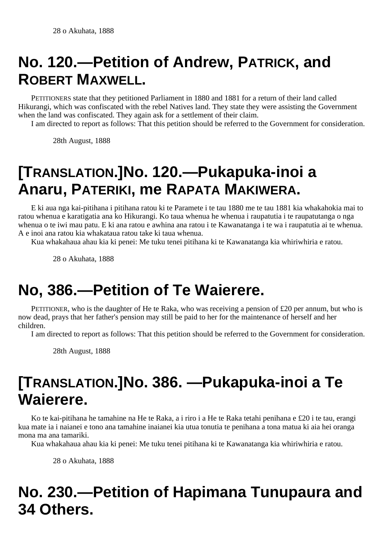# **No. 120.—Petition of Andrew, PATRICK, and ROBERT MAXWELL.**

PETITIONERS state that they petitioned Parliament in 1880 and 1881 for a return of their land called Hikurangi, which was confiscated with the rebel Natives land. They state they were assisting the Government when the land was confiscated. They again ask for a settlement of their claim.

I am directed to report as follows: That this petition should be referred to the Government for consideration.

28th August, 1888

# **[TRANSLATION.]No. 120.—Pukapuka-inoi a Anaru, PATERIKI, me RAPATA MAKIWERA.**

E ki aua nga kai-pitihana i pitihana ratou ki te Paramete i te tau 1880 me te tau 1881 kia whakahokia mai to ratou whenua e karatigatia ana ko Hikurangi. Ko taua whenua he whenua i raupatutia i te raupatutanga o nga whenua o te iwi mau patu. E ki ana ratou e awhina ana ratou i te Kawanatanga i te wa i raupatutia ai te whenua. A e inoi ana ratou kia whakataua ratou take ki taua whenua.

Kua whakahaua ahau kia ki penei: Me tuku tenei pitihana ki te Kawanatanga kia whiriwhiria e ratou.

28 o Akuhata, 1888

# **No, 386.—Petition of Te Waierere.**

PETITIONER, who is the daughter of He te Raka, who was receiving a pension of £20 per annum, but who is now dead, prays that her father's pension may still be paid to her for the maintenance of herself and her children.

I am directed to report as follows: That this petition should be referred to the Government for consideration.

28th August, 1888

### **[TRANSLATION.]No. 386. —Pukapuka-inoi a Te Waierere.**

Ko te kai-pitihana he tamahine na He te Raka, a i riro i a He te Raka tetahi penihana e £20 i te tau, erangi kua mate ia i naianei e tono ana tamahine inaianei kia utua tonutia te penihana a tona matua ki aia hei oranga mona ma ana tamariki.

Kua whakahaua ahau kia ki penei: Me tuku tenei pitihana ki te Kawanatanga kia whiriwhiria e ratou.

28 o Akuhata, 1888

# **No. 230.—Petition of Hapimana Tunupaura and 34 Others.**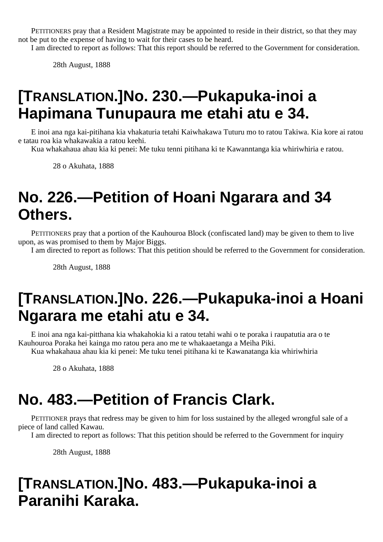PETITIONERS pray that a Resident Magistrate may be appointed to reside in their district, so that they may not be put to the expense of having to wait for their cases to be heard.

I am directed to report as follows: That this report should be referred to the Government for consideration.

28th August, 1888

#### **[TRANSLATION.]No. 230.—Pukapuka-inoi a Hapimana Tunupaura me etahi atu e 34.**

E inoi ana nga kai-pitihana kia vhakaturia tetahi Kaiwhakawa Tuturu mo to ratou Takiwa. Kia kore ai ratou e tatau roa kia whakawakia a ratou keehi.

Kua whakahaua ahau kia ki penei: Me tuku tenni pitihana ki te Kawanntanga kia whiriwhiria e ratou.

28 o Akuhata, 1888

### **No. 226.—Petition of Hoani Ngarara and 34 Others.**

PETITIONERS pray that a portion of the Kauhouroa Block (confiscated land) may be given to them to live upon, as was promised to them by Major Biggs.

I am directed to report as follows: That this petition should be referred to the Government for consideration.

28th August, 1888

### **[TRANSLATION.]No. 226.—Pukapuka-inoi a Hoani Ngarara me etahi atu e 34.**

E inoi ana nga kai-pitthana kia whakahokia ki a ratou tetahi wahi o te poraka i raupatutia ara o te Kauhouroa Poraka hei kainga mo ratou pera ano me te whakaaetanga a Meiha Piki. Kua whakahaua ahau kia ki penei: Me tuku tenei pitihana ki te Kawanatanga kia whiriwhiria

28 o Akuhata, 1888

### **No. 483.—Petition of Francis Clark.**

PETITIONER prays that redress may be given to him for loss sustained by the alleged wrongful sale of a piece of land called Kawau.

I am directed to report as follows: That this petition should be referred to the Government for inquiry

28th August, 1888

### **[TRANSLATION.]No. 483.—Pukapuka-inoi a Paranihi Karaka.**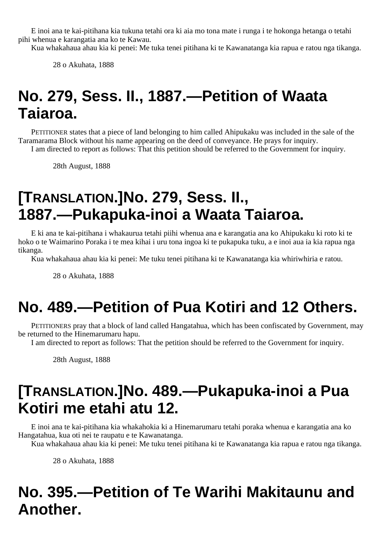E inoi ana te kai-pitihana kia tukuna tetahi ora ki aia mo tona mate i runga i te hokonga hetanga o tetahi pihi whenua e karangatia ana ko te Kawau.

Kua whakahaua ahau kia ki penei: Me tuka tenei pitihana ki te Kawanatanga kia rapua e ratou nga tikanga.

28 o Akuhata, 1888

# **No. 279, Sess. II., 1887.—Petition of Waata Taiaroa.**

PETITIONER states that a piece of land belonging to him called Ahipukaku was included in the sale of the Taramarama Block without his name appearing on the deed of conveyance. He prays for inquiry.

I am directed to report as follows: That this petition should be referred to the Government for inquiry.

28th August, 1888

# **[TRANSLATION.]No. 279, Sess. II., 1887.—Pukapuka-inoi a Waata Taiaroa.**

E ki ana te kai-pitihana i whakaurua tetahi piihi whenua ana e karangatia ana ko Ahipukaku ki roto ki te hoko o te Waimarino Poraka i te mea kihai i uru tona ingoa ki te pukapuka tuku, a e inoi aua ia kia rapua nga tikanga.

Kua whakahaua ahau kia ki penei: Me tuku tenei pitihana ki te Kawanatanga kia whiriwhiria e ratou.

28 o Akuhata, 1888

# **No. 489.—Petition of Pua Kotiri and 12 Others.**

PETITIONERS pray that a block of land called Hangatahua, which has been confiscated by Government, may be returned to the Hinemarumaru hapu.

I am directed to report as follows: That the petition should be referred to the Government for inquiry.

28th August, 1888

## **[TRANSLATION.]No. 489.—Pukapuka-inoi a Pua Kotiri me etahi atu 12.**

E inoi ana te kai-pitihana kia whakahokia ki a Hinemarumaru tetahi poraka whenua e karangatia ana ko Hangatahua, kua oti nei te raupatu e te Kawanatanga.

Kua whakahaua ahau kia ki penei: Me tuku tenei pitihana ki te Kawanatanga kia rapua e ratou nga tikanga.

28 o Akuhata, 1888

# **No. 395.—Petition of Te Warihi Makitaunu and Another.**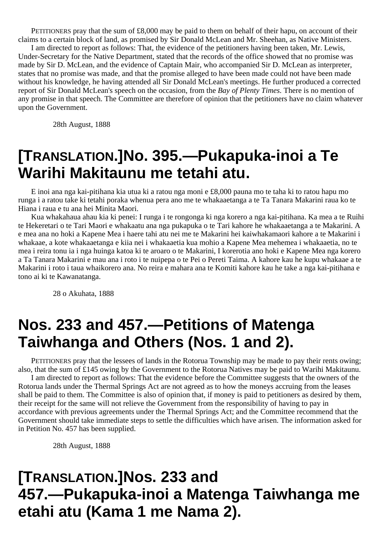PETITIONERS pray that the sum of £8,000 may be paid to them on behalf of their hapu, on account of their claims to a certain block of land, as promised by Sir Donald McLean and Mr. Sheehan, as Native Ministers.

I am directed to report as follows: That, the evidence of the petitioners having been taken, Mr. Lewis, Under-Secretary for the Native Department, stated that the records of the office showed that no promise was made by Sir D. McLean, and the evidence of Captain Mair, who accompanied Sir D. McLean as interpreter, states that no promise was made, and that the promise alleged to have been made could not have been made without his knowledge, he having attended all Sir Donald McLean's meetings. He further produced a corrected report of Sir Donald McLean's speech on the occasion, from the *Bay of Plenty Times.* There is no mention of any promise in that speech. The Committee are therefore of opinion that the petitioners have no claim whatever upon the Government.

28th August, 1888

#### **[TRANSLATION.]No. 395.—Pukapuka-inoi a Te Warihi Makitaunu me tetahi atu.**

E inoi ana nga kai-pitihana kia utua ki a ratou nga moni e £8,000 pauna mo te taha ki to ratou hapu mo runga i a ratou take ki tetahi poraka whenua pera ano me te whakaaetanga a te Ta Tanara Makarini raua ko te Hiana i raua e tu ana hei Minita Maori.

Kua whakahaua ahau kia ki penei: I runga i te rongonga ki nga korero a nga kai-pitihana. Ka mea a te Ruihi te Hekeretari o te Tari Maori e whakaatu ana nga pukapuka o te Tari kahore he whakaaetanga a te Makarini. A e mea ana no hoki a Kapene Mea i haere tahi atu nei me te Makarini hei kaiwhakamaori kahore a te Makarini i whakaae, a kote whakaaetanga e kiia nei i whakaaetia kua mohio a Kapene Mea mehemea i whakaaetia, no te mea i reira tonu ia i nga huinga katoa ki te aroaro o te Makarini, I korerotia ano hoki e Kapene Mea nga korero a Ta Tanara Makarini e mau ana i roto i te nuipepa o te Pei o Pereti Taima. A kahore kau he kupu whakaae a te Makarini i roto i taua whaikorero ana. No reira e mahara ana te Komiti kahore kau he take a nga kai-pitihana e tono ai ki te Kawanatanga.

28 o Akuhata, 1888

## **Nos. 233 and 457.—Petitions of Matenga Taiwhanga and Others (Nos. 1 and 2).**

PETITIONERS pray that the lessees of lands in the Rotorua Township may be made to pay their rents owing; also, that the sum of £145 owing by the Government to the Rotorua Natives may be paid to Warihi Makitaunu.

I am directed to report as follows: That the evidence before the Committee suggests that the owners of the Rotorua lands under the Thermal Springs Act are not agreed as to how the moneys accruing from the leases shall be paid to them. The Committee is also of opinion that, if money is paid to petitioners as desired by them, their receipt for the same will not relieve the Government from the responsibility of having to pay in accordance with previous agreements under the Thermal Springs Act; and the Committee recommend that the Government should take immediate steps to settle the difficulties which have arisen. The information asked for in Petition No. 457 has been supplied.

28th August, 1888

# **[TRANSLATION.]Nos. 233 and 457.—Pukapuka-inoi a Matenga Taiwhanga me etahi atu (Kama 1 me Nama 2).**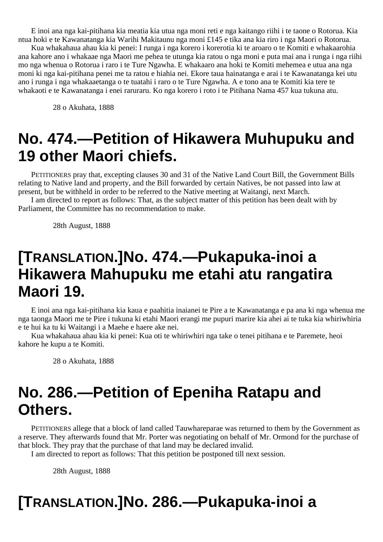E inoi ana nga kai-pitihana kia meatia kia utua nga moni reti e nga kaitango riihi i te taone o Rotorua. Kia ntua hoki e te Kawanatanga kia Warihi Makitaunu nga moni £145 e tika ana kia riro i nga Maori o Rotorua.

Kua whakahaua ahau kia ki penei: I runga i nga korero i korerotia ki te aroaro o te Komiti e whakaarohia ana kahore ano i whakaae nga Maori me pehea te utunga kia ratou o nga moni e puta mai ana i runga i nga riihi mo nga whenua o Rotorua i raro i te Ture Ngawha. E whakaaro ana hoki te Komiti mehemea e utua ana nga moni ki nga kai-pitihana penei me ta ratou e hiahia nei. Ekore taua hainatanga e arai i te Kawanatanga kei utu ano i runga i nga whakaaetanga o te tuatahi i raro o te Ture Ngawha. A e tono ana te Komiti kia tere te whakaoti e te Kawanatanga i enei raruraru. Ko nga korero i roto i te Pitihana Nama 457 kua tukuna atu.

28 o Akuhata, 1888

## **No. 474.—Petition of Hikawera Muhupuku and 19 other Maori chiefs.**

PETITIONERS pray that, excepting clauses 30 and 31 of the Native Land Court Bill, the Government Bills relating to Native land and property, and the Bill forwarded by certain Natives, be not passed into law at present, but be withheld in order to be referred to the Native meeting at Waitangi, next March.

I am directed to report as follows: That, as the subject matter of this petition has been dealt with by Parliament, the Committee has no recommendation to make.

28th August, 1888

#### **[TRANSLATION.]No. 474.—Pukapuka-inoi a Hikawera Mahupuku me etahi atu rangatira Maori 19.**

E inoi ana nga kai-pitihana kia kaua e paahitia inaianei te Pire a te Kawanatanga e pa ana ki nga whenua me nga taonga Maori me te Pire i tukuna ki etahi Maori erangi me pupuri marire kia ahei ai te tuka kia whiriwhiria e te hui ka tu ki Waitangi i a Maehe e haere ake nei.

Kua whakahaua ahau kia ki penei: Kua oti te whiriwhiri nga take o tenei pitihana e te Paremete, heoi kahore he kupu a te Komiti.

28 o Akuhata, 1888

## **No. 286.—Petition of Epeniha Ratapu and Others.**

PETITIONERS allege that a block of land called Tauwhareparae was returned to them by the Government as a reserve. They afterwards found that Mr. Porter was negotiating on behalf of Mr. Ormond for the purchase of that block. They pray that the purchase of that land may be declared invalid.

I am directed to report as follows: That this petition be postponed till next session.

28th August, 1888

## **[TRANSLATION.]No. 286.—Pukapuka-inoi a**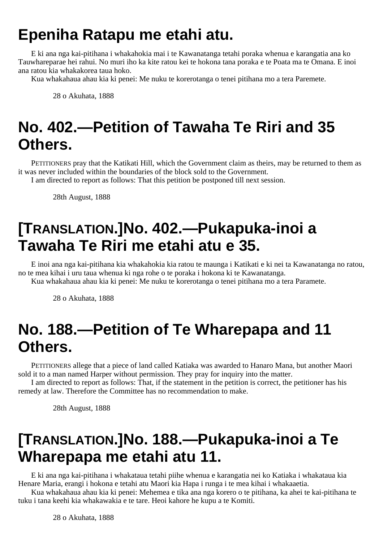# **Epeniha Ratapu me etahi atu.**

E ki ana nga kai-pitihana i whakahokia mai i te Kawanatanga tetahi poraka whenua e karangatia ana ko Tauwhareparae hei rahui. No muri iho ka kite ratou kei te hokona tana poraka e te Poata ma te Omana. E inoi ana ratou kia whakakorea taua hoko.

Kua whakahaua ahau kia ki penei: Me nuku te korerotanga o tenei pitihana mo a tera Paremete.

28 o Akuhata, 1888

# **No. 402.—Petition of Tawaha Te Riri and 35 Others.**

PETITIONERS pray that the Katikati Hill, which the Government claim as theirs, may be returned to them as it was never included within the boundaries of the block sold to the Government.

I am directed to report as follows: That this petition be postponed till next session.

28th August, 1888

# **[TRANSLATION.]No. 402.—Pukapuka-inoi a Tawaha Te Riri me etahi atu e 35.**

E inoi ana nga kai-pitihana kia whakahokia kia ratou te maunga i Katikati e ki nei ta Kawanatanga no ratou, no te mea kihai i uru taua whenua ki nga rohe o te poraka i hokona ki te Kawanatanga.

Kua whakahaua ahau kia ki penei: Me nuku te korerotanga o tenei pitihana mo a tera Paramete.

28 o Akuhata, 1888

## **No. 188.—Petition of Te Wharepapa and 11 Others.**

PETITIONERS allege that a piece of land called Katiaka was awarded to Hanaro Mana, but another Maori sold it to a man named Harper without permission. They pray for inquiry into the matter.

I am directed to report as follows: That, if the statement in the petition is correct, the petitioner has his remedy at law. Therefore the Committee has no recommendation to make.

28th August, 1888

## **[TRANSLATION.]No. 188.—Pukapuka-inoi a Te Wharepapa me etahi atu 11.**

E ki ana nga kai-pitihana i whakataua tetahi piihe whenua e karangatia nei ko Katiaka i whakataua kia Henare Maria, erangi i hokona e tetahi atu Maori kia Hapa i runga i te mea kihai i whakaaetia.

Kua whakahaua ahau kia ki penei: Mehemea e tika ana nga korero o te pitihana, ka ahei te kai-pitihana te tuku i tana keehi kia whakawakia e te tare. Heoi kahore he kupu a te Komiti.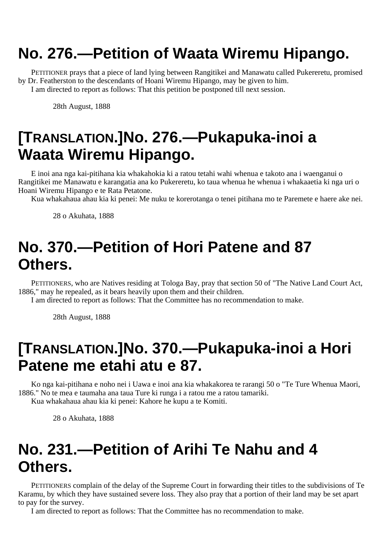# **No. 276.—Petition of Waata Wiremu Hipango.**

PETITIONER prays that a piece of land lying between Rangitikei and Manawatu called Pukereretu, promised by Dr. Featherston to the descendants of Hoani Wiremu Hipango, may be given to him. I am directed to report as follows: That this petition be postponed till next session.

28th August, 1888

# **[TRANSLATION.]No. 276.—Pukapuka-inoi a Waata Wiremu Hipango.**

E inoi ana nga kai-pitihana kia whakahokia ki a ratou tetahi wahi whenua e takoto ana i waenganui o Rangitikei me Manawatu e karangatia ana ko Pukereretu, ko taua whenua he whenua i whakaaetia ki nga uri o Hoani Wiremu Hipango e te Rata Petatone.

Kua whakahaua ahau kia ki penei: Me nuku te korerotanga o tenei pitihana mo te Paremete e haere ake nei.

28 o Akuhata, 1888

# **No. 370.—Petition of Hori Patene and 87 Others.**

PETITIONERS, who are Natives residing at Tologa Bay, pray that section 50 of "The Native Land Court Act, 1886," may he repealed, as it bears heavily upon them and their children.

I am directed to report as follows: That the Committee has no recommendation to make.

28th August, 1888

# **[TRANSLATION.]No. 370.—Pukapuka-inoi a Hori Patene me etahi atu e 87.**

Ko nga kai-pitihana e noho nei i Uawa e inoi ana kia whakakorea te rarangi 50 o "Te Ture Whenua Maori, 1886." No te mea e taumaha ana taua Ture ki runga i a ratou me a ratou tamariki. Kua whakahaua ahau kia ki penei: Kahore he kupu a te Komiti.

28 o Akuhata, 1888

## **No. 231.—Petition of Arihi Te Nahu and 4 Others.**

PETITIONERS complain of the delay of the Supreme Court in forwarding their titles to the subdivisions of Te Karamu, by which they have sustained severe loss. They also pray that a portion of their land may be set apart to pay for the survey.

I am directed to report as follows: That the Committee has no recommendation to make.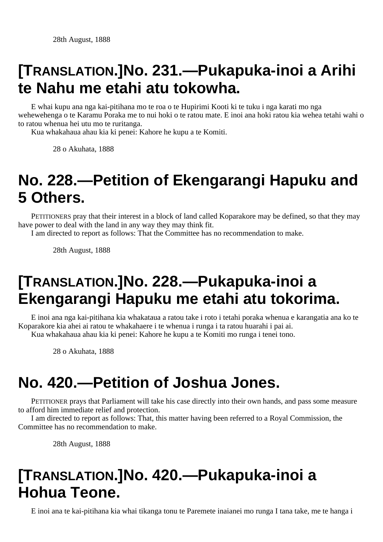# **[TRANSLATION.]No. 231.—Pukapuka-inoi a Arihi te Nahu me etahi atu tokowha.**

E whai kupu ana nga kai-pitihana mo te roa o te Hupirimi Kooti ki te tuku i nga karati mo nga wehewehenga o te Karamu Poraka me to nui hoki o te ratou mate. E inoi ana hoki ratou kia wehea tetahi wahi o to ratou whenua hei utu mo te ruritanga.

Kua whakahaua ahau kia ki penei: Kahore he kupu a te Komiti.

28 o Akuhata, 1888

## **No. 228.—Petition of Ekengarangi Hapuku and 5 Others.**

PETITIONERS pray that their interest in a block of land called Koparakore may be defined, so that they may have power to deal with the land in any way they may think fit.

I am directed to report as follows: That the Committee has no recommendation to make.

28th August, 1888

# **[TRANSLATION.]No. 228.—Pukapuka-inoi a Ekengarangi Hapuku me etahi atu tokorima.**

E inoi ana nga kai-pitihana kia whakataua a ratou take i roto i tetahi poraka whenua e karangatia ana ko te Koparakore kia ahei ai ratou te whakahaere i te whenua i runga i ta ratou huarahi i pai ai. Kua whakahaua ahau kia ki penei: Kahore he kupu a te Komiti mo runga i tenei tono.

28 o Akuhata, 1888

# **No. 420.—Petition of Joshua Jones.**

PETITIONER prays that Parliament will take his case directly into their own hands, and pass some measure to afford him immediate relief and protection.

I am directed to report as follows: That, this matter having been referred to a Royal Commission, the Committee has no recommendation to make.

28th August, 1888

# **[TRANSLATION.]No. 420.—Pukapuka-inoi a Hohua Teone.**

E inoi ana te kai-pitihana kia whai tikanga tonu te Paremete inaianei mo runga I tana take, me te hanga i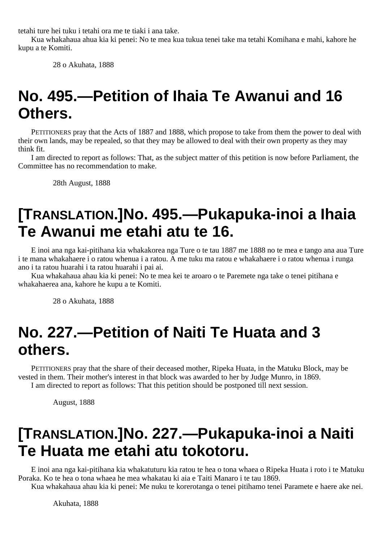tetahi ture hei tuku i tetahi ora me te tiaki i ana take.

Kua whakahaua ahua kia ki penei: No te mea kua tukua tenei take ma tetahi Komihana e mahi, kahore he kupu a te Komiti.

28 o Akuhata, 1888

# **No. 495.—Petition of Ihaia Te Awanui and 16 Others.**

PETITIONERS pray that the Acts of 1887 and 1888, which propose to take from them the power to deal with their own lands, may be repealed, so that they may be allowed to deal with their own property as they may think fit.

I am directed to report as follows: That, as the subject matter of this petition is now before Parliament, the Committee has no recommendation to make.

28th August, 1888

## **[TRANSLATION.]No. 495.—Pukapuka-inoi a Ihaia Te Awanui me etahi atu te 16.**

E inoi ana nga kai-pitihana kia whakakorea nga Ture o te tau 1887 me 1888 no te mea e tango ana aua Ture i te mana whakahaere i o ratou whenua i a ratou. A me tuku ma ratou e whakahaere i o ratou whenua i runga ano i ta ratou huarahi i ta ratou huarahi i pai ai.

Kua whakahaua ahau kia ki penei: No te mea kei te aroaro o te Paremete nga take o tenei pitihana e whakahaerea ana, kahore he kupu a te Komiti.

28 o Akuhata, 1888

#### **No. 227.—Petition of Naiti Te Huata and 3 others.**

PETITIONERS pray that the share of their deceased mother, Ripeka Huata, in the Matuku Block, may be vested in them. Their mother's interest in that block was awarded to her by Judge Munro, in 1869. I am directed to report as follows: That this petition should be postponed till next session.

August, 1888

### **[TRANSLATION.]No. 227.—Pukapuka-inoi a Naiti Te Huata me etahi atu tokotoru.**

E inoi ana nga kai-pitihana kia whakatuturu kia ratou te hea o tona whaea o Ripeka Huata i roto i te Matuku Poraka. Ko te hea o tona whaea he mea whakatau ki aia e Taiti Manaro i te tau 1869.

Kua whakahaua ahau kia ki penei: Me nuku te korerotanga o tenei pitihamo tenei Paramete e haere ake nei.

Akuhata, 1888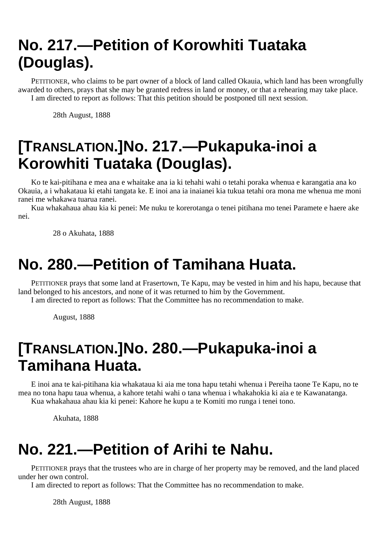# **No. 217.—Petition of Korowhiti Tuataka (Douglas).**

PETITIONER, who claims to be part owner of a block of land called Okauia, which land has been wrongfully awarded to others, prays that she may be granted redress in land or money, or that a rehearing may take place. I am directed to report as follows: That this petition should be postponed till next session.

28th August, 1888

# **[TRANSLATION.]No. 217.—Pukapuka-inoi a Korowhiti Tuataka (Douglas).**

Ko te kai-pitihana e mea ana e whaitake ana ia ki tehahi wahi o tetahi poraka whenua e karangatia ana ko Okauia, a i whakataua ki etahi tangata ke. E inoi ana ia inaianei kia tukua tetahi ora mona me whenua me moni ranei me whakawa tuarua ranei.

Kua whakahaua ahau kia ki penei: Me nuku te korerotanga o tenei pitihana mo tenei Paramete e haere ake nei.

28 o Akuhata, 1888

### **No. 280.—Petition of Tamihana Huata.**

PETITIONER prays that some land at Frasertown, Te Kapu, may be vested in him and his hapu, because that land belonged to his ancestors, and none of it was returned to him by the Government.

I am directed to report as follows: That the Committee has no recommendation to make.

August, 1888

# **[TRANSLATION.]No. 280.—Pukapuka-inoi a Tamihana Huata.**

E inoi ana te kai-pitihana kia whakataua ki aia me tona hapu tetahi whenua i Pereiha taone Te Kapu, no te mea no tona hapu taua whenua, a kahore tetahi wahi o tana whenua i whakahokia ki aia e te Kawanatanga. Kua whakahaua ahau kia ki penei: Kahore he kupu a te Komiti mo runga i tenei tono.

Akuhata, 1888

## **No. 221.—Petition of Arihi te Nahu.**

PETITIONER prays that the trustees who are in charge of her property may be removed, and the land placed under her own control.

I am directed to report as follows: That the Committee has no recommendation to make.

28th August, 1888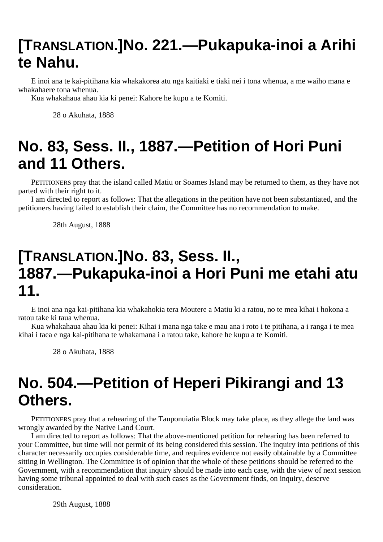# **[TRANSLATION.]No. 221.—Pukapuka-inoi a Arihi te Nahu.**

E inoi ana te kai-pitihana kia whakakorea atu nga kaitiaki e tiaki nei i tona whenua, a me waiho mana e whakahaere tona whenua.

Kua whakahaua ahau kia ki penei: Kahore he kupu a te Komiti.

28 o Akuhata, 1888

# **No. 83, Sess. II., 1887.—Petition of Hori Puni and 11 Others.**

PETITIONERS pray that the island called Matiu or Soames Island may be returned to them, as they have not parted with their right to it.

I am directed to report as follows: That the allegations in the petition have not been substantiated, and the petitioners having failed to establish their claim, the Committee has no recommendation to make.

28th August, 1888

### **[TRANSLATION.]No. 83, Sess. II., 1887.—Pukapuka-inoi a Hori Puni me etahi atu 11.**

E inoi ana nga kai-pitihana kia whakahokia tera Moutere a Matiu ki a ratou, no te mea kihai i hokona a ratou take ki taua whenua.

Kua whakahaua ahau kia ki penei: Kihai i mana nga take e mau ana i roto i te pitihana, a i ranga i te mea kihai i taea e nga kai-pitihana te whakamana i a ratou take, kahore he kupu a te Komiti.

28 o Akuhata, 1888

# **No. 504.—Petition of Heperi Pikirangi and 13 Others.**

PETITIONERS pray that a rehearing of the Tauponuiatia Block may take place, as they allege the land was wrongly awarded by the Native Land Court.

I am directed to report as follows: That the above-mentioned petition for rehearing has been referred to your Committee, but time will not permit of its being considered this session. The inquiry into petitions of this character necessarily occupies considerable time, and requires evidence not easily obtainable by a Committee sitting in Wellington. The Committee is of opinion that the whole of these petitions should be referred to the Government, with a recommendation that inquiry should be made into each case, with the view of next session having some tribunal appointed to deal with such cases as the Government finds, on inquiry, deserve consideration.

29th August, 1888